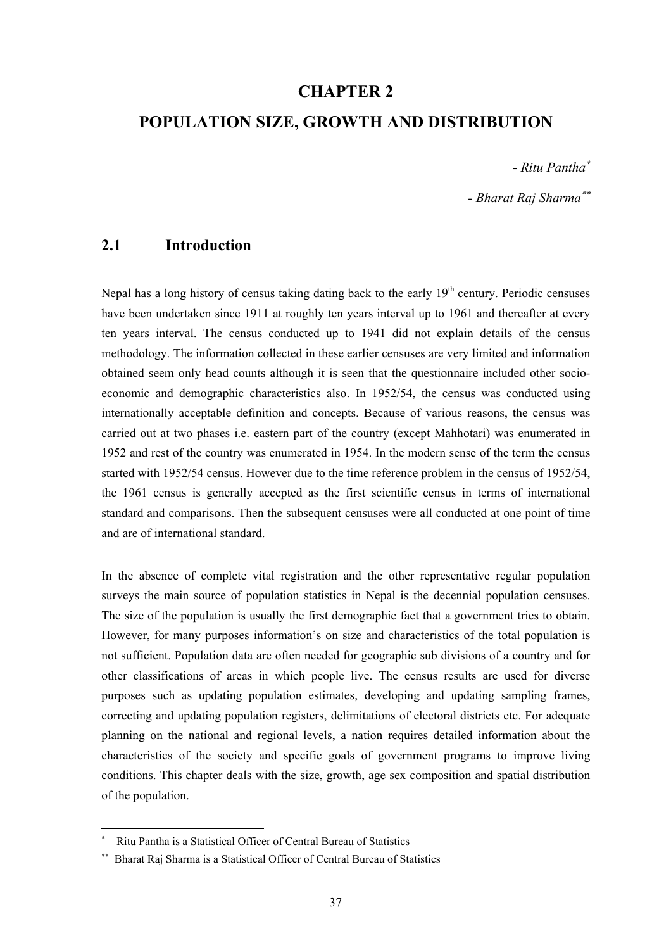# **CHAPTER 2**

# **POPULATION SIZE, GROWTH AND DISTRIBUTION**

*- Ritu Pantha*<sup>∗</sup>

*- Bharat Raj Sharma*∗∗

# **2.1 Introduction**

Nepal has a long history of census taking dating back to the early  $19<sup>th</sup>$  century. Periodic censuses have been undertaken since 1911 at roughly ten years interval up to 1961 and thereafter at every ten years interval. The census conducted up to 1941 did not explain details of the census methodology. The information collected in these earlier censuses are very limited and information obtained seem only head counts although it is seen that the questionnaire included other socioeconomic and demographic characteristics also. In 1952/54, the census was conducted using internationally acceptable definition and concepts. Because of various reasons, the census was carried out at two phases i.e. eastern part of the country (except Mahhotari) was enumerated in 1952 and rest of the country was enumerated in 1954. In the modern sense of the term the census started with 1952/54 census. However due to the time reference problem in the census of 1952/54, the 1961 census is generally accepted as the first scientific census in terms of international standard and comparisons. Then the subsequent censuses were all conducted at one point of time and are of international standard.

In the absence of complete vital registration and the other representative regular population surveys the main source of population statistics in Nepal is the decennial population censuses. The size of the population is usually the first demographic fact that a government tries to obtain. However, for many purposes information's on size and characteristics of the total population is not sufficient. Population data are often needed for geographic sub divisions of a country and for other classifications of areas in which people live. The census results are used for diverse purposes such as updating population estimates, developing and updating sampling frames, correcting and updating population registers, delimitations of electoral districts etc. For adequate planning on the national and regional levels, a nation requires detailed information about the characteristics of the society and specific goals of government programs to improve living conditions. This chapter deals with the size, growth, age sex composition and spatial distribution of the population.

 $\overline{a}$ 

<sup>∗</sup> Ritu Pantha is a Statistical Officer of Central Bureau of Statistics

<sup>∗∗</sup> Bharat Raj Sharma is a Statistical Officer of Central Bureau of Statistics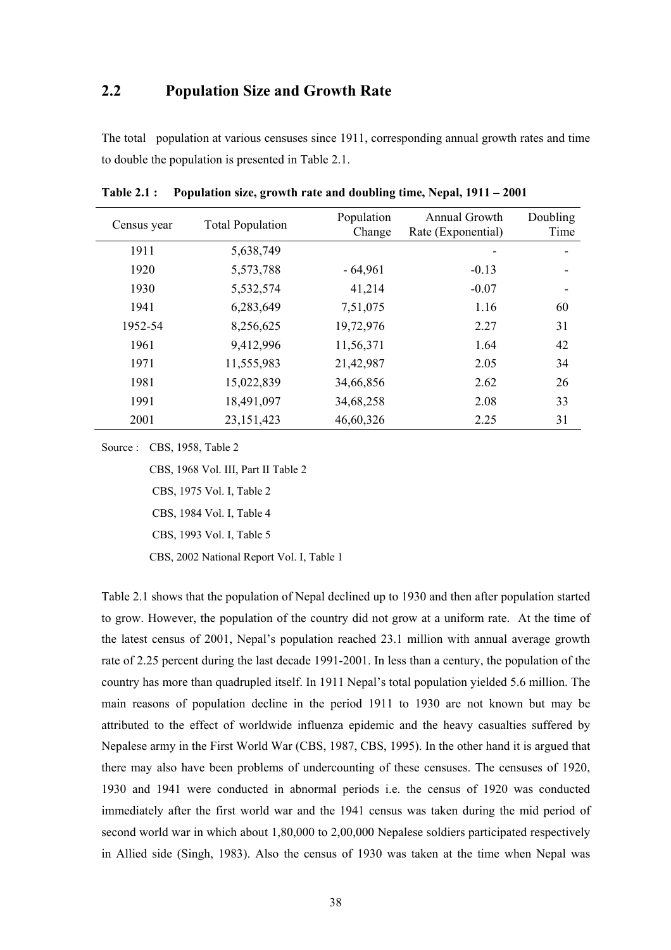# **2.2 Population Size and Growth Rate**

The total population at various censuses since 1911, corresponding annual growth rates and time to double the population is presented in Table 2.1.

| Census year | <b>Total Population</b> | Population<br>Change | Annual Growth<br>Rate (Exponential) | Doubling<br>Time |
|-------------|-------------------------|----------------------|-------------------------------------|------------------|
| 1911        | 5,638,749               |                      |                                     |                  |
| 1920        | 5,573,788               | $-64,961$            | $-0.13$                             |                  |
| 1930        | 5,532,574               | 41,214               | $-0.07$                             |                  |
| 1941        | 6,283,649               | 7,51,075             | 1.16                                | 60               |
| 1952-54     | 8,256,625               | 19,72,976            | 2.27                                | 31               |
| 1961        | 9,412,996               | 11,56,371            | 1.64                                | 42               |
| 1971        | 11,555,983              | 21,42,987            | 2.05                                | 34               |
| 1981        | 15,022,839              | 34,66,856            | 2.62                                | 26               |
| 1991        | 18,491,097              | 34,68,258            | 2.08                                | 33               |
| 2001        | 23, 151, 423            | 46,60,326            | 2.25                                | 31               |

**Table 2.1 : Population size, growth rate and doubling time, Nepal, 1911 – 2001** 

Source : CBS, 1958, Table 2

CBS, 1968 Vol. III, Part II Table 2

CBS, 1975 Vol. I, Table 2

CBS, 1984 Vol. I, Table 4

CBS, 1993 Vol. I, Table 5

CBS, 2002 National Report Vol. I, Table 1

Table 2.1 shows that the population of Nepal declined up to 1930 and then after population started to grow. However, the population of the country did not grow at a uniform rate. At the time of the latest census of 2001, Nepal's population reached 23.1 million with annual average growth rate of 2.25 percent during the last decade 1991-2001. In less than a century, the population of the country has more than quadrupled itself. In 1911 Nepal's total population yielded 5.6 million. The main reasons of population decline in the period 1911 to 1930 are not known but may be attributed to the effect of worldwide influenza epidemic and the heavy casualties suffered by Nepalese army in the First World War (CBS, 1987, CBS, 1995). In the other hand it is argued that there may also have been problems of undercounting of these censuses. The censuses of 1920, 1930 and 1941 were conducted in abnormal periods i.e. the census of 1920 was conducted immediately after the first world war and the 1941 census was taken during the mid period of second world war in which about 1,80,000 to 2,00,000 Nepalese soldiers participated respectively in Allied side (Singh, 1983). Also the census of 1930 was taken at the time when Nepal was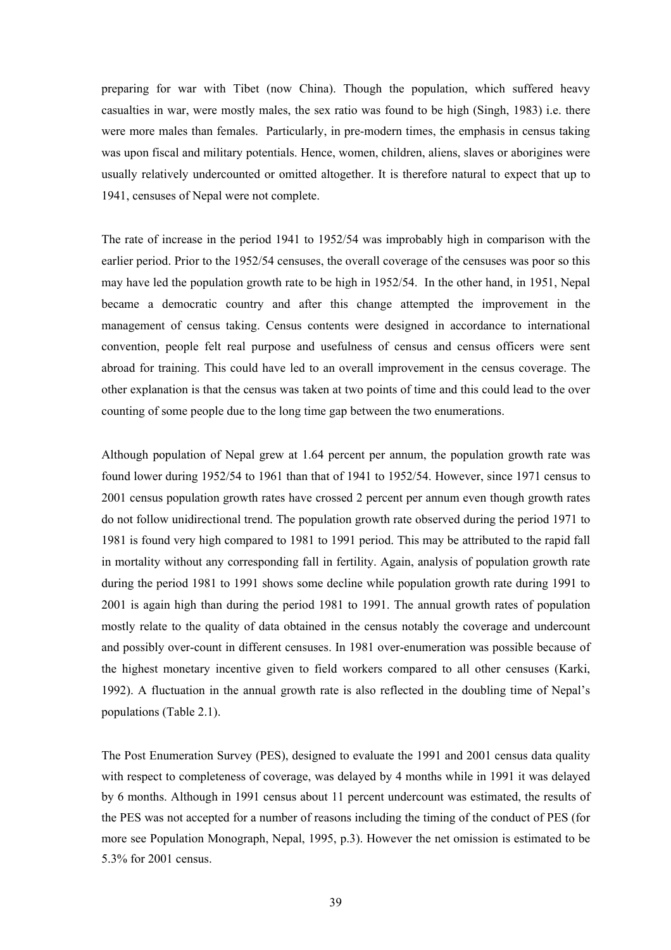preparing for war with Tibet (now China). Though the population, which suffered heavy casualties in war, were mostly males, the sex ratio was found to be high (Singh, 1983) i.e. there were more males than females. Particularly, in pre-modern times, the emphasis in census taking was upon fiscal and military potentials. Hence, women, children, aliens, slaves or aborigines were usually relatively undercounted or omitted altogether. It is therefore natural to expect that up to 1941, censuses of Nepal were not complete.

The rate of increase in the period 1941 to 1952/54 was improbably high in comparison with the earlier period. Prior to the 1952/54 censuses, the overall coverage of the censuses was poor so this may have led the population growth rate to be high in 1952/54. In the other hand, in 1951, Nepal became a democratic country and after this change attempted the improvement in the management of census taking. Census contents were designed in accordance to international convention, people felt real purpose and usefulness of census and census officers were sent abroad for training. This could have led to an overall improvement in the census coverage. The other explanation is that the census was taken at two points of time and this could lead to the over counting of some people due to the long time gap between the two enumerations.

Although population of Nepal grew at 1.64 percent per annum, the population growth rate was found lower during 1952/54 to 1961 than that of 1941 to 1952/54. However, since 1971 census to 2001 census population growth rates have crossed 2 percent per annum even though growth rates do not follow unidirectional trend. The population growth rate observed during the period 1971 to 1981 is found very high compared to 1981 to 1991 period. This may be attributed to the rapid fall in mortality without any corresponding fall in fertility. Again, analysis of population growth rate during the period 1981 to 1991 shows some decline while population growth rate during 1991 to 2001 is again high than during the period 1981 to 1991. The annual growth rates of population mostly relate to the quality of data obtained in the census notably the coverage and undercount and possibly over-count in different censuses. In 1981 over-enumeration was possible because of the highest monetary incentive given to field workers compared to all other censuses (Karki, 1992). A fluctuation in the annual growth rate is also reflected in the doubling time of Nepal's populations (Table 2.1).

The Post Enumeration Survey (PES), designed to evaluate the 1991 and 2001 census data quality with respect to completeness of coverage, was delayed by 4 months while in 1991 it was delayed by 6 months. Although in 1991 census about 11 percent undercount was estimated, the results of the PES was not accepted for a number of reasons including the timing of the conduct of PES (for more see Population Monograph, Nepal, 1995, p.3). However the net omission is estimated to be 5.3% for 2001 census.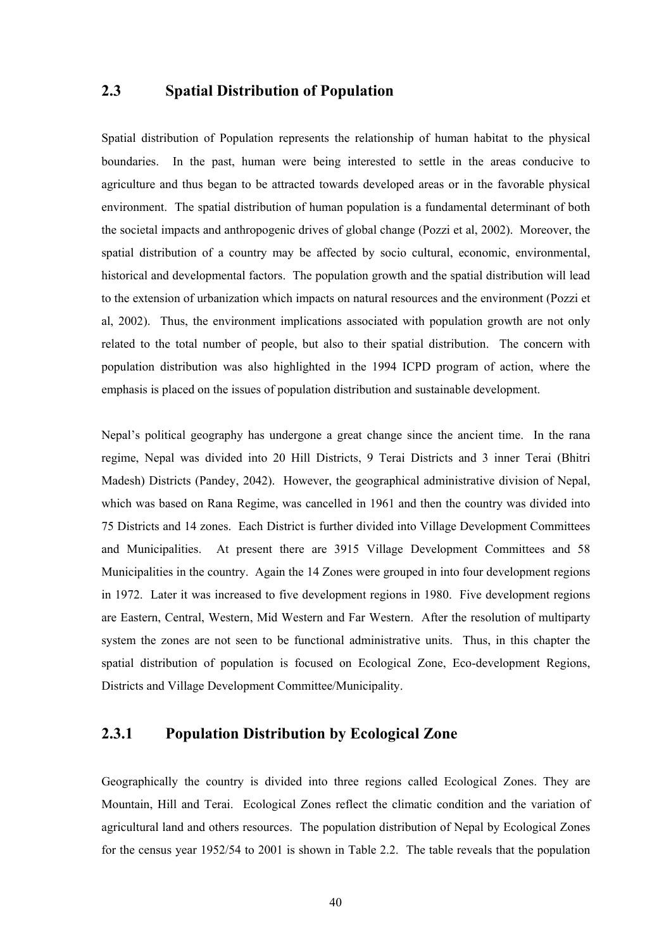# **2.3 Spatial Distribution of Population**

Spatial distribution of Population represents the relationship of human habitat to the physical boundaries. In the past, human were being interested to settle in the areas conducive to agriculture and thus began to be attracted towards developed areas or in the favorable physical environment. The spatial distribution of human population is a fundamental determinant of both the societal impacts and anthropogenic drives of global change (Pozzi et al, 2002). Moreover, the spatial distribution of a country may be affected by socio cultural, economic, environmental, historical and developmental factors. The population growth and the spatial distribution will lead to the extension of urbanization which impacts on natural resources and the environment (Pozzi et al, 2002). Thus, the environment implications associated with population growth are not only related to the total number of people, but also to their spatial distribution. The concern with population distribution was also highlighted in the 1994 ICPD program of action, where the emphasis is placed on the issues of population distribution and sustainable development.

Nepal's political geography has undergone a great change since the ancient time. In the rana regime, Nepal was divided into 20 Hill Districts, 9 Terai Districts and 3 inner Terai (Bhitri Madesh) Districts (Pandey, 2042). However, the geographical administrative division of Nepal, which was based on Rana Regime, was cancelled in 1961 and then the country was divided into 75 Districts and 14 zones. Each District is further divided into Village Development Committees and Municipalities. At present there are 3915 Village Development Committees and 58 Municipalities in the country. Again the 14 Zones were grouped in into four development regions in 1972. Later it was increased to five development regions in 1980. Five development regions are Eastern, Central, Western, Mid Western and Far Western. After the resolution of multiparty system the zones are not seen to be functional administrative units. Thus, in this chapter the spatial distribution of population is focused on Ecological Zone, Eco-development Regions, Districts and Village Development Committee/Municipality.

## **2.3.1 Population Distribution by Ecological Zone**

Geographically the country is divided into three regions called Ecological Zones. They are Mountain, Hill and Terai. Ecological Zones reflect the climatic condition and the variation of agricultural land and others resources. The population distribution of Nepal by Ecological Zones for the census year 1952/54 to 2001 is shown in Table 2.2. The table reveals that the population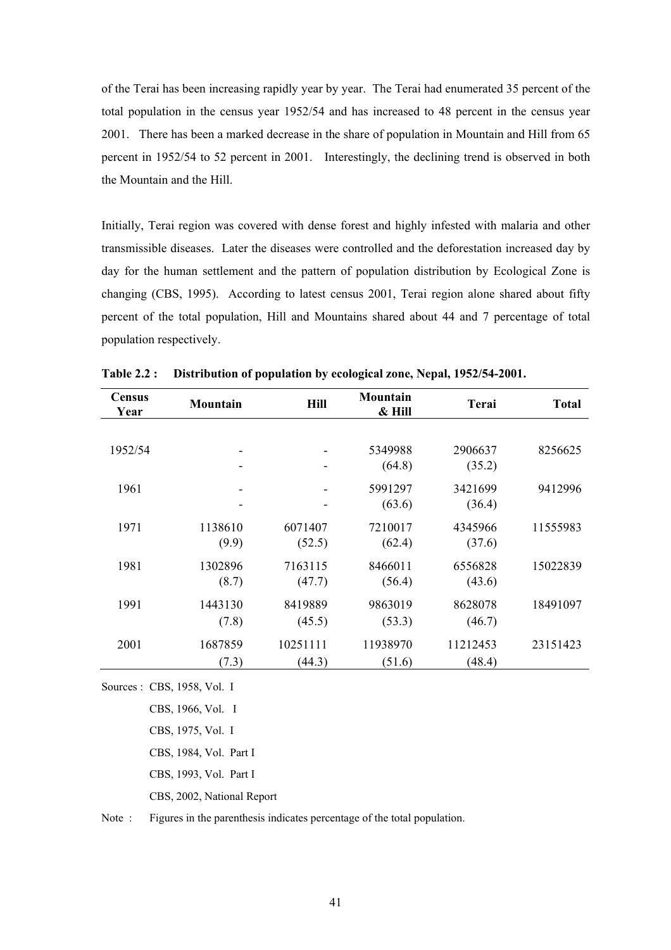of the Terai has been increasing rapidly year by year. The Terai had enumerated 35 percent of the total population in the census year 1952/54 and has increased to 48 percent in the census year 2001. There has been a marked decrease in the share of population in Mountain and Hill from 65 percent in 1952/54 to 52 percent in 2001. Interestingly, the declining trend is observed in both the Mountain and the Hill.

Initially, Terai region was covered with dense forest and highly infested with malaria and other transmissible diseases. Later the diseases were controlled and the deforestation increased day by day for the human settlement and the pattern of population distribution by Ecological Zone is changing (CBS, 1995). According to latest census 2001, Terai region alone shared about fifty percent of the total population, Hill and Mountains shared about 44 and 7 percentage of total population respectively.

| Census<br>Year | <b>Mountain</b>  | <b>Hill</b>        | Mountain<br>& Hill | Terai              | <b>Total</b> |
|----------------|------------------|--------------------|--------------------|--------------------|--------------|
|                |                  |                    |                    |                    |              |
| 1952/54        | -                |                    | 5349988            | 2906637            | 8256625      |
|                |                  |                    | (64.8)             | (35.2)             |              |
| 1961           | -                | -                  | 5991297            | 3421699            | 9412996      |
|                | -                | -                  | (63.6)             | (36.4)             |              |
| 1971           | 1138610          | 6071407            | 7210017            | 4345966            | 11555983     |
|                | (9.9)            | (52.5)             | (62.4)             | (37.6)             |              |
| 1981           | 1302896          | 7163115            | 8466011            | 6556828            | 15022839     |
|                | (8.7)            | (47.7)             | (56.4)             | (43.6)             |              |
| 1991           | 1443130          | 8419889            | 9863019            | 8628078            | 18491097     |
|                | (7.8)            | (45.5)             | (53.3)             | (46.7)             |              |
|                |                  |                    |                    |                    |              |
| 2001           | 1687859<br>(7.3) | 10251111<br>(44.3) | 11938970<br>(51.6) | 11212453<br>(48.4) | 23151423     |
|                |                  |                    |                    |                    |              |

**Table 2.2 : Distribution of population by ecological zone, Nepal, 1952/54-2001.** 

Sources : CBS, 1958, Vol. I

 CBS, 1966, Vol. I CBS, 1975, Vol. I

CBS, 1984, Vol. Part I

CBS, 1993, Vol. Part I

CBS, 2002, National Report

Note : Figures in the parenthesis indicates percentage of the total population.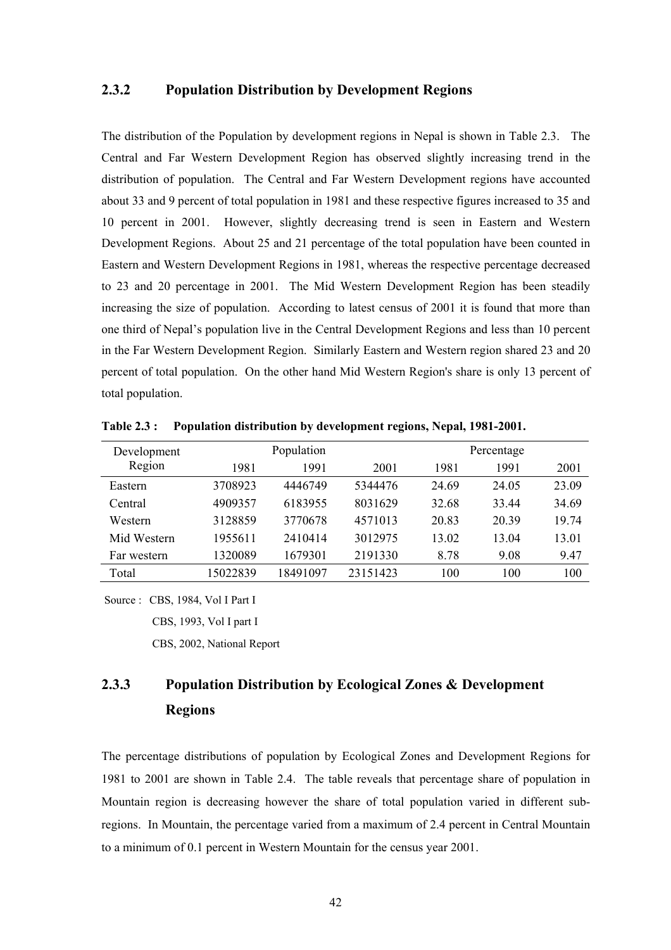#### **2.3.2 Population Distribution by Development Regions**

The distribution of the Population by development regions in Nepal is shown in Table 2.3. The Central and Far Western Development Region has observed slightly increasing trend in the distribution of population. The Central and Far Western Development regions have accounted about 33 and 9 percent of total population in 1981 and these respective figures increased to 35 and 10 percent in 2001. However, slightly decreasing trend is seen in Eastern and Western Development Regions. About 25 and 21 percentage of the total population have been counted in Eastern and Western Development Regions in 1981, whereas the respective percentage decreased to 23 and 20 percentage in 2001. The Mid Western Development Region has been steadily increasing the size of population. According to latest census of 2001 it is found that more than one third of Nepal's population live in the Central Development Regions and less than 10 percent in the Far Western Development Region. Similarly Eastern and Western region shared 23 and 20 percent of total population. On the other hand Mid Western Region's share is only 13 percent of total population.

| Development |          | Population |          | Percentage |       |       |  |  |
|-------------|----------|------------|----------|------------|-------|-------|--|--|
| Region      | 1981     | 1991       | 2001     | 1981       | 1991  | 2001  |  |  |
| Eastern     | 3708923  | 4446749    | 5344476  | 24.69      | 24.05 | 23.09 |  |  |
| Central     | 4909357  | 6183955    | 8031629  | 32.68      | 33.44 | 34.69 |  |  |
| Western     | 3128859  | 3770678    | 4571013  | 20.83      | 20 39 | 1974  |  |  |
| Mid Western | 1955611  | 2410414    | 3012975  | 13.02      | 13.04 | 13.01 |  |  |
| Far western | 1320089  | 1679301    | 2191330  | 8.78       | 9.08  | 9.47  |  |  |
| Total       | 15022839 | 18491097   | 23151423 | 100        | 100   | 100   |  |  |

**Table 2.3 : Population distribution by development regions, Nepal, 1981-2001.** 

Source : CBS, 1984, Vol I Part I

CBS, 1993, Vol I part I

CBS, 2002, National Report

# **2.3.3 Population Distribution by Ecological Zones & Development Regions**

The percentage distributions of population by Ecological Zones and Development Regions for 1981 to 2001 are shown in Table 2.4. The table reveals that percentage share of population in Mountain region is decreasing however the share of total population varied in different subregions. In Mountain, the percentage varied from a maximum of 2.4 percent in Central Mountain to a minimum of 0.1 percent in Western Mountain for the census year 2001.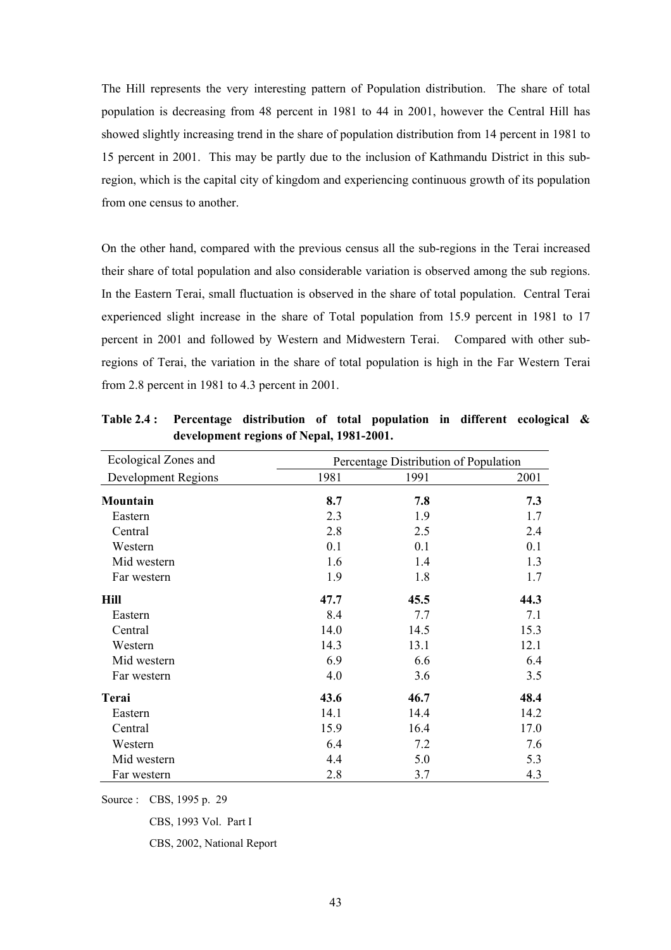The Hill represents the very interesting pattern of Population distribution. The share of total population is decreasing from 48 percent in 1981 to 44 in 2001, however the Central Hill has showed slightly increasing trend in the share of population distribution from 14 percent in 1981 to 15 percent in 2001. This may be partly due to the inclusion of Kathmandu District in this subregion, which is the capital city of kingdom and experiencing continuous growth of its population from one census to another.

On the other hand, compared with the previous census all the sub-regions in the Terai increased their share of total population and also considerable variation is observed among the sub regions. In the Eastern Terai, small fluctuation is observed in the share of total population. Central Terai experienced slight increase in the share of Total population from 15.9 percent in 1981 to 17 percent in 2001 and followed by Western and Midwestern Terai. Compared with other subregions of Terai, the variation in the share of total population is high in the Far Western Terai from 2.8 percent in 1981 to 4.3 percent in 2001.

| Ecological Zones and | Percentage Distribution of Population |      |      |  |  |  |  |
|----------------------|---------------------------------------|------|------|--|--|--|--|
| Development Regions  | 1981                                  | 1991 | 2001 |  |  |  |  |
| Mountain             | 8.7                                   | 7.8  | 7.3  |  |  |  |  |
| Eastern              | 2.3                                   | 1.9  | 1.7  |  |  |  |  |
| Central              | 2.8                                   | 2.5  | 2.4  |  |  |  |  |
| Western              | 0.1                                   | 0.1  | 0.1  |  |  |  |  |
| Mid western          | 1.6                                   | 1.4  | 1.3  |  |  |  |  |
| Far western          | 1.9                                   | 1.8  | 1.7  |  |  |  |  |
| Hill                 | 47.7                                  | 45.5 | 44.3 |  |  |  |  |
| Eastern              | 8.4                                   | 7.7  | 7.1  |  |  |  |  |
| Central              | 14.0                                  | 14.5 | 15.3 |  |  |  |  |
| Western              | 14.3                                  | 13.1 | 12.1 |  |  |  |  |
| Mid western          | 6.9                                   | 6.6  | 6.4  |  |  |  |  |
| Far western          | 4.0                                   | 3.6  | 3.5  |  |  |  |  |
| Terai                | 43.6                                  | 46.7 | 48.4 |  |  |  |  |
| Eastern              | 14.1                                  | 14.4 | 14.2 |  |  |  |  |
| Central              | 15.9                                  | 16.4 | 17.0 |  |  |  |  |
| Western              | 6.4                                   | 7.2  | 7.6  |  |  |  |  |
| Mid western          | 4.4                                   | 5.0  | 5.3  |  |  |  |  |
| Far western          | 2.8                                   | 3.7  | 4.3  |  |  |  |  |

**Table 2.4 : Percentage distribution of total population in different ecological & development regions of Nepal, 1981-2001.** 

Source : CBS, 1995 p. 29

CBS, 1993 Vol. Part I

CBS, 2002, National Report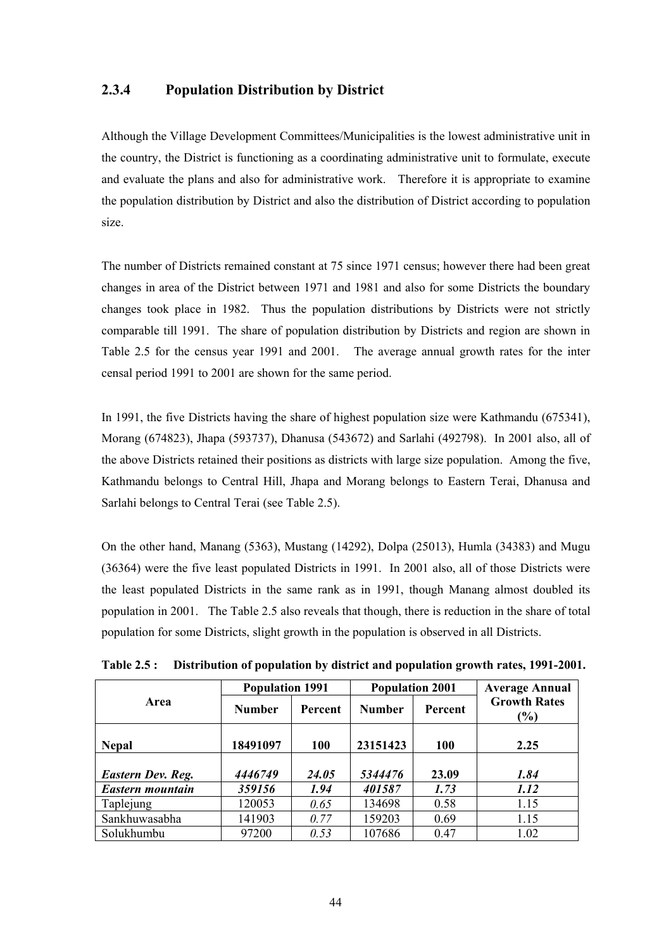# **2.3.4 Population Distribution by District**

Although the Village Development Committees/Municipalities is the lowest administrative unit in the country, the District is functioning as a coordinating administrative unit to formulate, execute and evaluate the plans and also for administrative work. Therefore it is appropriate to examine the population distribution by District and also the distribution of District according to population size.

The number of Districts remained constant at 75 since 1971 census; however there had been great changes in area of the District between 1971 and 1981 and also for some Districts the boundary changes took place in 1982. Thus the population distributions by Districts were not strictly comparable till 1991. The share of population distribution by Districts and region are shown in Table 2.5 for the census year 1991 and 2001. The average annual growth rates for the inter censal period 1991 to 2001 are shown for the same period.

In 1991, the five Districts having the share of highest population size were Kathmandu (675341), Morang (674823), Jhapa (593737), Dhanusa (543672) and Sarlahi (492798). In 2001 also, all of the above Districts retained their positions as districts with large size population. Among the five, Kathmandu belongs to Central Hill, Jhapa and Morang belongs to Eastern Terai, Dhanusa and Sarlahi belongs to Central Terai (see Table 2.5).

On the other hand, Manang (5363), Mustang (14292), Dolpa (25013), Humla (34383) and Mugu (36364) were the five least populated Districts in 1991. In 2001 also, all of those Districts were the least populated Districts in the same rank as in 1991, though Manang almost doubled its population in 2001. The Table 2.5 also reveals that though, there is reduction in the share of total population for some Districts, slight growth in the population is observed in all Districts.

|                          | <b>Population 1991</b> |                | <b>Population 2001</b> |                | <b>Average Annual</b>      |  |  |
|--------------------------|------------------------|----------------|------------------------|----------------|----------------------------|--|--|
| Area                     | <b>Number</b>          | <b>Percent</b> | <b>Number</b>          | <b>Percent</b> | <b>Growth Rates</b><br>(%) |  |  |
| <b>Nepal</b>             | 18491097               | 100            | 23151423               | <b>100</b>     | 2.25                       |  |  |
| <b>Eastern Dev. Reg.</b> | 4446749                | 24.05          | 5344476                | 23.09          | 1.84                       |  |  |
| Eastern mountain         | 359156                 | 1.94           | 401587                 | 1.73           | 1.12                       |  |  |
| Taplejung                | 120053                 | 0.65           | 134698                 | 0.58           | 1.15                       |  |  |
| Sankhuwasabha            | 141903                 | 0.77           | 159203                 | 0.69           | 1.15                       |  |  |
| Solukhumbu               | 97200                  | 0.53           | 107686                 | 0.47           | 1.02                       |  |  |

**Table 2.5 : Distribution of population by district and population growth rates, 1991-2001.**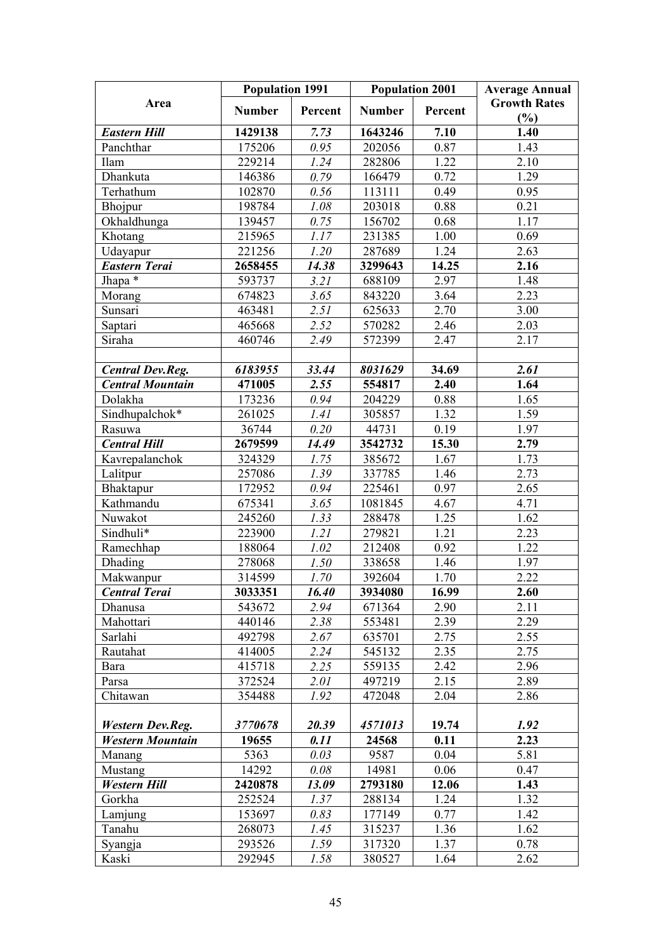|                         | <b>Population 1991</b> |             | <b>Population 2001</b> |         | <b>Average Annual</b>      |  |  |  |
|-------------------------|------------------------|-------------|------------------------|---------|----------------------------|--|--|--|
| Area                    | <b>Number</b>          | Percent     | <b>Number</b>          | Percent | <b>Growth Rates</b><br>(%) |  |  |  |
| <b>Eastern Hill</b>     | 1429138                | 7.73        | 1643246                | 7.10    | 1.40                       |  |  |  |
| Panchthar               | 175206                 | 0.95        | 202056                 | 0.87    | 1.43                       |  |  |  |
| Ilam                    | 229214                 | 1.24        | 282806                 | 1.22    | 2.10                       |  |  |  |
| Dhankuta                | 146386                 | 0.79        | 166479                 | 0.72    | 1.29                       |  |  |  |
| Terhathum               | 102870                 | 0.56        | 113111                 | 0.49    | 0.95                       |  |  |  |
| Bhojpur                 | 198784                 | 1.08        | 203018                 | 0.88    | 0.21                       |  |  |  |
| Okhaldhunga             | 139457                 | 0.75        | 156702                 | 0.68    | 1.17                       |  |  |  |
| Khotang                 | 215965                 | 1.17        | 231385                 | 1.00    | 0.69                       |  |  |  |
| Udayapur                | 221256                 | 1.20        | 287689                 | 1.24    | 2.63                       |  |  |  |
| <b>Eastern Terai</b>    | 2658455                | 14.38       | 3299643                | 14.25   | 2.16                       |  |  |  |
| Jhapa *                 | 593737                 | 3.21        | 688109                 | 2.97    | 1.48                       |  |  |  |
| Morang                  | 674823                 | 3.65        | 843220                 | 3.64    | 2.23                       |  |  |  |
| Sunsari                 | 463481                 | 2.51        | 625633                 | 2.70    | 3.00                       |  |  |  |
| Saptari                 | 465668                 | 2.52        | 570282                 | 2.46    | 2.03                       |  |  |  |
| Siraha                  | 460746                 | 2.49        | 572399                 | 2.47    | 2.17                       |  |  |  |
| <b>Central Dev.Reg.</b> | 6183955                | 33.44       | 8031629                | 34.69   | 2.61                       |  |  |  |
| <b>Central Mountain</b> | 471005                 | 2.55        | 554817                 | 2.40    | 1.64                       |  |  |  |
| Dolakha                 | 173236                 | 0.94        | 204229                 | 0.88    | 1.65                       |  |  |  |
| Sindhupalchok*          | 261025                 | <i>1.41</i> | 305857                 | 1.32    | 1.59                       |  |  |  |
| Rasuwa                  | 36744                  | 0.20        | 44731                  | 0.19    | 1.97                       |  |  |  |
| <b>Central Hill</b>     | 2679599                | 14.49       | 3542732                | 15.30   | 2.79                       |  |  |  |
| Kavrepalanchok          | 324329                 | 1.75        | 385672                 | 1.67    | 1.73                       |  |  |  |
| Lalitpur                | 257086                 | 1.39        | 337785                 | 1.46    | 2.73                       |  |  |  |
| Bhaktapur               | 172952                 | 0.94        | 225461                 | 0.97    | 2.65                       |  |  |  |
| Kathmandu               | 675341                 | 3.65        | 1081845                | 4.67    | 4.71                       |  |  |  |
| Nuwakot                 | 245260                 | 1.33        | 288478                 | 1.25    | 1.62                       |  |  |  |
| Sindhuli*               | 223900                 | 1.21        | 279821                 | 1.21    | 2.23                       |  |  |  |
| Ramechhap               | 188064                 | 1.02        | 212408                 | 0.92    | 1.22                       |  |  |  |
| Dhading                 | 278068                 | 1.50        | 338658                 | 1.46    | 1.97                       |  |  |  |
| Makwanpur               | 314599                 | 1.70        | 392604                 | 1.70    | 2.22                       |  |  |  |
| <b>Central Terai</b>    | 3033351                | 16.40       | 3934080                | 16.99   | 2.60                       |  |  |  |
| Dhanusa                 | 543672                 | 2.94        | 671364                 | 2.90    | 2.11                       |  |  |  |
| Mahottari               | 440146                 | 2.38        | 553481                 | 2.39    | 2.29                       |  |  |  |
| Sarlahi                 | 492798                 | 2.67        | 635701                 | 2.75    | 2.55                       |  |  |  |
| Rautahat                | 414005                 | 2.24        | 545132                 | 2.35    | 2.75                       |  |  |  |
| Bara                    | 415718                 | 2.25        | 559135                 | 2.42    | 2.96                       |  |  |  |
| Parsa                   | 372524                 | 2.01        | 497219                 | 2.15    | 2.89                       |  |  |  |
| Chitawan                | 354488                 | 1.92        | 472048                 | 2.04    | 2.86                       |  |  |  |
| <b>Western Dev.Reg.</b> | 3770678                | 20.39       | 4571013                | 19.74   | 1.92                       |  |  |  |
| <b>Western Mountain</b> | 19655                  | 0.11        | 24568                  | 0.11    | 2.23                       |  |  |  |
| Manang                  | 5363                   | 0.03        | 9587                   | 0.04    | 5.81                       |  |  |  |
| Mustang                 | 14292                  | 0.08        | 14981                  | 0.06    | 0.47                       |  |  |  |
| <b>Western Hill</b>     | 2420878                | 13.09       | 2793180                | 12.06   | 1.43                       |  |  |  |
| Gorkha                  | 252524                 | 1.37        | 288134                 | 1.24    | 1.32                       |  |  |  |
| Lamjung                 | 153697                 | 0.83        | 177149                 | 0.77    | 1.42                       |  |  |  |
| Tanahu                  | 268073                 | 1.45        | 315237                 | 1.36    | 1.62                       |  |  |  |
| Syangja                 | 293526                 | 1.59        | 317320                 | 1.37    | 0.78                       |  |  |  |
| Kaski                   | 292945                 | 1.58        | 380527                 | 1.64    | 2.62                       |  |  |  |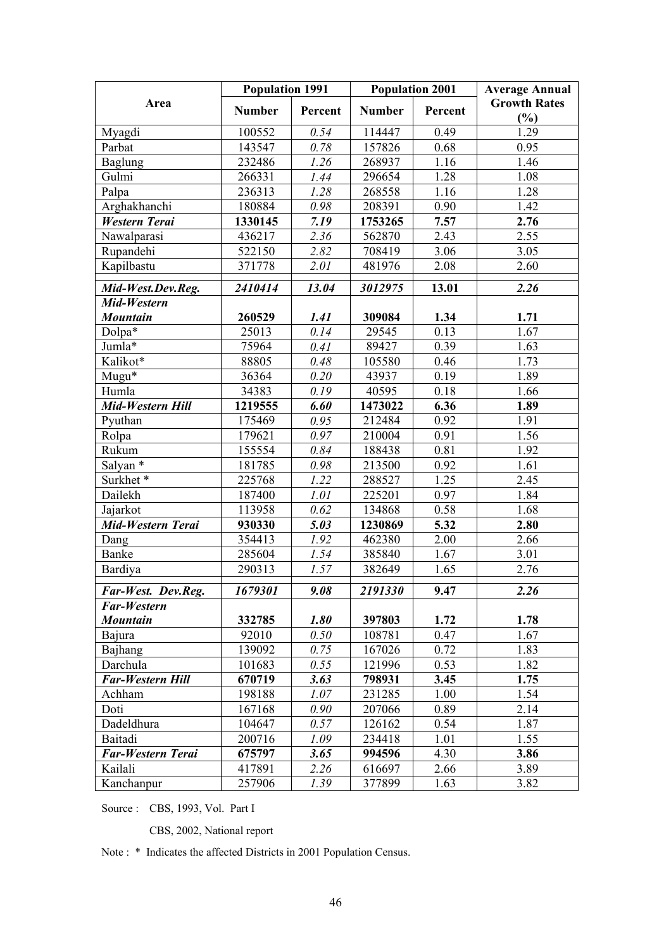|                          | <b>Population 1991</b> |         |               | <b>Population 2001</b> | <b>Average Annual</b> |
|--------------------------|------------------------|---------|---------------|------------------------|-----------------------|
| Area                     | <b>Number</b>          | Percent | <b>Number</b> | Percent                | <b>Growth Rates</b>   |
|                          |                        |         |               |                        | (%)                   |
| Myagdi                   | 100552                 | 0.54    | 114447        | 0.49                   | 1.29                  |
| Parbat                   | 143547                 | 0.78    | 157826        | 0.68                   | 0.95                  |
| <b>Baglung</b>           | 232486                 | 1.26    | 268937        | 1.16                   | 1.46                  |
| Gulmi                    | 266331                 | 1.44    | 296654        | 1.28                   | 1.08                  |
| Palpa                    | 236313                 | 1.28    | 268558        | 1.16                   | 1.28                  |
| Arghakhanchi             | 180884                 | 0.98    | 208391        | 0.90                   | 1.42                  |
| <b>Western Terai</b>     | 1330145                | 7.19    | 1753265       | 7.57                   | 2.76                  |
| Nawalparasi              | 436217                 | 2.36    | 562870        | 2.43                   | 2.55                  |
| Rupandehi                | 522150                 | 2.82    | 708419        | 3.06                   | 3.05                  |
| Kapilbastu               | 371778                 | 2.01    | 481976        | 2.08                   | 2.60                  |
| Mid-West.Dev.Reg.        | 2410414                | 13.04   | 3012975       | 13.01                  | 2.26                  |
| Mid-Western              |                        |         |               |                        |                       |
| <b>Mountain</b>          | 260529                 | 1.41    | 309084        | 1.34                   | 1.71                  |
| Dolpa*                   | 25013                  | 0.14    | 29545         | 0.13                   | 1.67                  |
| Jumla*                   | 75964                  | 0.41    | 89427         | 0.39                   | 1.63                  |
| Kalikot*                 | 88805                  | 0.48    | 105580        | 0.46                   | 1.73                  |
| $Mugu*$                  | 36364                  | 0.20    | 43937         | 0.19                   | 1.89                  |
| Humla                    | 34383                  | 0.19    | 40595         | 0.18                   | 1.66                  |
| Mid-Western Hill         | 1219555                | 6.60    | 1473022       | 6.36                   | 1.89                  |
| Pyuthan                  | 175469                 | 0.95    | 212484        | 0.92                   | 1.91                  |
| Rolpa                    | 179621                 | 0.97    | 210004        | 0.91                   | 1.56                  |
| Rukum                    | 155554                 | 0.84    | 188438        | 0.81                   | 1.92                  |
| Salyan *                 | 181785                 | 0.98    | 213500        | 0.92                   | 1.61                  |
| Surkhet*                 | 225768                 | 1.22    | 288527        | 1.25                   | 2.45                  |
| Dailekh                  | 187400                 | 1.01    | 225201        | 0.97                   | 1.84                  |
| Jajarkot                 | 113958                 | 0.62    | 134868        | 0.58                   | 1.68                  |
| Mid-Western Terai        | 930330                 | 5.03    | 1230869       | 5.32                   | 2.80                  |
| Dang                     | 354413                 | 1.92    | 462380        | 2.00                   | 2.66                  |
| Banke                    | 285604                 | 1.54    | 385840        | 1.67                   | 3.01                  |
| Bardiya                  | 290313                 | 1.57    | 382649        | 1.65                   | 2.76                  |
| Far-West. Dev.Reg.       | 1679301                | 9.08    | 2191330       | 9.47                   | 2.26                  |
| <b>Far-Western</b>       |                        |         |               |                        |                       |
| <b>Mountain</b>          | 332785                 | 1.80    | 397803        | 1.72                   | 1.78                  |
| Bajura                   | 92010                  | 0.50    | 108781        | 0.47                   | 1.67                  |
| Bajhang                  | 139092                 | 0.75    | 167026        | 0.72                   | 1.83                  |
| Darchula                 | 101683                 | 0.55    | 121996        | 0.53                   | 1.82                  |
| <b>Far-Western Hill</b>  | 670719                 | 3.63    | 798931        | 3.45                   | 1.75                  |
| Achham                   | 198188                 | 1.07    | 231285        | 1.00                   | 1.54                  |
| Doti                     | 167168                 | 0.90    | 207066        | 0.89                   | 2.14                  |
| Dadeldhura               | 104647                 | 0.57    | 126162        | 0.54                   | 1.87                  |
| Baitadi                  | 200716                 | 1.09    | 234418        | 1.01                   | 1.55                  |
| <b>Far-Western Terai</b> | 675797                 | 3.65    | 994596        | 4.30                   | 3.86                  |
| Kailali                  | 417891                 | 2.26    | 616697        | 2.66                   | 3.89                  |
| Kanchanpur               | 257906                 | 1.39    | 377899        | 1.63                   | 3.82                  |

Source : CBS, 1993, Vol. Part I

CBS, 2002, National report

Note : \* Indicates the affected Districts in 2001 Population Census.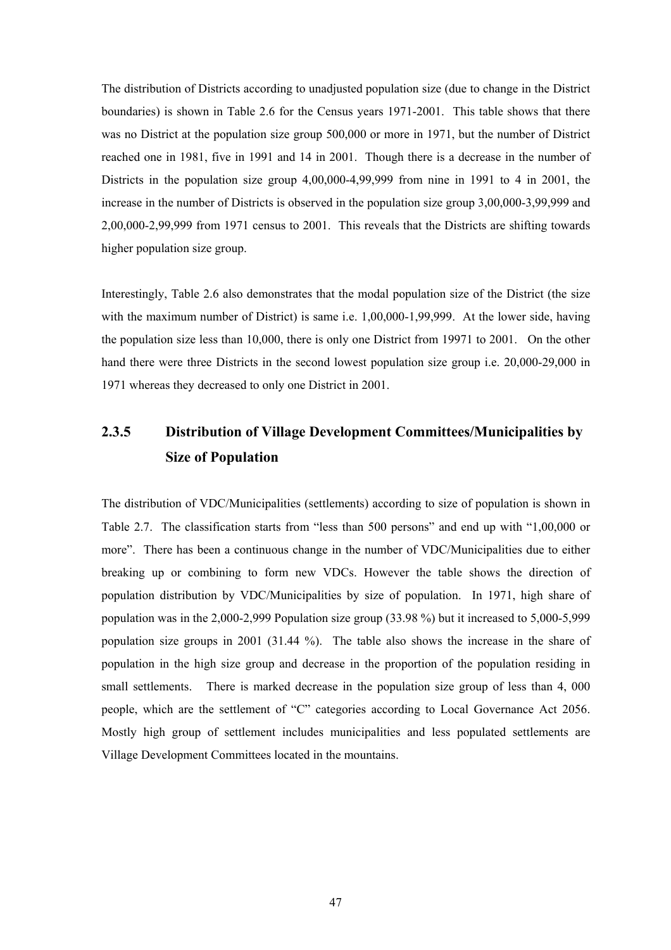The distribution of Districts according to unadjusted population size (due to change in the District boundaries) is shown in Table 2.6 for the Census years 1971-2001. This table shows that there was no District at the population size group 500,000 or more in 1971, but the number of District reached one in 1981, five in 1991 and 14 in 2001. Though there is a decrease in the number of Districts in the population size group 4,00,000-4,99,999 from nine in 1991 to 4 in 2001, the increase in the number of Districts is observed in the population size group 3,00,000-3,99,999 and 2,00,000-2,99,999 from 1971 census to 2001. This reveals that the Districts are shifting towards higher population size group.

Interestingly, Table 2.6 also demonstrates that the modal population size of the District (the size with the maximum number of District) is same i.e. 1,00,000-1,99,999. At the lower side, having the population size less than 10,000, there is only one District from 19971 to 2001. On the other hand there were three Districts in the second lowest population size group i.e. 20,000-29,000 in 1971 whereas they decreased to only one District in 2001.

# **2.3.5 Distribution of Village Development Committees/Municipalities by Size of Population**

The distribution of VDC/Municipalities (settlements) according to size of population is shown in Table 2.7. The classification starts from "less than 500 persons" and end up with "1,00,000 or more". There has been a continuous change in the number of VDC/Municipalities due to either breaking up or combining to form new VDCs. However the table shows the direction of population distribution by VDC/Municipalities by size of population. In 1971, high share of population was in the 2,000-2,999 Population size group (33.98 %) but it increased to 5,000-5,999 population size groups in 2001 (31.44 %). The table also shows the increase in the share of population in the high size group and decrease in the proportion of the population residing in small settlements. There is marked decrease in the population size group of less than 4, 000 people, which are the settlement of "C" categories according to Local Governance Act 2056. Mostly high group of settlement includes municipalities and less populated settlements are Village Development Committees located in the mountains.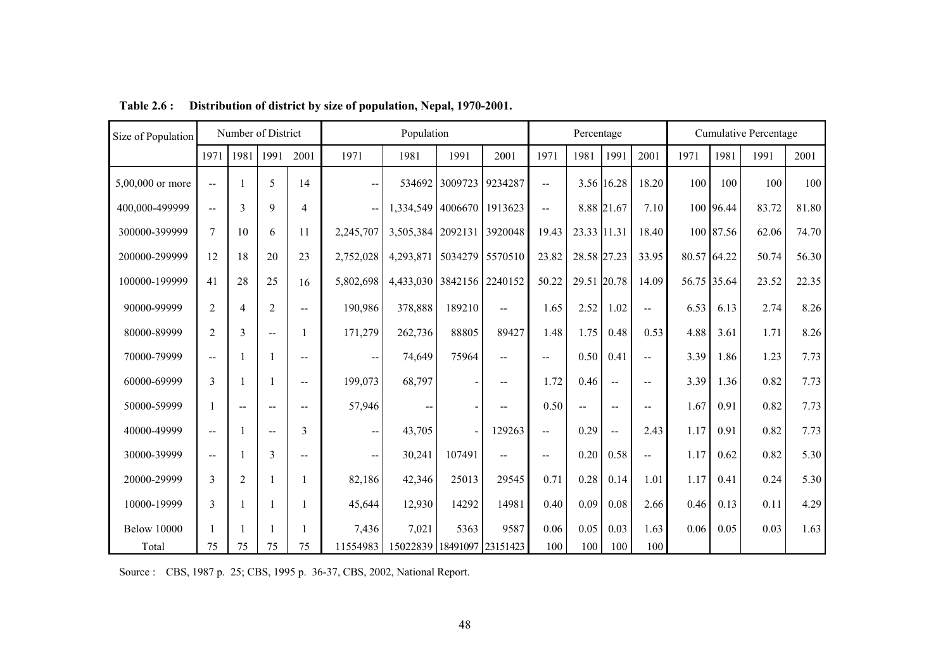| Size of Population |                          | Number of District |                |                |                                       | Population                 |         |                          |                          | Percentage     |                          |                          |             |           | <b>Cumulative Percentage</b> |       |
|--------------------|--------------------------|--------------------|----------------|----------------|---------------------------------------|----------------------------|---------|--------------------------|--------------------------|----------------|--------------------------|--------------------------|-------------|-----------|------------------------------|-------|
|                    | 1971                     | 1981               | 1991           | 2001           | 1971                                  | 1981                       | 1991    | 2001                     | 1971                     | 1981           | 1991                     | 2001                     | 1971        | 1981      | 1991                         | 2001  |
| 5,00,000 or more   | $\overline{\phantom{a}}$ |                    | 5              | 14             | $-$                                   | 534692                     | 3009723 | 9234287                  | $\overline{\phantom{a}}$ |                | 3.56 16.28               | 18.20                    | 100         | 100       | 100                          | 100   |
| 400,000-499999     | $\overline{a}$           | 3                  | 9              | $\overline{4}$ |                                       | 1,334,549 4006670          |         | 1913623                  | $\overline{\phantom{a}}$ |                | 8.88 21.67               | 7.10                     |             | 100 96.44 | 83.72                        | 81.80 |
| 300000-399999      | $\overline{7}$           | 10                 | 6              | 11             | 2,245,707                             | 3,505,384 2092131          |         | 3920048                  | 19.43                    | 23.33 11.31    |                          | 18.40                    |             | 100 87.56 | 62.06                        | 74.70 |
| 200000-299999      | 12                       | 18                 | 20             | 23             | 2,752,028                             | 4,293,871                  |         | 5034279 5570510          | 23.82                    | 28.58 27.23    |                          | 33.95                    | 80.57 64.22 |           | 50.74                        | 56.30 |
| 100000-199999      | 41                       | 28                 | 25             | 16             | 5,802,698                             | 4,433,030 3842156 2240152  |         |                          | 50.22                    | 29.51 20.78    |                          | 14.09                    | 56.75 35.64 |           | 23.52                        | 22.35 |
| 90000-99999        | $\overline{2}$           | 4                  | $\overline{2}$ | $\overline{a}$ | 190,986                               | 378,888                    | 189210  | $\overline{a}$           | 1.65                     | 2.52           | 1.02                     | $\overline{a}$           | 6.53        | 6.13      | 2.74                         | 8.26  |
| 80000-89999        | 2                        | 3                  | $\overline{a}$ |                | 171,279                               | 262,736                    | 88805   | 89427                    | 1.48                     | 1.75           | 0.48                     | 0.53                     | 4.88        | 3.61      | 1.71                         | 8.26  |
| 70000-79999        | $\overline{\phantom{a}}$ |                    |                | $- -$          | $\overline{\phantom{m}}$              | 74,649                     | 75964   | $\overline{a}$           | $- -$                    | 0.50           | 0.41                     | $\overline{a}$           | 3.39        | 1.86      | 1.23                         | 7.73  |
| 60000-69999        | 3                        |                    |                | $- -$          | 199,073                               | 68,797                     |         | $-$                      | 1.72                     | 0.46           | $\overline{\phantom{a}}$ | $\overline{\phantom{a}}$ | 3.39        | 1.36      | 0.82                         | 7.73  |
| 50000-59999        |                          | $-$                | $-$            | --             | 57,946                                | --                         |         | $\overline{a}$           | 0.50                     | $\overline{a}$ | $- -$                    | $-$                      | 1.67        | 0.91      | 0.82                         | 7.73  |
| 40000-49999        | $\overline{\phantom{a}}$ |                    | $\overline{a}$ | 3              | $\overline{\phantom{a}}$              | 43,705                     |         | 129263                   | $\overline{\phantom{a}}$ | 0.29           | $\mathbf{u}$             | 2.43                     | 1.17        | 0.91      | 0.82                         | 7.73  |
| 30000-39999        | $\overline{\phantom{a}}$ |                    | 3              | $-$            | $\hspace{0.05cm}$ – $\hspace{0.05cm}$ | 30,241                     | 107491  | $\overline{\phantom{a}}$ | $\overline{\phantom{a}}$ | 0.20           | 0.58                     | $\overline{\phantom{a}}$ | 1.17        | 0.62      | 0.82                         | 5.30  |
| 20000-29999        | 3                        | $\overline{2}$     |                |                | 82,186                                | 42,346                     | 25013   | 29545                    | 0.71                     | 0.28           | 0.14                     | 1.01                     | 1.17        | 0.41      | 0.24                         | 5.30  |
| 10000-19999        | 3                        |                    |                |                | 45,644                                | 12,930                     | 14292   | 14981                    | 0.40                     | 0.09           | 0.08                     | 2.66                     | 0.46        | 0.13      | 0.11                         | 4.29  |
| <b>Below 10000</b> |                          |                    |                |                | 7,436                                 | 7,021                      | 5363    | 9587                     | 0.06                     | 0.05           | 0.03                     | 1.63                     | 0.06        | 0.05      | 0.03                         | 1.63  |
| Total              | 75                       | 75                 | 75             | 75             | 11554983                              | 15022839 18491097 23151423 |         |                          | 100                      | 100            | 100                      | 100                      |             |           |                              |       |

**Table 2.6 : Distribution of district by size of population, Nepal, 1970-2001.** 

Source : CBS, 1987 p. 25; CBS, 1995 p. 36-37, CBS, 2002, National Report.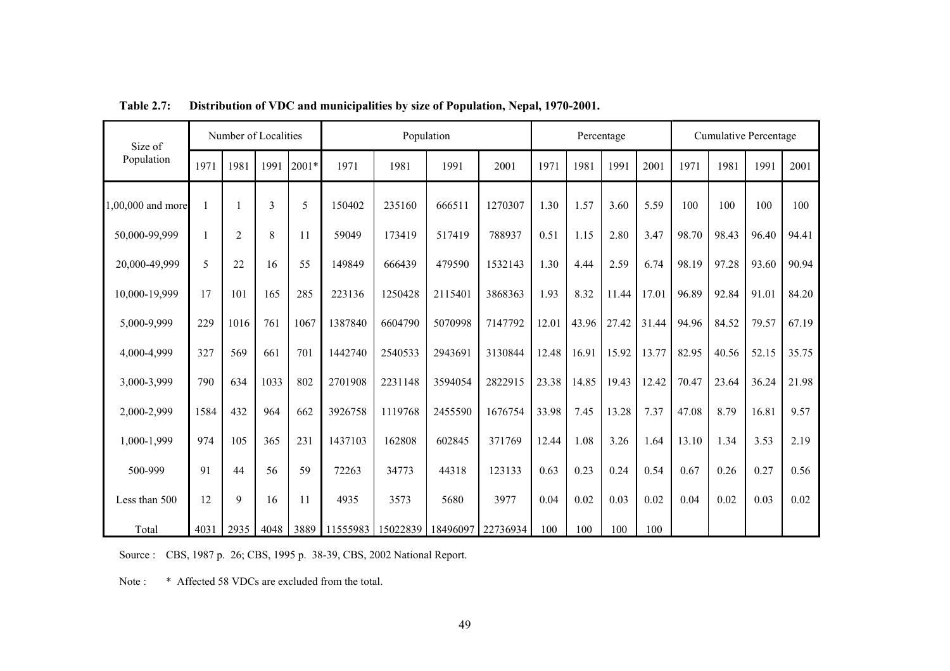| Number of Localities<br>Size of |      |                | Population |       |          | Percentage |          |          | <b>Cumulative Percentage</b> |       |       |       |       |       |       |       |
|---------------------------------|------|----------------|------------|-------|----------|------------|----------|----------|------------------------------|-------|-------|-------|-------|-------|-------|-------|
| Population                      | 1971 | 1981           | 1991       | 2001* | 1971     | 1981       | 1991     | 2001     | 1971                         | 1981  | 1991  | 2001  | 1971  | 1981  | 1991  | 2001  |
| 1,00,000 and more               |      |                | 3          | 5     | 150402   | 235160     | 666511   | 1270307  | 1.30                         | 1.57  | 3.60  | 5.59  | 100   | 100   | 100   | 100   |
| 50,000-99,999                   |      | $\overline{2}$ | 8          | 11    | 59049    | 173419     | 517419   | 788937   | 0.51                         | 1.15  | 2.80  | 3.47  | 98.70 | 98.43 | 96.40 | 94.41 |
| 20,000-49,999                   | 5    | 22             | 16         | 55    | 149849   | 666439     | 479590   | 1532143  | 1.30                         | 4.44  | 2.59  | 6.74  | 98.19 | 97.28 | 93.60 | 90.94 |
| 10,000-19,999                   | 17   | 101            | 165        | 285   | 223136   | 1250428    | 2115401  | 3868363  | 1.93                         | 8.32  | 11.44 | 17.01 | 96.89 | 92.84 | 91.01 | 84.20 |
| 5,000-9,999                     | 229  | 1016           | 761        | 1067  | 1387840  | 6604790    | 5070998  | 7147792  | 12.01                        | 43.96 | 27.42 | 31.44 | 94.96 | 84.52 | 79.57 | 67.19 |
| 4,000-4,999                     | 327  | 569            | 661        | 701   | 1442740  | 2540533    | 2943691  | 3130844  | 12.48                        | 16.91 | 15.92 | 13.77 | 82.95 | 40.56 | 52.15 | 35.75 |
| 3,000-3,999                     | 790  | 634            | 1033       | 802   | 2701908  | 2231148    | 3594054  | 2822915  | 23.38                        | 14.85 | 19.43 | 12.42 | 70.47 | 23.64 | 36.24 | 21.98 |
| 2,000-2,999                     | 1584 | 432            | 964        | 662   | 3926758  | 1119768    | 2455590  | 1676754  | 33.98                        | 7.45  | 13.28 | 7.37  | 47.08 | 8.79  | 16.81 | 9.57  |
| 1,000-1,999                     | 974  | 105            | 365        | 231   | 1437103  | 162808     | 602845   | 371769   | 12.44                        | 1.08  | 3.26  | 1.64  | 13.10 | 1.34  | 3.53  | 2.19  |
| 500-999                         | 91   | 44             | 56         | 59    | 72263    | 34773      | 44318    | 123133   | 0.63                         | 0.23  | 0.24  | 0.54  | 0.67  | 0.26  | 0.27  | 0.56  |
| Less than 500                   | 12   | 9              | 16         | 11    | 4935     | 3573       | 5680     | 3977     | 0.04                         | 0.02  | 0.03  | 0.02  | 0.04  | 0.02  | 0.03  | 0.02  |
| Total                           | 4031 | 2935           | 4048       | 3889  | 11555983 | 15022839   | 18496097 | 22736934 | 100                          | 100   | 100   | 100   |       |       |       |       |

**Table 2.7: Distribution of VDC and municipalities by size of Population, Nepal, 1970-2001.** 

Source : CBS, 1987 p. 26; CBS, 1995 p. 38-39, CBS, 2002 National Report.

Note : \* Affected 58 VDCs are excluded from the total.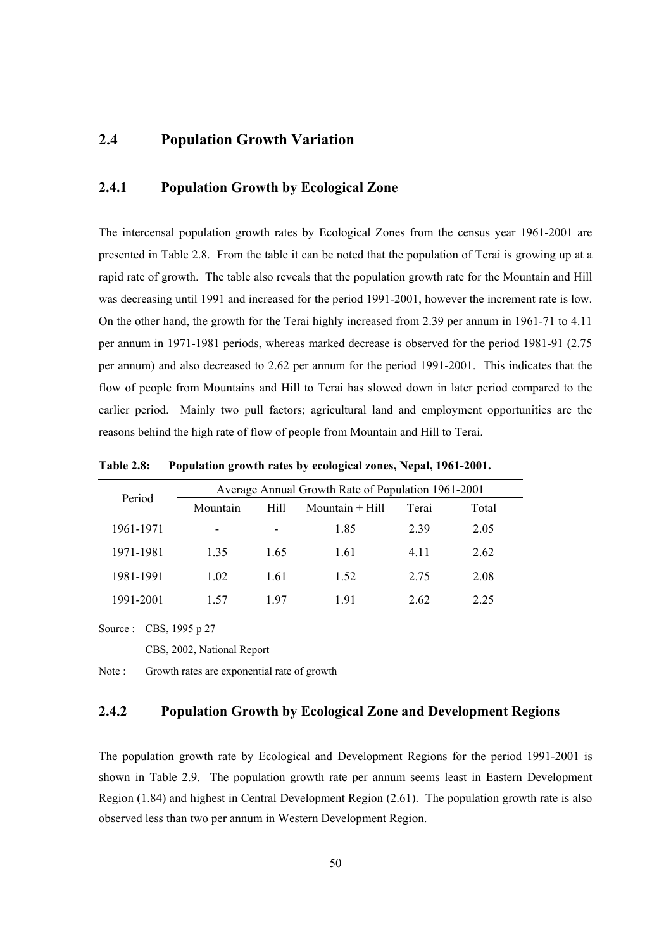# **2.4 Population Growth Variation**

### **2.4.1 Population Growth by Ecological Zone**

The intercensal population growth rates by Ecological Zones from the census year 1961-2001 are presented in Table 2.8. From the table it can be noted that the population of Terai is growing up at a rapid rate of growth. The table also reveals that the population growth rate for the Mountain and Hill was decreasing until 1991 and increased for the period 1991-2001, however the increment rate is low. On the other hand, the growth for the Terai highly increased from 2.39 per annum in 1961-71 to 4.11 per annum in 1971-1981 periods, whereas marked decrease is observed for the period 1981-91 (2.75 per annum) and also decreased to 2.62 per annum for the period 1991-2001. This indicates that the flow of people from Mountains and Hill to Terai has slowed down in later period compared to the earlier period. Mainly two pull factors; agricultural land and employment opportunities are the reasons behind the high rate of flow of people from Mountain and Hill to Terai.

|           | Average Annual Growth Rate of Population 1961-2001 |      |      |       |       |  |  |  |  |
|-----------|----------------------------------------------------|------|------|-------|-------|--|--|--|--|
| Period    | Hill<br>Mountain $+$ Hill<br>Mountain              |      |      | Terai | Total |  |  |  |  |
| 1961-1971 | $\overline{\phantom{0}}$                           | -    | 1.85 | 2.39  | 2.05  |  |  |  |  |
| 1971-1981 | 1 35                                               | 1.65 | 1.61 | 4 1 1 | 2.62  |  |  |  |  |
| 1981-1991 | 1.02                                               | 1.61 | 1.52 | 2.75  | 2.08  |  |  |  |  |
| 1991-2001 | 157                                                | 197  | 191  | 2.62  | 2.25  |  |  |  |  |

**Table 2.8: Population growth rates by ecological zones, Nepal, 1961-2001.** 

Source : CBS, 1995 p 27

CBS, 2002, National Report

Note : Growth rates are exponential rate of growth

## **2.4.2 Population Growth by Ecological Zone and Development Regions**

The population growth rate by Ecological and Development Regions for the period 1991-2001 is shown in Table 2.9. The population growth rate per annum seems least in Eastern Development Region (1.84) and highest in Central Development Region (2.61). The population growth rate is also observed less than two per annum in Western Development Region.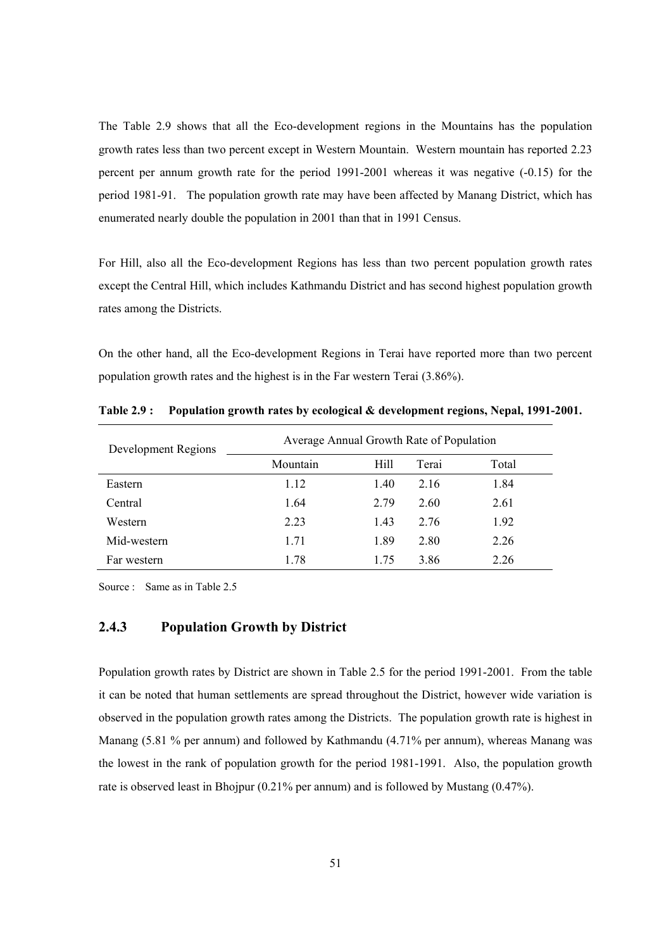The Table 2.9 shows that all the Eco-development regions in the Mountains has the population growth rates less than two percent except in Western Mountain. Western mountain has reported 2.23 percent per annum growth rate for the period 1991-2001 whereas it was negative (-0.15) for the period 1981-91. The population growth rate may have been affected by Manang District, which has enumerated nearly double the population in 2001 than that in 1991 Census.

For Hill, also all the Eco-development Regions has less than two percent population growth rates except the Central Hill, which includes Kathmandu District and has second highest population growth rates among the Districts.

On the other hand, all the Eco-development Regions in Terai have reported more than two percent population growth rates and the highest is in the Far western Terai (3.86%).

| Development Regions | Average Annual Growth Rate of Population |      |       |       |  |  |  |
|---------------------|------------------------------------------|------|-------|-------|--|--|--|
|                     | Mountain                                 | Hill | Terai | Total |  |  |  |
| Eastern             | 1.12                                     | 1.40 | 2.16  | 1.84  |  |  |  |
| Central             | 1.64                                     | 2.79 | 2.60  | 2.61  |  |  |  |
| Western             | 2.23                                     | 1.43 | 2.76  | 1.92  |  |  |  |
| Mid-western         | 1.71                                     | 1.89 | 2.80  | 2.26  |  |  |  |
| Far western         | 1.78                                     | 1 75 | 3.86  | 2.26  |  |  |  |

**Table 2.9 : Population growth rates by ecological & development regions, Nepal, 1991-2001.** 

Source : Same as in Table 2.5

#### **2.4.3 Population Growth by District**

Population growth rates by District are shown in Table 2.5 for the period 1991-2001. From the table it can be noted that human settlements are spread throughout the District, however wide variation is observed in the population growth rates among the Districts. The population growth rate is highest in Manang (5.81 % per annum) and followed by Kathmandu (4.71% per annum), whereas Manang was the lowest in the rank of population growth for the period 1981-1991. Also, the population growth rate is observed least in Bhojpur (0.21% per annum) and is followed by Mustang (0.47%).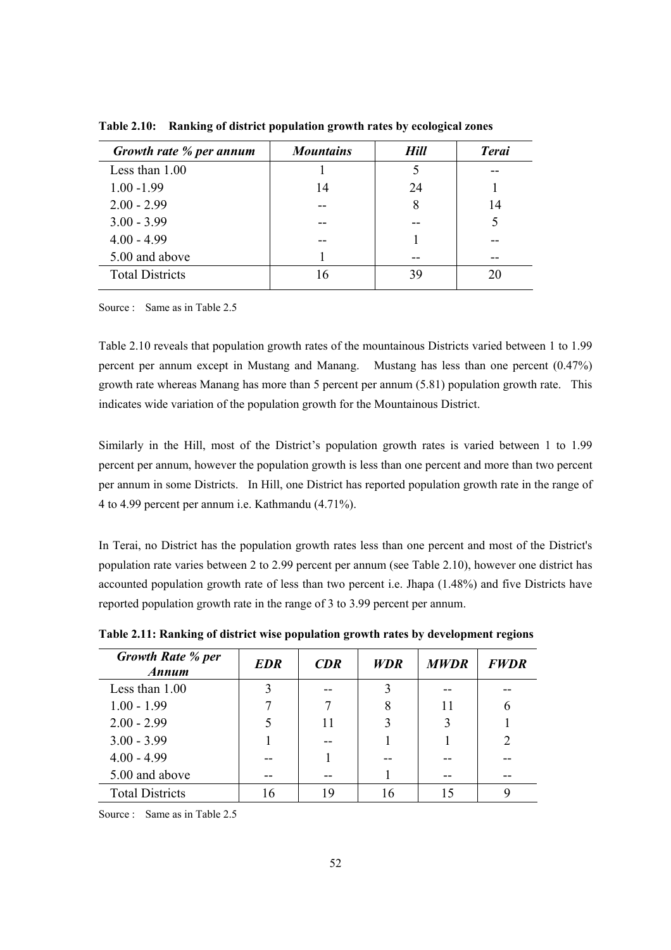| Growth rate % per annum | <b>Mountains</b> | Hill | <b>Terai</b> |
|-------------------------|------------------|------|--------------|
| Less than $1.00$        |                  |      |              |
| $1.00 - 1.99$           | 14               | 24   |              |
| $2.00 - 2.99$           |                  | 8    | 14           |
| $3.00 - 3.99$           |                  |      | 5            |
| $4.00 - 4.99$           |                  |      |              |
| 5.00 and above          |                  |      |              |
| <b>Total Districts</b>  | 16               | 39   | 20           |
|                         |                  |      |              |

**Table 2.10: Ranking of district population growth rates by ecological zones** 

Source : Same as in Table 2.5

Table 2.10 reveals that population growth rates of the mountainous Districts varied between 1 to 1.99 percent per annum except in Mustang and Manang. Mustang has less than one percent (0.47%) growth rate whereas Manang has more than 5 percent per annum (5.81) population growth rate. This indicates wide variation of the population growth for the Mountainous District.

Similarly in the Hill, most of the District's population growth rates is varied between 1 to 1.99 percent per annum, however the population growth is less than one percent and more than two percent per annum in some Districts. In Hill, one District has reported population growth rate in the range of 4 to 4.99 percent per annum i.e. Kathmandu (4.71%).

In Terai, no District has the population growth rates less than one percent and most of the District's population rate varies between 2 to 2.99 percent per annum (see Table 2.10), however one district has accounted population growth rate of less than two percent i.e. Jhapa (1.48%) and five Districts have reported population growth rate in the range of 3 to 3.99 percent per annum.

| <b>Growth Rate % per</b><br>Annum | <b>EDR</b> | CDR | <b>WDR</b> | <b>MWDR</b> | <b>FWDR</b>                   |
|-----------------------------------|------------|-----|------------|-------------|-------------------------------|
| Less than $1.00$                  | 3          |     |            |             |                               |
| $1.00 - 1.99$                     |            |     |            |             |                               |
| $2.00 - 2.99$                     |            | 11  |            | 3           |                               |
| $3.00 - 3.99$                     |            |     |            |             | $\mathfrak{D}_{\mathfrak{p}}$ |
| $4.00 - 4.99$                     |            |     |            |             |                               |
| 5.00 and above                    |            |     |            |             |                               |
| <b>Total Districts</b>            | 16         | 19  | 16         |             |                               |

**Table 2.11: Ranking of district wise population growth rates by development regions** 

Source : Same as in Table 2.5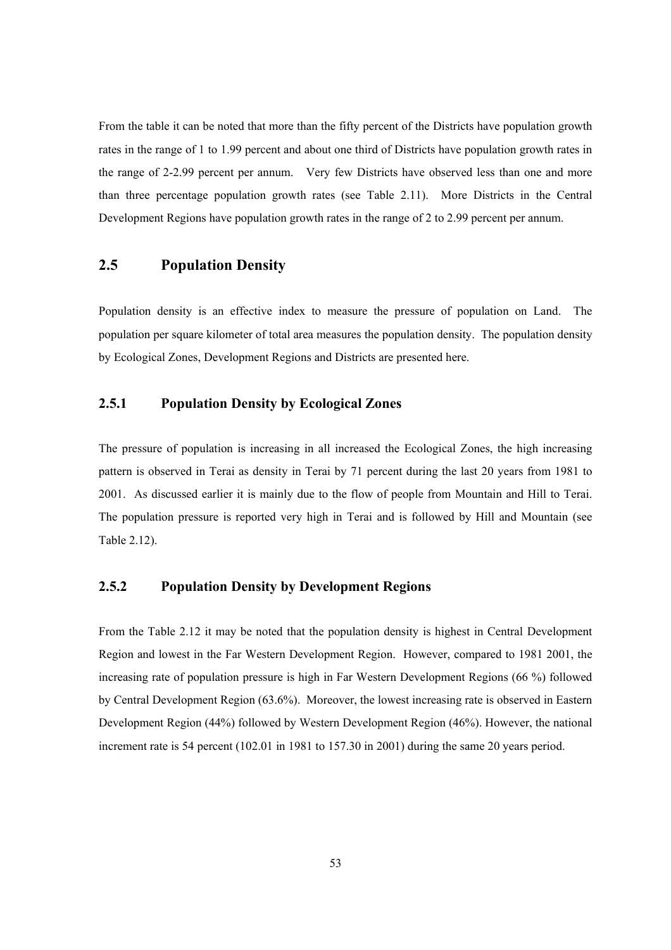From the table it can be noted that more than the fifty percent of the Districts have population growth rates in the range of 1 to 1.99 percent and about one third of Districts have population growth rates in the range of 2-2.99 percent per annum. Very few Districts have observed less than one and more than three percentage population growth rates (see Table 2.11). More Districts in the Central Development Regions have population growth rates in the range of 2 to 2.99 percent per annum.

# **2.5 Population Density**

Population density is an effective index to measure the pressure of population on Land. The population per square kilometer of total area measures the population density. The population density by Ecological Zones, Development Regions and Districts are presented here.

## **2.5.1 Population Density by Ecological Zones**

The pressure of population is increasing in all increased the Ecological Zones, the high increasing pattern is observed in Terai as density in Terai by 71 percent during the last 20 years from 1981 to 2001. As discussed earlier it is mainly due to the flow of people from Mountain and Hill to Terai. The population pressure is reported very high in Terai and is followed by Hill and Mountain (see Table 2.12).

### **2.5.2 Population Density by Development Regions**

From the Table 2.12 it may be noted that the population density is highest in Central Development Region and lowest in the Far Western Development Region. However, compared to 1981 2001, the increasing rate of population pressure is high in Far Western Development Regions (66 %) followed by Central Development Region (63.6%). Moreover, the lowest increasing rate is observed in Eastern Development Region (44%) followed by Western Development Region (46%). However, the national increment rate is 54 percent (102.01 in 1981 to 157.30 in 2001) during the same 20 years period.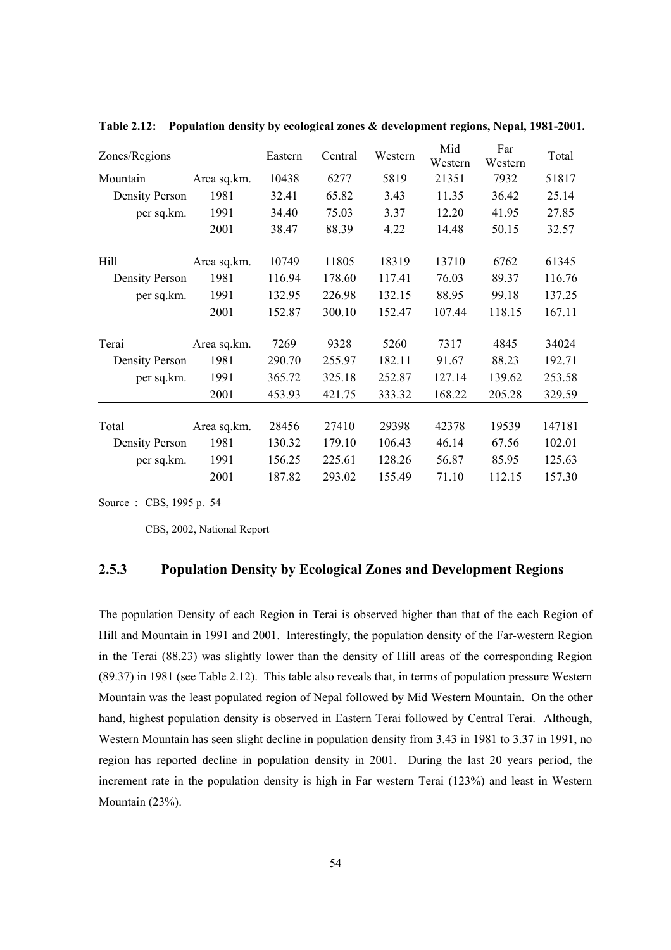| Zones/Regions         |             | Eastern | Central | Western | Mid              | Far             | Total  |
|-----------------------|-------------|---------|---------|---------|------------------|-----------------|--------|
|                       |             | 10438   | 6277    | 5819    | Western<br>21351 | Western<br>7932 | 51817  |
| Mountain              | Area sq.km. |         |         |         |                  |                 |        |
| <b>Density Person</b> | 1981        | 32.41   | 65.82   | 3.43    | 11.35            | 36.42           | 25.14  |
| per sq.km.            | 1991        | 34.40   | 75.03   | 3.37    | 12.20            | 41.95           | 27.85  |
|                       | 2001        | 38.47   | 88.39   | 4.22    | 14.48            | 50.15           | 32.57  |
|                       |             |         |         |         |                  |                 |        |
| Hill                  | Area sq.km. | 10749   | 11805   | 18319   | 13710            | 6762            | 61345  |
| <b>Density Person</b> | 1981        | 116.94  | 178.60  | 117.41  | 76.03            | 89.37           | 116.76 |
| per sq.km.            | 1991        | 132.95  | 226.98  | 132.15  | 88.95            | 99.18           | 137.25 |
|                       | 2001        | 152.87  | 300.10  | 152.47  | 107.44           | 118.15          | 167.11 |
|                       |             |         |         |         |                  |                 |        |
| Terai                 | Area sq.km. | 7269    | 9328    | 5260    | 7317             | 4845            | 34024  |
| <b>Density Person</b> | 1981        | 290.70  | 255.97  | 182.11  | 91.67            | 88.23           | 192.71 |
| per sq.km.            | 1991        | 365.72  | 325.18  | 252.87  | 127.14           | 139.62          | 253.58 |
|                       | 2001        | 453.93  | 421.75  | 333.32  | 168.22           | 205.28          | 329.59 |
|                       |             |         |         |         |                  |                 |        |
| Total                 | Area sq.km. | 28456   | 27410   | 29398   | 42378            | 19539           | 147181 |
| <b>Density Person</b> | 1981        | 130.32  | 179.10  | 106.43  | 46.14            | 67.56           | 102.01 |
| per sq.km.            | 1991        | 156.25  | 225.61  | 128.26  | 56.87            | 85.95           | 125.63 |
|                       | 2001        | 187.82  | 293.02  | 155.49  | 71.10            | 112.15          | 157.30 |

**Table 2.12: Population density by ecological zones & development regions, Nepal, 1981-2001.** 

Source : CBS, 1995 p. 54

CBS, 2002, National Report

#### **2.5.3 Population Density by Ecological Zones and Development Regions**

The population Density of each Region in Terai is observed higher than that of the each Region of Hill and Mountain in 1991 and 2001. Interestingly, the population density of the Far-western Region in the Terai (88.23) was slightly lower than the density of Hill areas of the corresponding Region (89.37) in 1981 (see Table 2.12). This table also reveals that, in terms of population pressure Western Mountain was the least populated region of Nepal followed by Mid Western Mountain. On the other hand, highest population density is observed in Eastern Terai followed by Central Terai. Although, Western Mountain has seen slight decline in population density from 3.43 in 1981 to 3.37 in 1991, no region has reported decline in population density in 2001. During the last 20 years period, the increment rate in the population density is high in Far western Terai (123%) and least in Western Mountain (23%).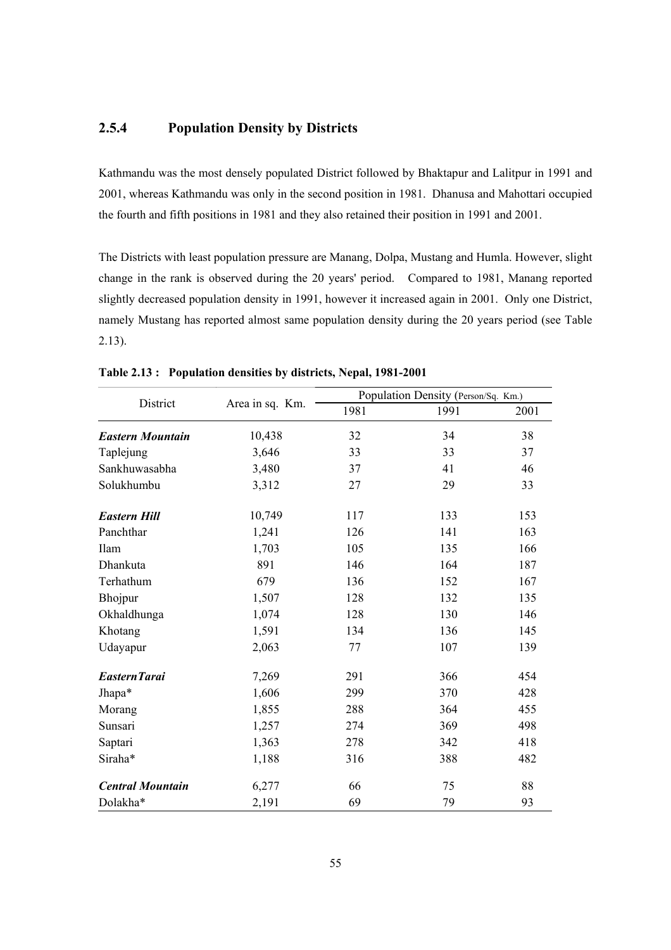#### **2.5.4 Population Density by Districts**

Kathmandu was the most densely populated District followed by Bhaktapur and Lalitpur in 1991 and 2001, whereas Kathmandu was only in the second position in 1981. Dhanusa and Mahottari occupied the fourth and fifth positions in 1981 and they also retained their position in 1991 and 2001.

The Districts with least population pressure are Manang, Dolpa, Mustang and Humla. However, slight change in the rank is observed during the 20 years' period. Compared to 1981, Manang reported slightly decreased population density in 1991, however it increased again in 2001. Only one District, namely Mustang has reported almost same population density during the 20 years period (see Table 2.13).

| District                |                 | Population Density (Person/Sq. Km.) |      |      |  |
|-------------------------|-----------------|-------------------------------------|------|------|--|
|                         | Area in sq. Km. | 1981                                | 1991 | 2001 |  |
| <b>Eastern Mountain</b> | 10,438          | 32                                  | 34   | 38   |  |
| Taplejung               | 3,646           | 33                                  | 33   | 37   |  |
| Sankhuwasabha           | 3,480           | 37                                  | 41   | 46   |  |
| Solukhumbu              | 3,312           | 27                                  | 29   | 33   |  |
| <b>Eastern Hill</b>     | 10,749          | 117                                 | 133  | 153  |  |
| Panchthar               | 1,241           | 126                                 | 141  | 163  |  |
| Ilam                    | 1,703           | 105                                 | 135  | 166  |  |
| Dhankuta                | 891             | 146                                 | 164  | 187  |  |
| Terhathum               | 679             | 136                                 | 152  | 167  |  |
| Bhojpur                 | 1,507           | 128                                 | 132  | 135  |  |
| Okhaldhunga             | 1,074           | 128                                 | 130  | 146  |  |
| Khotang                 | 1,591           | 134                                 | 136  | 145  |  |
| Udayapur                | 2,063           | 77                                  | 107  | 139  |  |
| Eastern Tarai           | 7,269           | 291                                 | 366  | 454  |  |
| Jhapa*                  | 1,606           | 299                                 | 370  | 428  |  |
| Morang                  | 1,855           | 288                                 | 364  | 455  |  |
| Sunsari                 | 1,257           | 274                                 | 369  | 498  |  |
| Saptari                 | 1,363           | 278                                 | 342  | 418  |  |
| Siraha*                 | 1,188           | 316                                 | 388  | 482  |  |
| <b>Central Mountain</b> | 6,277           | 66                                  | 75   | 88   |  |
| Dolakha*                | 2,191           | 69                                  | 79   | 93   |  |

#### **Table 2.13 : Population densities by districts, Nepal, 1981-2001**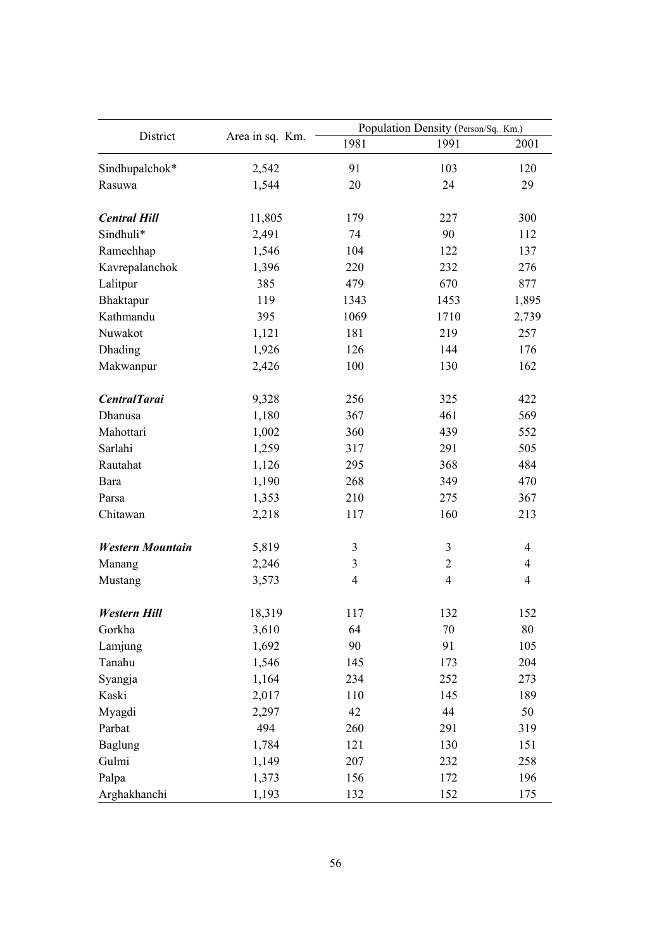|                         |                 | Population Density (Person/Sq. Km.) |                |                |  |  |
|-------------------------|-----------------|-------------------------------------|----------------|----------------|--|--|
| District                | Area in sq. Km. | 1981                                | 1991           | 2001           |  |  |
| Sindhupalchok*          | 2,542           | 91                                  | 103            | 120            |  |  |
| Rasuwa                  | 1,544           | 20                                  | 24             | 29             |  |  |
| <b>Central Hill</b>     | 11,805          | 179                                 | 227            | 300            |  |  |
| Sindhuli*               | 2,491           | 74                                  | 90             | 112            |  |  |
| Ramechhap               | 1,546           | 104                                 | 122            | 137            |  |  |
| Kavrepalanchok          | 1,396           | 220                                 | 232            | 276            |  |  |
| Lalitpur                | 385             | 479                                 | 670            | 877            |  |  |
| Bhaktapur               | 119             | 1343                                | 1453           | 1,895          |  |  |
| Kathmandu               | 395             | 1069                                | 1710           | 2,739          |  |  |
| Nuwakot                 | 1,121           | 181                                 | 219            | 257            |  |  |
| Dhading                 | 1,926           | 126                                 | 144            | 176            |  |  |
| Makwanpur               | 2,426           | 100                                 | 130            | 162            |  |  |
| <b>CentralTarai</b>     | 9,328           | 256                                 | 325            | 422            |  |  |
| Dhanusa                 | 1,180           | 367                                 | 461            | 569            |  |  |
| Mahottari               | 1,002           | 360                                 | 439            | 552            |  |  |
| Sarlahi                 | 1,259           | 317                                 | 291            | 505            |  |  |
| Rautahat                | 1,126           | 295                                 | 368            | 484            |  |  |
| Bara                    | 1,190           | 268                                 | 349            | 470            |  |  |
| Parsa                   | 1,353           | 210                                 | 275            | 367            |  |  |
| Chitawan                | 2,218           | 117                                 | 160            | 213            |  |  |
| <b>Western Mountain</b> | 5,819           | 3                                   | $\mathfrak{Z}$ | $\overline{4}$ |  |  |
| Manang                  | 2,246           | $\overline{\mathbf{3}}$             | $\overline{2}$ | $\overline{4}$ |  |  |
| Mustang                 | 3,573           | $\overline{\mathcal{L}}$            | $\overline{4}$ | $\overline{4}$ |  |  |
| Western Hill            | 18,319          | 117                                 | 132            | 152            |  |  |
| Gorkha                  | 3,610           | 64                                  | 70             | 80             |  |  |
| Lamjung                 | 1,692           | 90                                  | 91             | 105            |  |  |
| Tanahu                  | 1,546           | 145                                 | 173            | 204            |  |  |
| Syangja                 | 1,164           | 234                                 | 252            | 273            |  |  |
| Kaski                   | 2,017           | 110                                 | 145            | 189            |  |  |
| Myagdi                  | 2,297           | 42                                  | 44             | 50             |  |  |
| Parbat                  | 494             | 260                                 | 291            | 319            |  |  |
| <b>Baglung</b>          | 1,784           | 121                                 | 130            | 151            |  |  |
| Gulmi                   | 1,149           | 207                                 | 232            | 258            |  |  |
| Palpa                   | 1,373           | 156                                 | 172            | 196            |  |  |
| Arghakhanchi            | 1,193           | 132                                 | 152            | 175            |  |  |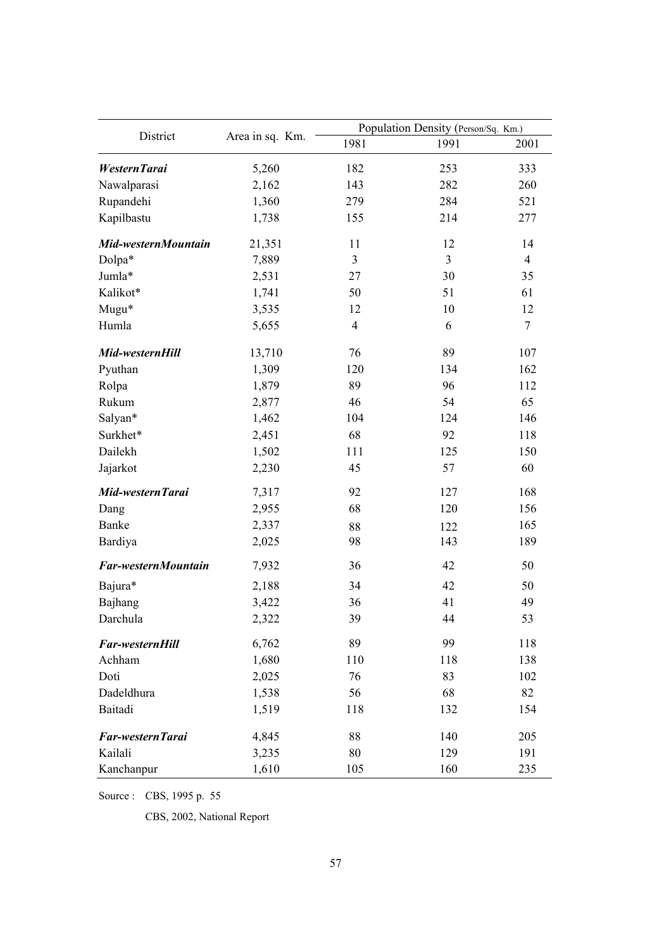|                     |                 | Population Density (Person/Sq. Km.) |      |                  |  |
|---------------------|-----------------|-------------------------------------|------|------------------|--|
| District            | Area in sq. Km. | 1981                                | 1991 | 2001             |  |
| WesternTarai        | 5,260           | 182                                 | 253  | 333              |  |
| Nawalparasi         | 2,162           | 143                                 | 282  | 260              |  |
| Rupandehi           | 1,360           | 279                                 | 284  | 521              |  |
| Kapilbastu          | 1,738           | 155                                 | 214  | 277              |  |
| Mid-westernMountain | 21,351          | 11                                  | 12   | 14               |  |
| Dolpa*              | 7,889           | $\mathfrak{Z}$                      | 3    | $\overline{4}$   |  |
| Jumla*              | 2,531           | 27                                  | 30   | 35               |  |
| Kalikot*            | 1,741           | 50                                  | 51   | 61               |  |
| Mugu*               | 3,535           | 12                                  | 10   | 12               |  |
| Humla               | 5,655           | $\overline{4}$                      | 6    | $\boldsymbol{7}$ |  |
| Mid-westernHill     | 13,710          | 76                                  | 89   | 107              |  |
| Pyuthan             | 1,309           | 120                                 | 134  | 162              |  |
| Rolpa               | 1,879           | 89                                  | 96   | 112              |  |
| Rukum               | 2,877           | 46                                  | 54   | 65               |  |
| Salyan*             | 1,462           | 104                                 | 124  | 146              |  |
| Surkhet*            | 2,451           | 68                                  | 92   | 118              |  |
| Dailekh             | 1,502           | 111                                 | 125  | 150              |  |
| Jajarkot            | 2,230           | 45                                  | 57   | 60               |  |
| Mid-westernTarai    | 7,317           | 92                                  | 127  | 168              |  |
| Dang                | 2,955           | 68                                  | 120  | 156              |  |
| Banke               | 2,337           | 88                                  | 122  | 165              |  |
| Bardiya             | 2,025           | 98                                  | 143  | 189              |  |
| Far-westernMountain | 7,932           | 36                                  | 42   | 50               |  |
| Bajura*             | 2,188           | 34                                  | 42   | 50               |  |
| Bajhang             | 3,422           | 36                                  | 41   | 49               |  |
| Darchula            | 2,322           | 39                                  | 44   | 53               |  |
| Far-westernHill     | 6,762           | 89                                  | 99   | 118              |  |
| Achham              | 1,680           | 110                                 | 118  | 138              |  |
| Doti                | 2,025           | 76                                  | 83   | 102              |  |
| Dadeldhura          | 1,538           | 56                                  | 68   | 82               |  |
| Baitadi             | 1,519           | 118                                 | 132  | 154              |  |
| Far-western Tarai   | 4,845           | 88                                  | 140  | 205              |  |
| Kailali             | 3,235           | 80                                  | 129  | 191              |  |
| Kanchanpur          | 1,610           | 105                                 | 160  | 235              |  |

Source : CBS, 1995 p. 55

CBS, 2002, National Report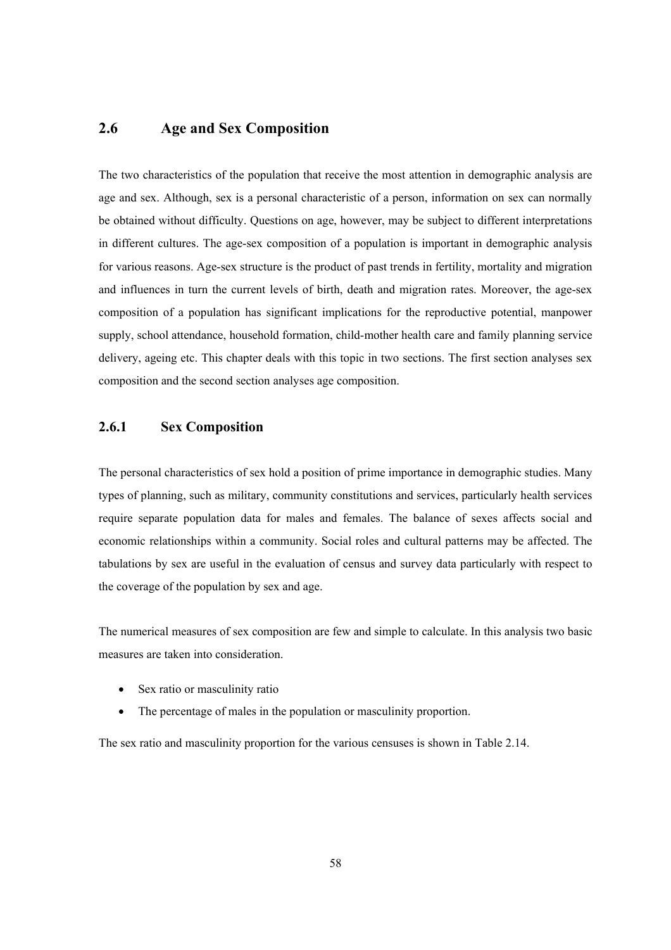## **2.6 Age and Sex Composition**

The two characteristics of the population that receive the most attention in demographic analysis are age and sex. Although, sex is a personal characteristic of a person, information on sex can normally be obtained without difficulty. Questions on age, however, may be subject to different interpretations in different cultures. The age-sex composition of a population is important in demographic analysis for various reasons. Age-sex structure is the product of past trends in fertility, mortality and migration and influences in turn the current levels of birth, death and migration rates. Moreover, the age-sex composition of a population has significant implications for the reproductive potential, manpower supply, school attendance, household formation, child-mother health care and family planning service delivery, ageing etc. This chapter deals with this topic in two sections. The first section analyses sex composition and the second section analyses age composition.

# **2.6.1 Sex Composition**

The personal characteristics of sex hold a position of prime importance in demographic studies. Many types of planning, such as military, community constitutions and services, particularly health services require separate population data for males and females. The balance of sexes affects social and economic relationships within a community. Social roles and cultural patterns may be affected. The tabulations by sex are useful in the evaluation of census and survey data particularly with respect to the coverage of the population by sex and age.

The numerical measures of sex composition are few and simple to calculate. In this analysis two basic measures are taken into consideration.

- Sex ratio or masculinity ratio
- The percentage of males in the population or masculinity proportion.

The sex ratio and masculinity proportion for the various censuses is shown in Table 2.14.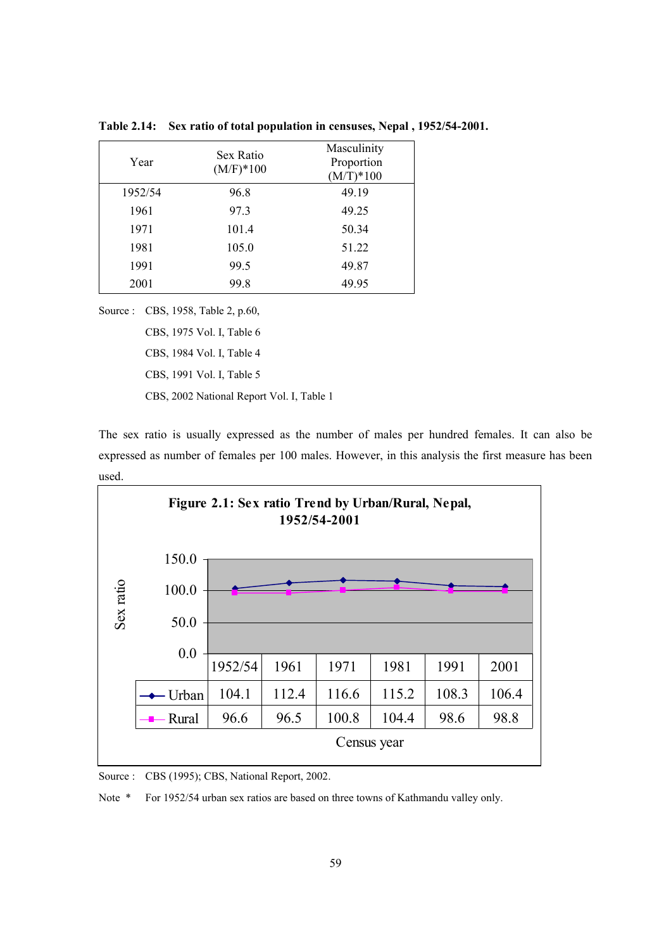| Year    | Sex Ratio<br>$(M/F)*100$ | Masculinity<br>Proportion<br>$(M/T)*100$ |
|---------|--------------------------|------------------------------------------|
| 1952/54 | 96.8                     | 49.19                                    |
| 1961    | 97.3                     | 49.25                                    |
| 1971    | 101.4                    | 50.34                                    |
| 1981    | 105.0                    | 51.22                                    |
| 1991    | 99.5                     | 49.87                                    |
| 2001    | 99.8                     | 49.95                                    |

**Table 2.14: Sex ratio of total population in censuses, Nepal , 1952/54-2001.** 

Source : CBS, 1958, Table 2, p.60,

CBS, 1975 Vol. I, Table 6

 CBS, 1984 Vol. I, Table 4 CBS, 1991 Vol. I, Table 5

CBS, 2002 National Report Vol. I, Table 1

The sex ratio is usually expressed as the number of males per hundred females. It can also be expressed as number of females per 100 males. However, in this analysis the first measure has been used.



Source : CBS (1995); CBS, National Report, 2002.

Note \* For 1952/54 urban sex ratios are based on three towns of Kathmandu valley only.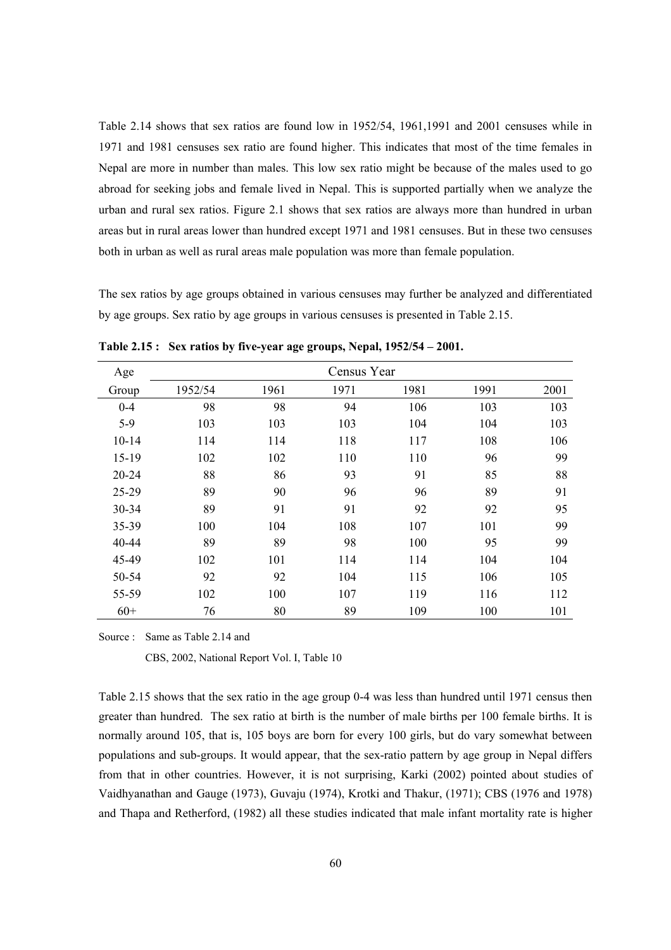Table 2.14 shows that sex ratios are found low in 1952/54, 1961,1991 and 2001 censuses while in 1971 and 1981 censuses sex ratio are found higher. This indicates that most of the time females in Nepal are more in number than males. This low sex ratio might be because of the males used to go abroad for seeking jobs and female lived in Nepal. This is supported partially when we analyze the urban and rural sex ratios. Figure 2.1 shows that sex ratios are always more than hundred in urban areas but in rural areas lower than hundred except 1971 and 1981 censuses. But in these two censuses both in urban as well as rural areas male population was more than female population.

The sex ratios by age groups obtained in various censuses may further be analyzed and differentiated by age groups. Sex ratio by age groups in various censuses is presented in Table 2.15.

| Age       | Census Year |      |      |      |      |      |
|-----------|-------------|------|------|------|------|------|
| Group     | 1952/54     | 1961 | 1971 | 1981 | 1991 | 2001 |
| $0 - 4$   | 98          | 98   | 94   | 106  | 103  | 103  |
| $5-9$     | 103         | 103  | 103  | 104  | 104  | 103  |
| $10 - 14$ | 114         | 114  | 118  | 117  | 108  | 106  |
| $15-19$   | 102         | 102  | 110  | 110  | 96   | 99   |
| $20 - 24$ | 88          | 86   | 93   | 91   | 85   | 88   |
| 25-29     | 89          | 90   | 96   | 96   | 89   | 91   |
| 30-34     | 89          | 91   | 91   | 92   | 92   | 95   |
| 35-39     | 100         | 104  | 108  | 107  | 101  | 99   |
| 40-44     | 89          | 89   | 98   | 100  | 95   | 99   |
| 45-49     | 102         | 101  | 114  | 114  | 104  | 104  |
| 50-54     | 92          | 92   | 104  | 115  | 106  | 105  |
| 55-59     | 102         | 100  | 107  | 119  | 116  | 112  |
| $60+$     | 76          | 80   | 89   | 109  | 100  | 101  |

**Table 2.15 : Sex ratios by five-year age groups, Nepal, 1952/54 – 2001.** 

Source : Same as Table 2.14 and

CBS, 2002, National Report Vol. I, Table 10

Table 2.15 shows that the sex ratio in the age group 0-4 was less than hundred until 1971 census then greater than hundred. The sex ratio at birth is the number of male births per 100 female births. It is normally around 105, that is, 105 boys are born for every 100 girls, but do vary somewhat between populations and sub-groups. It would appear, that the sex-ratio pattern by age group in Nepal differs from that in other countries. However, it is not surprising, Karki (2002) pointed about studies of Vaidhyanathan and Gauge (1973), Guvaju (1974), Krotki and Thakur, (1971); CBS (1976 and 1978) and Thapa and Retherford, (1982) all these studies indicated that male infant mortality rate is higher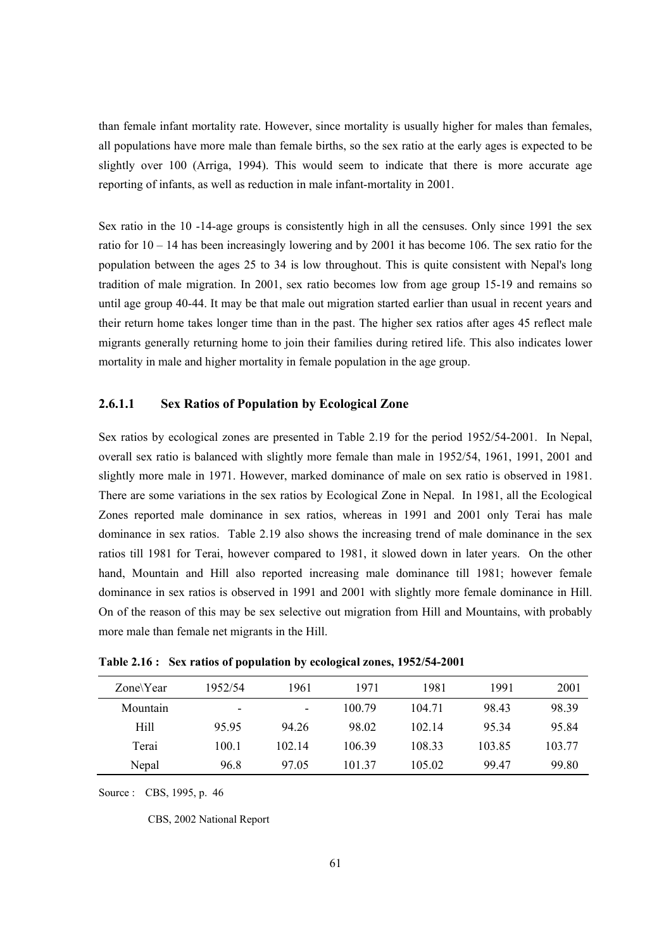than female infant mortality rate. However, since mortality is usually higher for males than females, all populations have more male than female births, so the sex ratio at the early ages is expected to be slightly over 100 (Arriga, 1994). This would seem to indicate that there is more accurate age reporting of infants, as well as reduction in male infant-mortality in 2001.

Sex ratio in the 10 -14-age groups is consistently high in all the censuses. Only since 1991 the sex ratio for 10 – 14 has been increasingly lowering and by 2001 it has become 106. The sex ratio for the population between the ages 25 to 34 is low throughout. This is quite consistent with Nepal's long tradition of male migration. In 2001, sex ratio becomes low from age group 15-19 and remains so until age group 40-44. It may be that male out migration started earlier than usual in recent years and their return home takes longer time than in the past. The higher sex ratios after ages 45 reflect male migrants generally returning home to join their families during retired life. This also indicates lower mortality in male and higher mortality in female population in the age group.

#### **2.6.1.1 Sex Ratios of Population by Ecological Zone**

Sex ratios by ecological zones are presented in Table 2.19 for the period 1952/54-2001. In Nepal, overall sex ratio is balanced with slightly more female than male in 1952/54, 1961, 1991, 2001 and slightly more male in 1971. However, marked dominance of male on sex ratio is observed in 1981. There are some variations in the sex ratios by Ecological Zone in Nepal. In 1981, all the Ecological Zones reported male dominance in sex ratios, whereas in 1991 and 2001 only Terai has male dominance in sex ratios. Table 2.19 also shows the increasing trend of male dominance in the sex ratios till 1981 for Terai, however compared to 1981, it slowed down in later years. On the other hand, Mountain and Hill also reported increasing male dominance till 1981; however female dominance in sex ratios is observed in 1991 and 2001 with slightly more female dominance in Hill. On of the reason of this may be sex selective out migration from Hill and Mountains, with probably more male than female net migrants in the Hill.

| $\text{Zone}\Y$ ear | 1952/54 | 1961   | 1971   | 1981   | 1991   | 2001   |
|---------------------|---------|--------|--------|--------|--------|--------|
| Mountain            | ٠       | ۰      | 100.79 | 104.71 | 98.43  | 98.39  |
| Hill                | 9595    | 94.26  | 98.02  | 102.14 | 95 34  | 95.84  |
| Terai               | 100.1   | 102 14 | 106.39 | 108.33 | 103.85 | 103.77 |
| Nepal               | 96.8    | 97.05  | 101 37 | 105.02 | 99.47  | 99.80  |

**Table 2.16 : Sex ratios of population by ecological zones, 1952/54-2001** 

Source : CBS, 1995, p. 46

CBS, 2002 National Report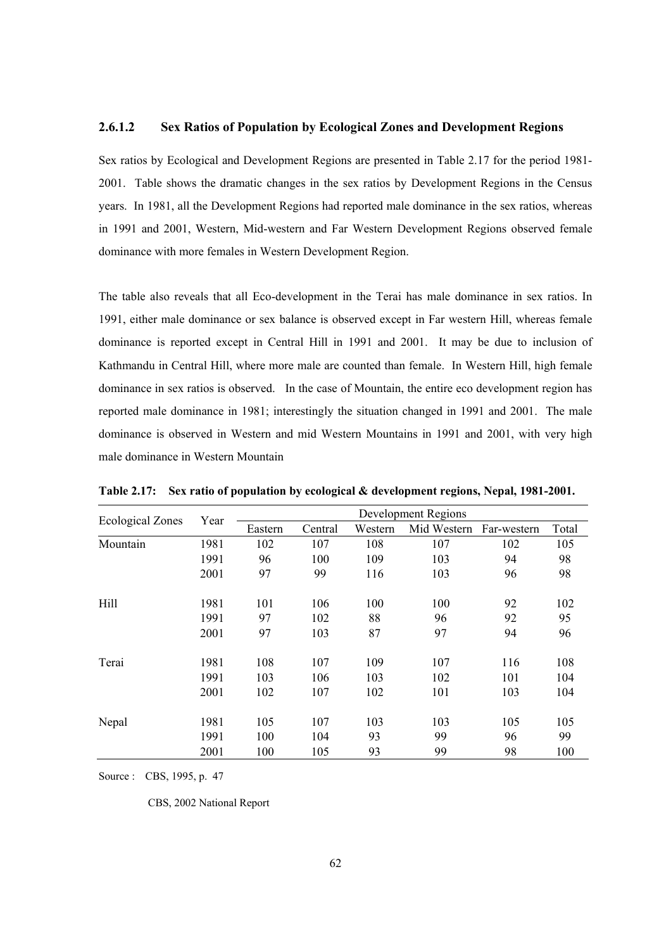#### **2.6.1.2 Sex Ratios of Population by Ecological Zones and Development Regions**

Sex ratios by Ecological and Development Regions are presented in Table 2.17 for the period 1981- 2001. Table shows the dramatic changes in the sex ratios by Development Regions in the Census years. In 1981, all the Development Regions had reported male dominance in the sex ratios, whereas in 1991 and 2001, Western, Mid-western and Far Western Development Regions observed female dominance with more females in Western Development Region.

The table also reveals that all Eco-development in the Terai has male dominance in sex ratios. In 1991, either male dominance or sex balance is observed except in Far western Hill, whereas female dominance is reported except in Central Hill in 1991 and 2001. It may be due to inclusion of Kathmandu in Central Hill, where more male are counted than female. In Western Hill, high female dominance in sex ratios is observed. In the case of Mountain, the entire eco development region has reported male dominance in 1981; interestingly the situation changed in 1991 and 2001. The male dominance is observed in Western and mid Western Mountains in 1991 and 2001, with very high male dominance in Western Mountain

| <b>Ecological Zones</b> | Year | Development Regions |         |         |                         |     |       |
|-------------------------|------|---------------------|---------|---------|-------------------------|-----|-------|
|                         |      | Eastern             | Central | Western | Mid Western Far-western |     | Total |
| Mountain                | 1981 | 102                 | 107     | 108     | 107                     | 102 | 105   |
|                         | 1991 | 96                  | 100     | 109     | 103                     | 94  | 98    |
|                         | 2001 | 97                  | 99      | 116     | 103                     | 96  | 98    |
| Hill                    | 1981 | 101                 | 106     | 100     | 100                     | 92  | 102   |
|                         | 1991 | 97                  | 102     | 88      | 96                      | 92  | 95    |
|                         | 2001 | 97                  | 103     | 87      | 97                      | 94  | 96    |
| Terai                   | 1981 | 108                 | 107     | 109     | 107                     | 116 | 108   |
|                         | 1991 | 103                 | 106     | 103     | 102                     | 101 | 104   |
|                         | 2001 | 102                 | 107     | 102     | 101                     | 103 | 104   |
| Nepal                   | 1981 | 105                 | 107     | 103     | 103                     | 105 | 105   |
|                         | 1991 | 100                 | 104     | 93      | 99                      | 96  | 99    |
|                         | 2001 | 100                 | 105     | 93      | 99                      | 98  | 100   |

**Table 2.17: Sex ratio of population by ecological & development regions, Nepal, 1981-2001.** 

Source : CBS, 1995, p. 47

CBS, 2002 National Report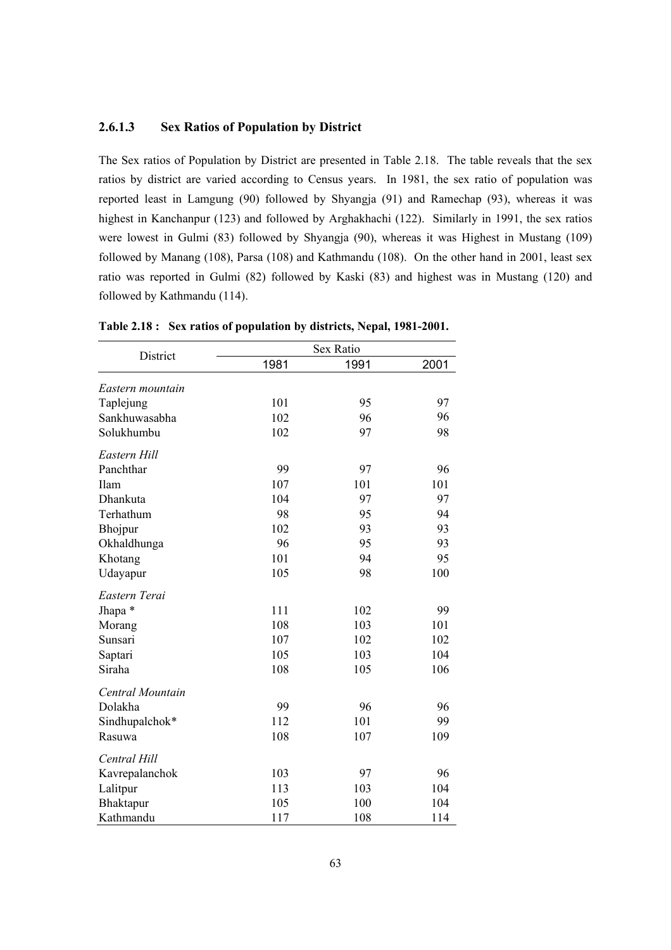#### **2.6.1.3 Sex Ratios of Population by District**

The Sex ratios of Population by District are presented in Table 2.18. The table reveals that the sex ratios by district are varied according to Census years. In 1981, the sex ratio of population was reported least in Lamgung (90) followed by Shyangja (91) and Ramechap (93), whereas it was highest in Kanchanpur (123) and followed by Arghakhachi (122). Similarly in 1991, the sex ratios were lowest in Gulmi (83) followed by Shyangja (90), whereas it was Highest in Mustang (109) followed by Manang (108), Parsa (108) and Kathmandu (108). On the other hand in 2001, least sex ratio was reported in Gulmi (82) followed by Kaski (83) and highest was in Mustang (120) and followed by Kathmandu (114).

| District         |      | Sex Ratio |      |
|------------------|------|-----------|------|
|                  | 1981 | 1991      | 2001 |
| Eastern mountain |      |           |      |
| Taplejung        | 101  | 95        | 97   |
| Sankhuwasabha    | 102  | 96        | 96   |
| Solukhumbu       | 102  | 97        | 98   |
| Eastern Hill     |      |           |      |
| Panchthar        | 99   | 97        | 96   |
| Ilam             | 107  | 101       | 101  |
| Dhankuta         | 104  | 97        | 97   |
| Terhathum        | 98   | 95        | 94   |
| Bhojpur          | 102  | 93        | 93   |
| Okhaldhunga      | 96   | 95        | 93   |
| Khotang          | 101  | 94        | 95   |
| Udayapur         | 105  | 98        | 100  |
| Eastern Terai    |      |           |      |
| Jhapa *          | 111  | 102       | 99   |
| Morang           | 108  | 103       | 101  |
| Sunsari          | 107  | 102       | 102  |
| Saptari          | 105  | 103       | 104  |
| Siraha           | 108  | 105       | 106  |
| Central Mountain |      |           |      |
| Dolakha          | 99   | 96        | 96   |
| Sindhupalchok*   | 112  | 101       | 99   |
| Rasuwa           | 108  | 107       | 109  |
| Central Hill     |      |           |      |
| Kavrepalanchok   | 103  | 97        | 96   |
| Lalitpur         | 113  | 103       | 104  |
| Bhaktapur        | 105  | 100       | 104  |
| Kathmandu        | 117  | 108       | 114  |

**Table 2.18 : Sex ratios of population by districts, Nepal, 1981-2001.**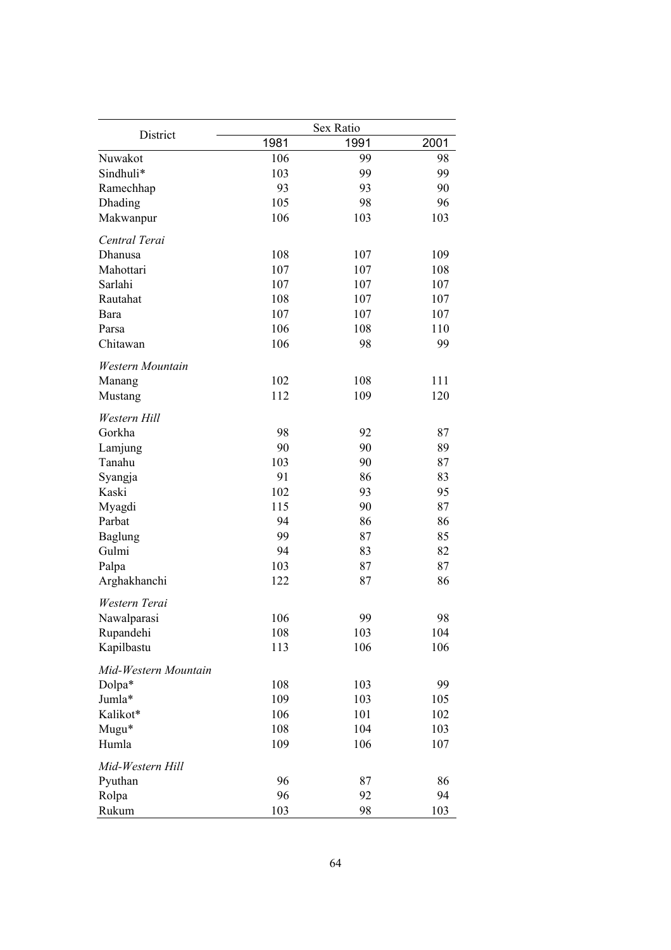|                      |      | Sex Ratio |      |
|----------------------|------|-----------|------|
| District             | 1981 | 1991      | 2001 |
| Nuwakot              | 106  | 99        | 98   |
| Sindhuli*            | 103  | 99        | 99   |
| Ramechhap            | 93   | 93        | 90   |
| Dhading              | 105  | 98        | 96   |
| Makwanpur            | 106  | 103       | 103  |
| Central Terai        |      |           |      |
| Dhanusa              | 108  | 107       | 109  |
| Mahottari            | 107  | 107       | 108  |
| Sarlahi              | 107  | 107       | 107  |
| Rautahat             | 108  | 107       | 107  |
| Bara                 | 107  | 107       | 107  |
| Parsa                | 106  | 108       | 110  |
| Chitawan             | 106  | 98        | 99   |
| Western Mountain     |      |           |      |
| Manang               | 102  | 108       | 111  |
| Mustang              | 112  | 109       | 120  |
| Western Hill         |      |           |      |
| Gorkha               | 98   | 92        | 87   |
| Lamjung              | 90   | 90        | 89   |
| Tanahu               | 103  | 90        | 87   |
| Syangja              | 91   | 86        | 83   |
| Kaski                | 102  | 93        | 95   |
| Myagdi               | 115  | 90        | 87   |
| Parbat               | 94   | 86        | 86   |
| <b>Baglung</b>       | 99   | 87        | 85   |
| Gulmi                | 94   | 83        | 82   |
| Palpa                | 103  | 87        | 87   |
| Arghakhanchi         | 122  | 87        | 86   |
| Western Terai        |      |           |      |
| Nawalparasi          | 106  | 99        | 98   |
| Rupandehi            | 108  | 103       | 104  |
| Kapilbastu           | 113  | 106       | 106  |
| Mid-Western Mountain |      |           |      |
| Dolpa*               | 108  | 103       | 99   |
| Jumla*               | 109  | 103       | 105  |
| Kalikot*             | 106  | 101       | 102  |
| Mugu*                | 108  | 104       | 103  |
| Humla                | 109  | 106       | 107  |
| Mid-Western Hill     |      |           |      |
| Pyuthan              | 96   | 87        | 86   |
| Rolpa                | 96   | 92        | 94   |
| Rukum                | 103  | 98        | 103  |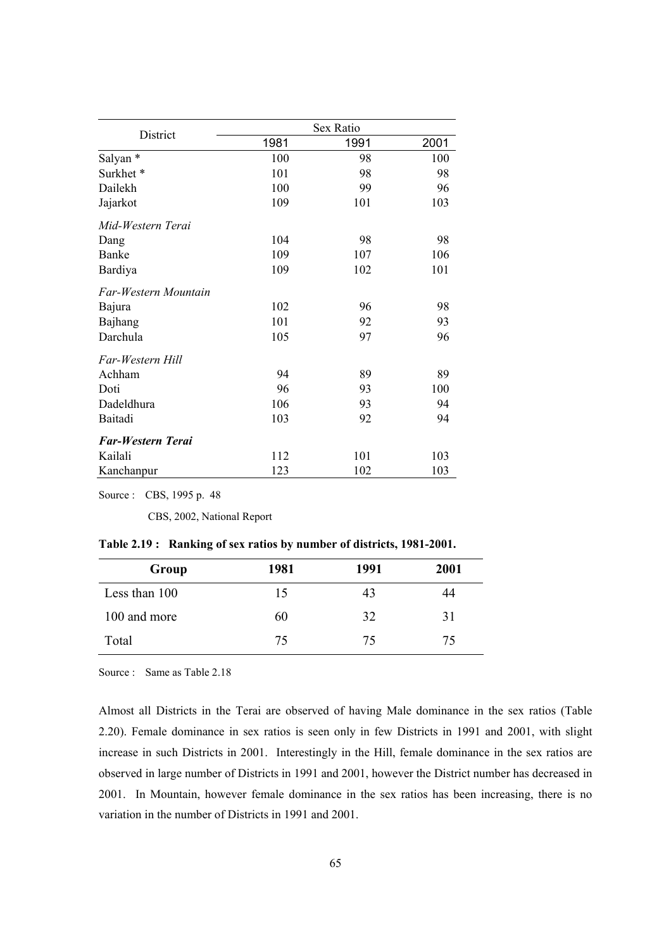|                          |      | Sex Ratio |      |
|--------------------------|------|-----------|------|
| District                 | 1981 | 1991      | 2001 |
| Salyan *                 | 100  | 98        | 100  |
| Surkhet*                 | 101  | 98        | 98   |
| Dailekh                  | 100  | 99        | 96   |
| Jajarkot                 | 109  | 101       | 103  |
| Mid-Western Terai        |      |           |      |
| Dang                     | 104  | 98        | 98   |
| Banke                    | 109  | 107       | 106  |
| Bardiya                  | 109  | 102       | 101  |
| Far-Western Mountain     |      |           |      |
| Bajura                   | 102  | 96        | 98   |
| Bajhang                  | 101  | 92        | 93   |
| Darchula                 | 105  | 97        | 96   |
| Far-Western Hill         |      |           |      |
| Achham                   | 94   | 89        | 89   |
| Doti                     | 96   | 93        | 100  |
| Dadeldhura               | 106  | 93        | 94   |
| Baitadi                  | 103  | 92        | 94   |
| <b>Far-Western Terai</b> |      |           |      |
| Kailali                  | 112  | 101       | 103  |
| Kanchanpur               | 123  | 102       | 103  |

Source : CBS, 1995 p. 48

CBS, 2002, National Report

|  | Table 2.19: Ranking of sex ratios by number of districts, 1981-2001. |  |  |  |
|--|----------------------------------------------------------------------|--|--|--|
|--|----------------------------------------------------------------------|--|--|--|

| Group         | 1981 | 1991 | 2001 |
|---------------|------|------|------|
| Less than 100 | 15   | 43   | 44   |
| 100 and more  | 60   | 32   | 31   |
| Total         | 75   | 75   | 75   |

Source : Same as Table 2.18

Almost all Districts in the Terai are observed of having Male dominance in the sex ratios (Table 2.20). Female dominance in sex ratios is seen only in few Districts in 1991 and 2001, with slight increase in such Districts in 2001. Interestingly in the Hill, female dominance in the sex ratios are observed in large number of Districts in 1991 and 2001, however the District number has decreased in 2001. In Mountain, however female dominance in the sex ratios has been increasing, there is no variation in the number of Districts in 1991 and 2001.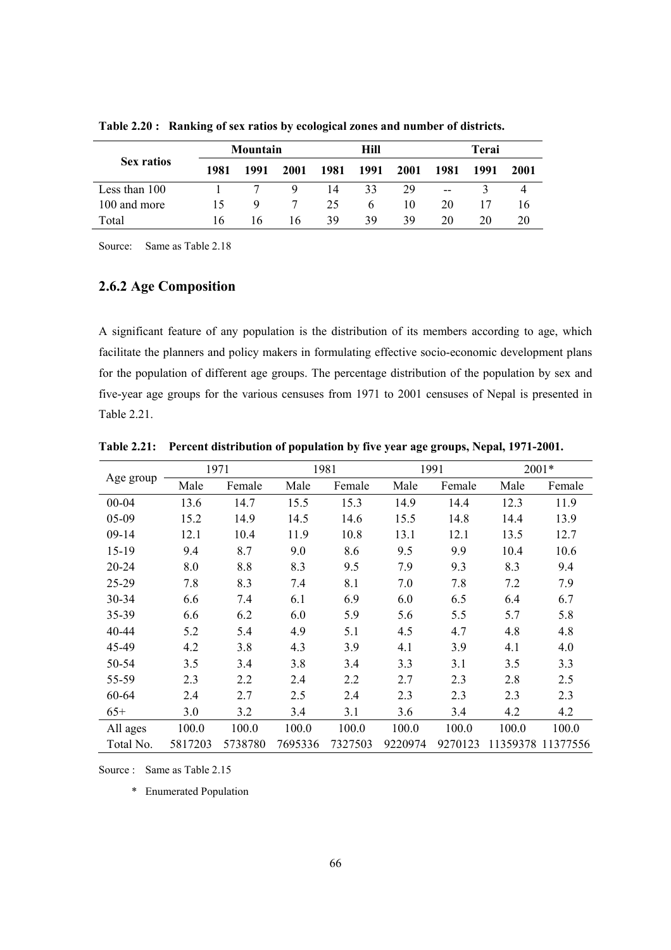|                   |      | Mountain |      |      | Hill         |      |                          | Terai |      |
|-------------------|------|----------|------|------|--------------|------|--------------------------|-------|------|
| <b>Sex ratios</b> | 1981 | 1991     | 2001 | 1981 | 1991         | 2001 | 1981                     | 1991  | 2001 |
| Less than 100     |      |          | 9    | 14   | 33           | 29   | $\overline{\phantom{m}}$ |       |      |
| 100 and more      | 15   | 9        |      | 25   | <sub>6</sub> | 10   | 20                       |       | 16   |
| Total             | 16   | I6       | 16   | 39   | 39           | 39   | 20                       | 20    | 20   |

**Table 2.20 : Ranking of sex ratios by ecological zones and number of districts.** 

Source: Same as Table 2.18

#### **2.6.2 Age Composition**

A significant feature of any population is the distribution of its members according to age, which facilitate the planners and policy makers in formulating effective socio-economic development plans for the population of different age groups. The percentage distribution of the population by sex and five-year age groups for the various censuses from 1971 to 2001 censuses of Nepal is presented in Table 2.21.

|           |         | 1971    |         | 1981    |         | 1991    |       | 2001*             |  |
|-----------|---------|---------|---------|---------|---------|---------|-------|-------------------|--|
| Age group | Male    | Female  | Male    | Female  | Male    | Female  | Male  | Female            |  |
| 00-04     | 13.6    | 14.7    | 15.5    | 15.3    | 14.9    | 14.4    | 12.3  | 11.9              |  |
| 05-09     | 15.2    | 14.9    | 14.5    | 14.6    | 15.5    | 14.8    | 14.4  | 13.9              |  |
| $09-14$   | 12.1    | 10.4    | 11.9    | 10.8    | 13.1    | 12.1    | 13.5  | 12.7              |  |
| $15-19$   | 9.4     | 8.7     | 9.0     | 8.6     | 9.5     | 9.9     | 10.4  | 10.6              |  |
| 20-24     | 8.0     | 8.8     | 8.3     | 9.5     | 7.9     | 9.3     | 8.3   | 9.4               |  |
| 25-29     | 7.8     | 8.3     | 7.4     | 8.1     | 7.0     | 7.8     | 7.2   | 7.9               |  |
| 30-34     | 6.6     | 7.4     | 6.1     | 6.9     | 6.0     | 6.5     | 6.4   | 6.7               |  |
| 35-39     | 6.6     | 6.2     | 6.0     | 5.9     | 5.6     | 5.5     | 5.7   | 5.8               |  |
| 40-44     | 5.2     | 5.4     | 4.9     | 5.1     | 4.5     | 4.7     | 4.8   | 4.8               |  |
| 45-49     | 4.2     | 3.8     | 4.3     | 3.9     | 4.1     | 3.9     | 4.1   | 4.0               |  |
| 50-54     | 3.5     | 3.4     | 3.8     | 3.4     | 3.3     | 3.1     | 3.5   | 3.3               |  |
| 55-59     | 2.3     | 2.2     | 2.4     | 2.2     | 2.7     | 2.3     | 2.8   | 2.5               |  |
| 60-64     | 2.4     | 2.7     | 2.5     | 2.4     | 2.3     | 2.3     | 2.3   | 2.3               |  |
| $65+$     | 3.0     | 3.2     | 3.4     | 3.1     | 3.6     | 3.4     | 4.2   | 4.2               |  |
| All ages  | 100.0   | 100.0   | 100.0   | 100.0   | 100.0   | 100.0   | 100.0 | 100.0             |  |
| Total No. | 5817203 | 5738780 | 7695336 | 7327503 | 9220974 | 9270123 |       | 11359378 11377556 |  |

**Table 2.21: Percent distribution of population by five year age groups, Nepal, 1971-2001.** 

Source : Same as Table 2.15

\* Enumerated Population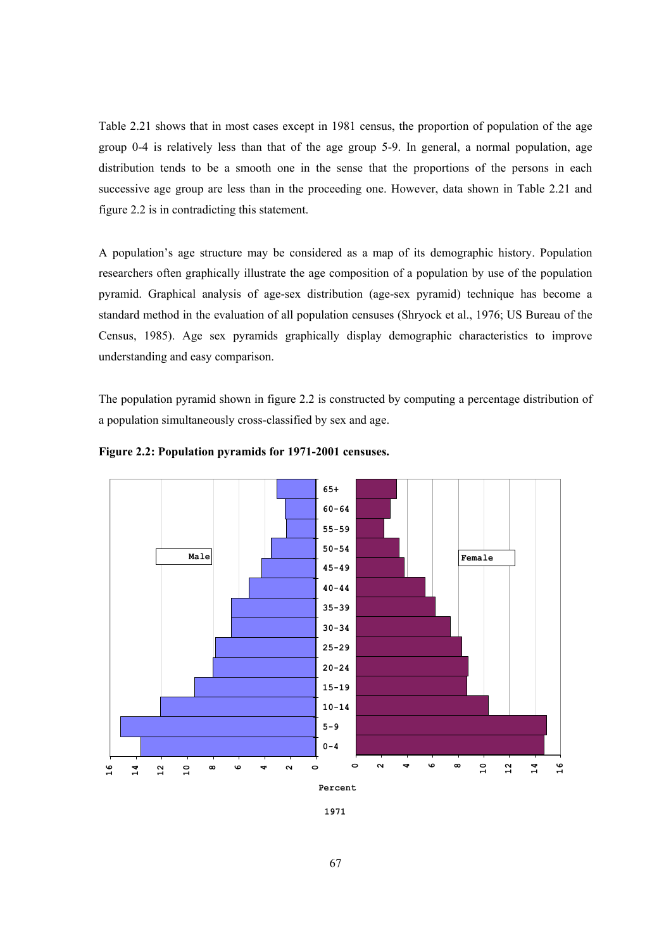Table 2.21 shows that in most cases except in 1981 census, the proportion of population of the age group 0-4 is relatively less than that of the age group 5-9. In general, a normal population, age distribution tends to be a smooth one in the sense that the proportions of the persons in each successive age group are less than in the proceeding one. However, data shown in Table 2.21 and figure 2.2 is in contradicting this statement.

A population's age structure may be considered as a map of its demographic history. Population researchers often graphically illustrate the age composition of a population by use of the population pyramid. Graphical analysis of age-sex distribution (age-sex pyramid) technique has become a standard method in the evaluation of all population censuses (Shryock et al., 1976; US Bureau of the Census, 1985). Age sex pyramids graphically display demographic characteristics to improve understanding and easy comparison.

The population pyramid shown in figure 2.2 is constructed by computing a percentage distribution of a population simultaneously cross-classified by sex and age.



**Figure 2.2: Population pyramids for 1971-2001 censuses.** 

**<sup>1971</sup>**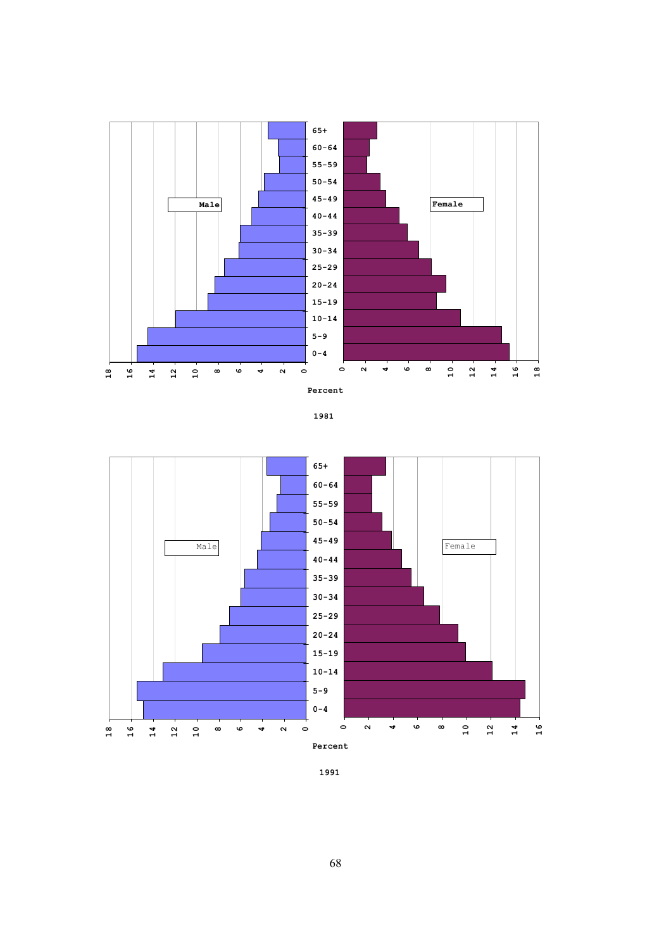





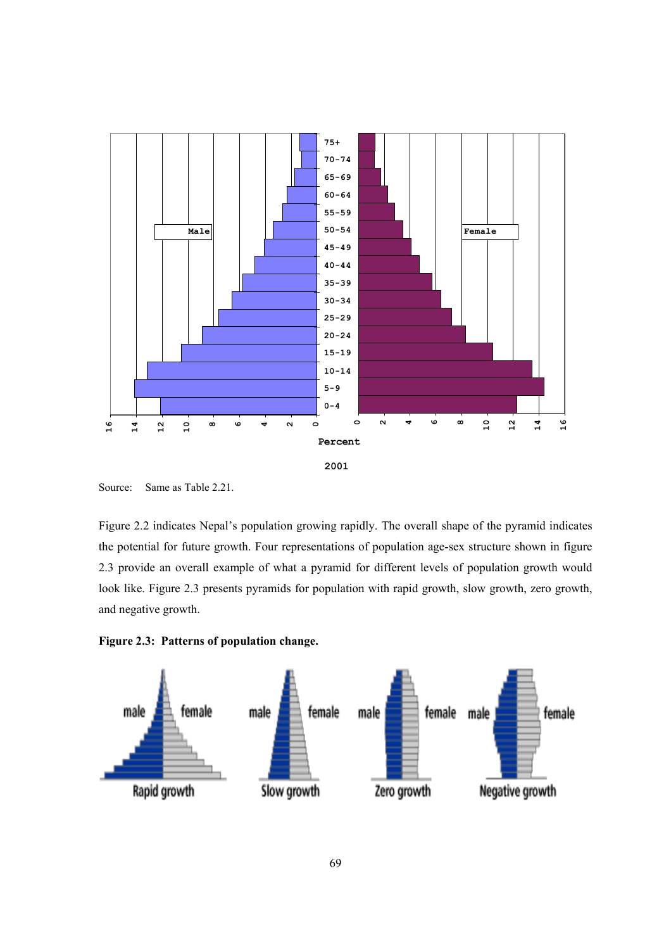

Source: Same as Table 2.21.

Figure 2.2 indicates Nepal's population growing rapidly. The overall shape of the pyramid indicates the potential for future growth. Four representations of population age-sex structure shown in figure 2.3 provide an overall example of what a pyramid for different levels of population growth would look like. Figure 2.3 presents pyramids for population with rapid growth, slow growth, zero growth, and negative growth.

**Figure 2.3: Patterns of population change.** 

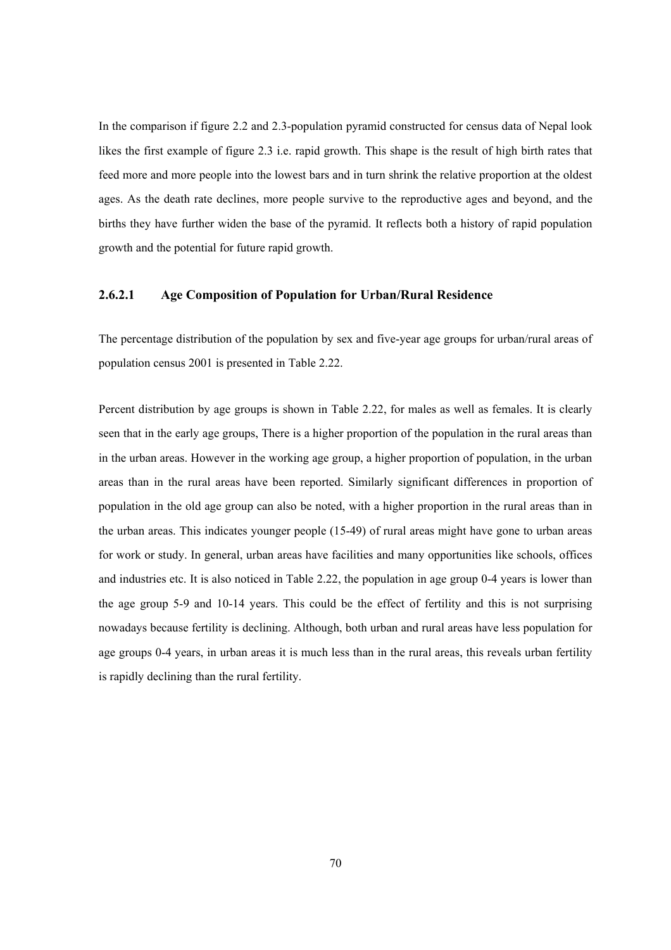In the comparison if figure 2.2 and 2.3-population pyramid constructed for census data of Nepal look likes the first example of figure 2.3 i.e. rapid growth. This shape is the result of high birth rates that feed more and more people into the lowest bars and in turn shrink the relative proportion at the oldest ages. As the death rate declines, more people survive to the reproductive ages and beyond, and the births they have further widen the base of the pyramid. It reflects both a history of rapid population growth and the potential for future rapid growth.

#### **2.6.2.1 Age Composition of Population for Urban/Rural Residence**

The percentage distribution of the population by sex and five-year age groups for urban/rural areas of population census 2001 is presented in Table 2.22.

Percent distribution by age groups is shown in Table 2.22, for males as well as females. It is clearly seen that in the early age groups, There is a higher proportion of the population in the rural areas than in the urban areas. However in the working age group, a higher proportion of population, in the urban areas than in the rural areas have been reported. Similarly significant differences in proportion of population in the old age group can also be noted, with a higher proportion in the rural areas than in the urban areas. This indicates younger people (15-49) of rural areas might have gone to urban areas for work or study. In general, urban areas have facilities and many opportunities like schools, offices and industries etc. It is also noticed in Table 2.22, the population in age group 0-4 years is lower than the age group 5-9 and 10-14 years. This could be the effect of fertility and this is not surprising nowadays because fertility is declining. Although, both urban and rural areas have less population for age groups 0-4 years, in urban areas it is much less than in the rural areas, this reveals urban fertility is rapidly declining than the rural fertility.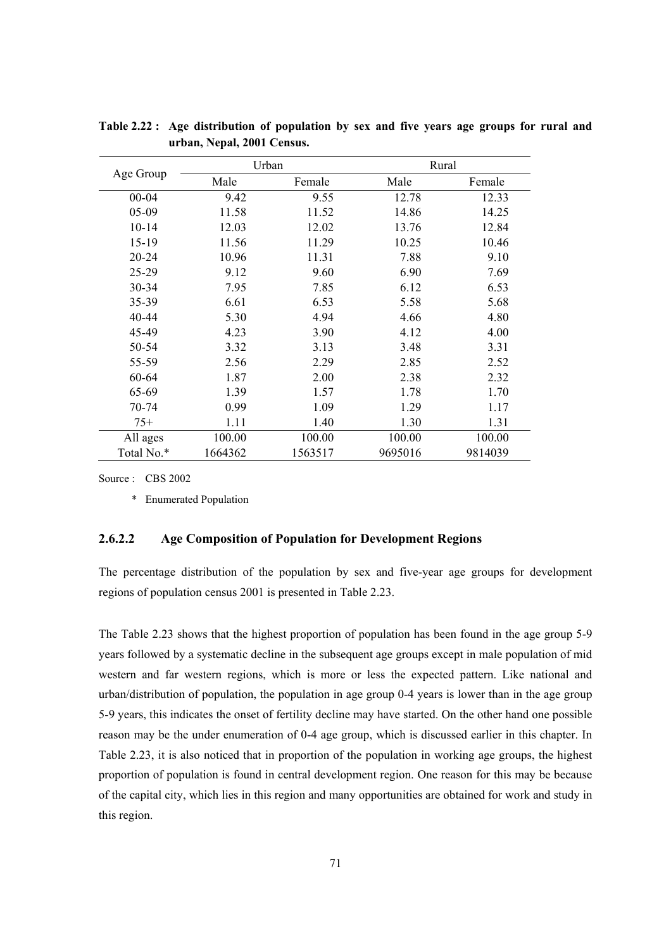|            | Urban   |         | Rural   |         |
|------------|---------|---------|---------|---------|
| Age Group  | Male    | Female  | Male    | Female  |
| $00 - 04$  | 9.42    | 9.55    | 12.78   | 12.33   |
| 05-09      | 11.58   | 11.52   | 14.86   | 14.25   |
| $10 - 14$  | 12.03   | 12.02   | 13.76   | 12.84   |
| $15 - 19$  | 11.56   | 11.29   | 10.25   | 10.46   |
| $20 - 24$  | 10.96   | 11.31   | 7.88    | 9.10    |
| 25-29      | 9.12    | 9.60    | 6.90    | 7.69    |
| 30-34      | 7.95    | 7.85    | 6.12    | 6.53    |
| 35-39      | 6.61    | 6.53    | 5.58    | 5.68    |
| $40 - 44$  | 5.30    | 4.94    | 4.66    | 4.80    |
| 45-49      | 4.23    | 3.90    | 4.12    | 4.00    |
| 50-54      | 3.32    | 3.13    | 3.48    | 3.31    |
| 55-59      | 2.56    | 2.29    | 2.85    | 2.52    |
| 60-64      | 1.87    | 2.00    | 2.38    | 2.32    |
| 65-69      | 1.39    | 1.57    | 1.78    | 1.70    |
| 70-74      | 0.99    | 1.09    | 1.29    | 1.17    |
| $75+$      | 1.11    | 1.40    | 1.30    | 1.31    |
| All ages   | 100.00  | 100.00  | 100.00  | 100.00  |
| Total No.* | 1664362 | 1563517 | 9695016 | 9814039 |

**Table 2.22 : Age distribution of population by sex and five years age groups for rural and urban, Nepal, 2001 Census.** 

Source : CBS 2002

\* Enumerated Population

#### **2.6.2.2 Age Composition of Population for Development Regions**

The percentage distribution of the population by sex and five-year age groups for development regions of population census 2001 is presented in Table 2.23.

The Table 2.23 shows that the highest proportion of population has been found in the age group 5-9 years followed by a systematic decline in the subsequent age groups except in male population of mid western and far western regions, which is more or less the expected pattern. Like national and urban/distribution of population, the population in age group 0-4 years is lower than in the age group 5-9 years, this indicates the onset of fertility decline may have started. On the other hand one possible reason may be the under enumeration of 0-4 age group, which is discussed earlier in this chapter. In Table 2.23, it is also noticed that in proportion of the population in working age groups, the highest proportion of population is found in central development region. One reason for this may be because of the capital city, which lies in this region and many opportunities are obtained for work and study in this region.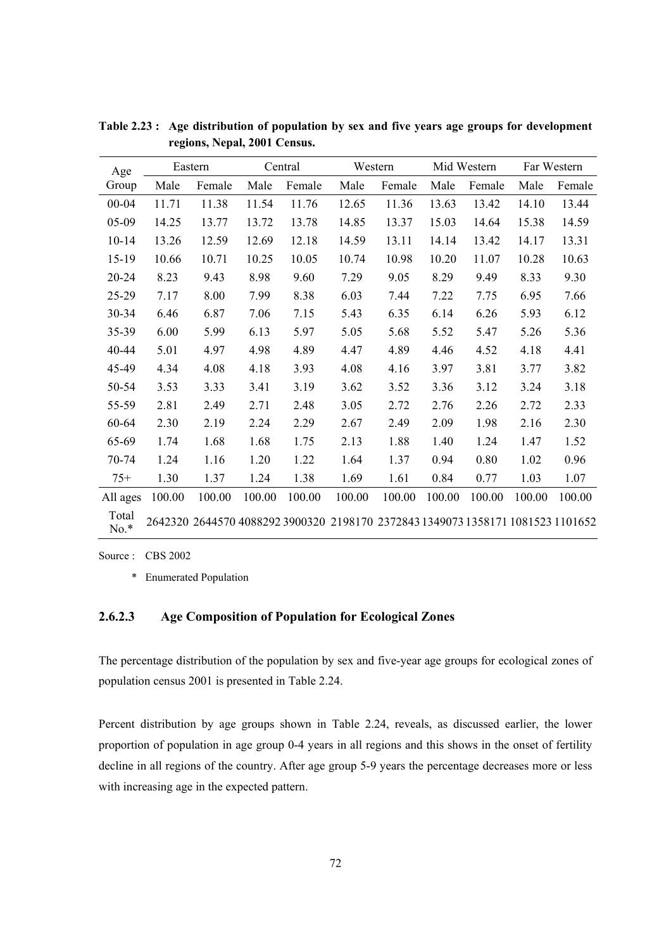| Age             |        | Eastern |        | Central | Western                                                                         |        |        | Mid Western |        | Far Western |
|-----------------|--------|---------|--------|---------|---------------------------------------------------------------------------------|--------|--------|-------------|--------|-------------|
| Group           | Male   | Female  | Male   | Female  | Male                                                                            | Female | Male   | Female      | Male   | Female      |
| $00 - 04$       | 11.71  | 11.38   | 11.54  | 11.76   | 12.65                                                                           | 11.36  | 13.63  | 13.42       | 14.10  | 13.44       |
| 05-09           | 14.25  | 13.77   | 13.72  | 13.78   | 14.85                                                                           | 13.37  | 15.03  | 14.64       | 15.38  | 14.59       |
| $10 - 14$       | 13.26  | 12.59   | 12.69  | 12.18   | 14.59                                                                           | 13.11  | 14.14  | 13.42       | 14.17  | 13.31       |
| $15-19$         | 10.66  | 10.71   | 10.25  | 10.05   | 10.74                                                                           | 10.98  | 10.20  | 11.07       | 10.28  | 10.63       |
| 20-24           | 8.23   | 9.43    | 8.98   | 9.60    | 7.29                                                                            | 9.05   | 8.29   | 9.49        | 8.33   | 9.30        |
| 25-29           | 7.17   | 8.00    | 7.99   | 8.38    | 6.03                                                                            | 7.44   | 7.22   | 7.75        | 6.95   | 7.66        |
| 30-34           | 6.46   | 6.87    | 7.06   | 7.15    | 5.43                                                                            | 6.35   | 6.14   | 6.26        | 5.93   | 6.12        |
| 35-39           | 6.00   | 5.99    | 6.13   | 5.97    | 5.05                                                                            | 5.68   | 5.52   | 5.47        | 5.26   | 5.36        |
| 40-44           | 5.01   | 4.97    | 4.98   | 4.89    | 4.47                                                                            | 4.89   | 4.46   | 4.52        | 4.18   | 4.41        |
| 45-49           | 4.34   | 4.08    | 4.18   | 3.93    | 4.08                                                                            | 4.16   | 3.97   | 3.81        | 3.77   | 3.82        |
| 50-54           | 3.53   | 3.33    | 3.41   | 3.19    | 3.62                                                                            | 3.52   | 3.36   | 3.12        | 3.24   | 3.18        |
| 55-59           | 2.81   | 2.49    | 2.71   | 2.48    | 3.05                                                                            | 2.72   | 2.76   | 2.26        | 2.72   | 2.33        |
| 60-64           | 2.30   | 2.19    | 2.24   | 2.29    | 2.67                                                                            | 2.49   | 2.09   | 1.98        | 2.16   | 2.30        |
| 65-69           | 1.74   | 1.68    | 1.68   | 1.75    | 2.13                                                                            | 1.88   | 1.40   | 1.24        | 1.47   | 1.52        |
| 70-74           | 1.24   | 1.16    | 1.20   | 1.22    | 1.64                                                                            | 1.37   | 0.94   | 0.80        | 1.02   | 0.96        |
| $75+$           | 1.30   | 1.37    | 1.24   | 1.38    | 1.69                                                                            | 1.61   | 0.84   | 0.77        | 1.03   | 1.07        |
| All ages        | 100.00 | 100.00  | 100.00 | 100.00  | 100.00                                                                          | 100.00 | 100.00 | 100.00      | 100.00 | 100.00      |
| Total<br>$No.*$ |        |         |        |         | 2642320 2644570 4088292 3900320 2198170 2372843 1349073 1358171 1081523 1101652 |        |        |             |        |             |

**Table 2.23 : Age distribution of population by sex and five years age groups for development regions, Nepal, 2001 Census.** 

Source : CBS 2002

\* Enumerated Population

### **2.6.2.3 Age Composition of Population for Ecological Zones**

The percentage distribution of the population by sex and five-year age groups for ecological zones of population census 2001 is presented in Table 2.24.

Percent distribution by age groups shown in Table 2.24, reveals, as discussed earlier, the lower proportion of population in age group 0-4 years in all regions and this shows in the onset of fertility decline in all regions of the country. After age group 5-9 years the percentage decreases more or less with increasing age in the expected pattern.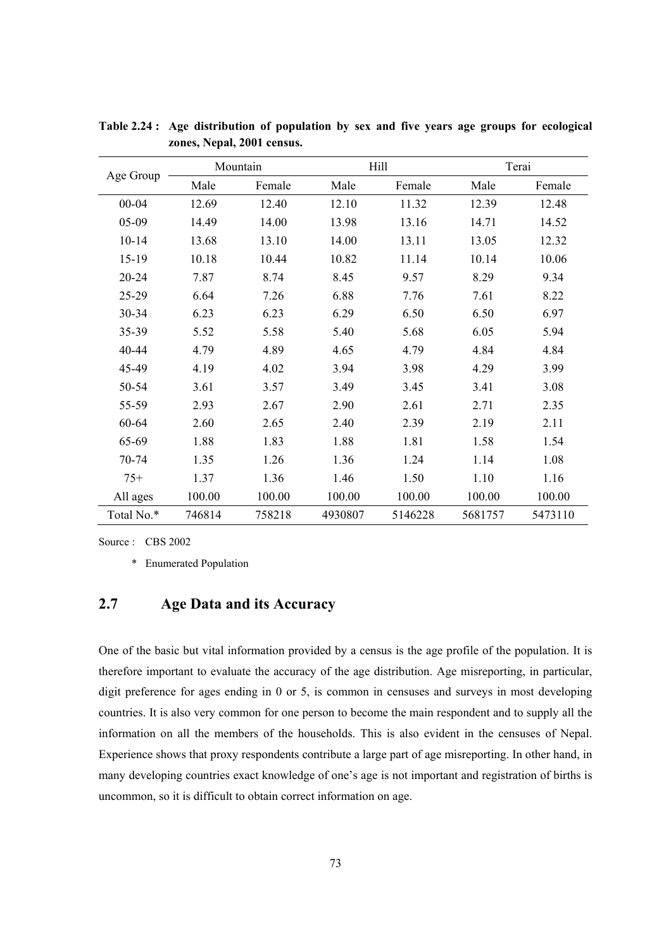|            |        | Mountain |         | Hill    | Terai   |         |
|------------|--------|----------|---------|---------|---------|---------|
| Age Group  | Male   | Female   | Male    | Female  | Male    | Female  |
| $00 - 04$  | 12.69  | 12.40    | 12.10   | 11.32   | 12.39   | 12.48   |
| 05-09      | 14.49  | 14.00    | 13.98   | 13.16   | 14.71   | 14.52   |
| $10 - 14$  | 13.68  | 13.10    | 14.00   | 13.11   | 13.05   | 12.32   |
| 15-19      | 10.18  | 10.44    | 10.82   | 11.14   | 10.14   | 10.06   |
| 20-24      | 7.87   | 8.74     | 8.45    | 9.57    | 8.29    | 9.34    |
| 25-29      | 6.64   | 7.26     | 6.88    | 7.76    | 7.61    | 8.22    |
| 30-34      | 6.23   | 6.23     | 6.29    | 6.50    | 6.50    | 6.97    |
| 35-39      | 5.52   | 5.58     | 5.40    | 5.68    | 6.05    | 5.94    |
| 40-44      | 4.79   | 4.89     | 4.65    | 4.79    | 4.84    | 4.84    |
| 45-49      | 4.19   | 4.02     | 3.94    | 3.98    | 4.29    | 3.99    |
| 50-54      | 3.61   | 3.57     | 3.49    | 3.45    | 3.41    | 3.08    |
| 55-59      | 2.93   | 2.67     | 2.90    | 2.61    | 2.71    | 2.35    |
| 60-64      | 2.60   | 2.65     | 2.40    | 2.39    | 2.19    | 2.11    |
| 65-69      | 1.88   | 1.83     | 1.88    | 1.81    | 1.58    | 1.54    |
| 70-74      | 1.35   | 1.26     | 1.36    | 1.24    | 1.14    | 1.08    |
| $75+$      | 1.37   | 1.36     | 1.46    | 1.50    | 1.10    | 1.16    |
| All ages   | 100.00 | 100.00   | 100.00  | 100.00  | 100.00  | 100.00  |
| Total No.* | 746814 | 758218   | 4930807 | 5146228 | 5681757 | 5473110 |

**Table 2.24 : Age distribution of population by sex and five years age groups for ecological zones, Nepal, 2001 census.** 

Source : CBS 2002

\* Enumerated Population

# **2.7 Age Data and its Accuracy**

One of the basic but vital information provided by a census is the age profile of the population. It is therefore important to evaluate the accuracy of the age distribution. Age misreporting, in particular, digit preference for ages ending in 0 or 5, is common in censuses and surveys in most developing countries. It is also very common for one person to become the main respondent and to supply all the information on all the members of the households. This is also evident in the censuses of Nepal. Experience shows that proxy respondents contribute a large part of age misreporting. In other hand, in many developing countries exact knowledge of one's age is not important and registration of births is uncommon, so it is difficult to obtain correct information on age.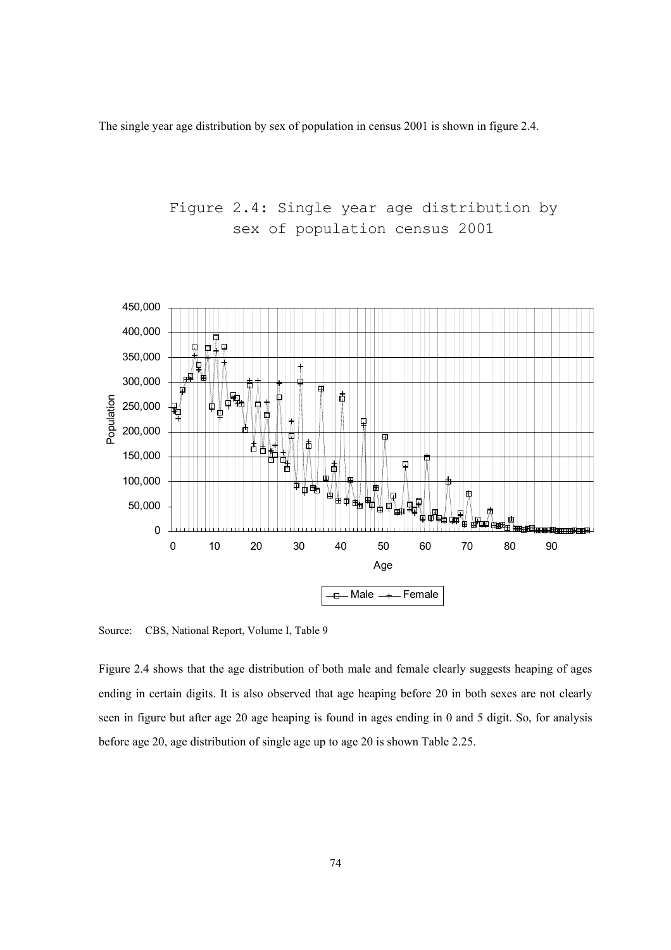The single year age distribution by sex of population in census 2001 is shown in figure 2.4.



Source: CBS, National Report, Volume I, Table 9

Figure 2.4 shows that the age distribution of both male and female clearly suggests heaping of ages ending in certain digits. It is also observed that age heaping before 20 in both sexes are not clearly seen in figure but after age 20 age heaping is found in ages ending in 0 and 5 digit. So, for analysis before age 20, age distribution of single age up to age 20 is shown Table 2.25.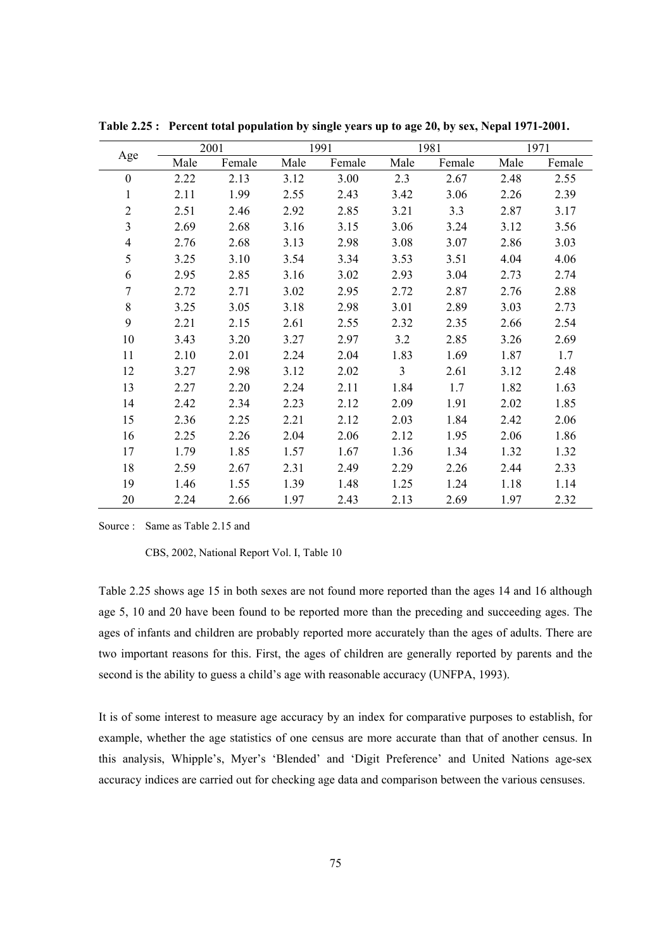|                         |      | 2001   |      | 1991   |                | 1981   |      | 1971   |  |
|-------------------------|------|--------|------|--------|----------------|--------|------|--------|--|
| Age                     | Male | Female | Male | Female | Male           | Female | Male | Female |  |
| $\boldsymbol{0}$        | 2.22 | 2.13   | 3.12 | 3.00   | 2.3            | 2.67   | 2.48 | 2.55   |  |
| $\mathbf{1}$            | 2.11 | 1.99   | 2.55 | 2.43   | 3.42           | 3.06   | 2.26 | 2.39   |  |
| $\overline{2}$          | 2.51 | 2.46   | 2.92 | 2.85   | 3.21           | 3.3    | 2.87 | 3.17   |  |
| $\overline{\mathbf{3}}$ | 2.69 | 2.68   | 3.16 | 3.15   | 3.06           | 3.24   | 3.12 | 3.56   |  |
| $\overline{4}$          | 2.76 | 2.68   | 3.13 | 2.98   | 3.08           | 3.07   | 2.86 | 3.03   |  |
| 5                       | 3.25 | 3.10   | 3.54 | 3.34   | 3.53           | 3.51   | 4.04 | 4.06   |  |
| 6                       | 2.95 | 2.85   | 3.16 | 3.02   | 2.93           | 3.04   | 2.73 | 2.74   |  |
| $\boldsymbol{7}$        | 2.72 | 2.71   | 3.02 | 2.95   | 2.72           | 2.87   | 2.76 | 2.88   |  |
| 8                       | 3.25 | 3.05   | 3.18 | 2.98   | 3.01           | 2.89   | 3.03 | 2.73   |  |
| 9                       | 2.21 | 2.15   | 2.61 | 2.55   | 2.32           | 2.35   | 2.66 | 2.54   |  |
| 10                      | 3.43 | 3.20   | 3.27 | 2.97   | 3.2            | 2.85   | 3.26 | 2.69   |  |
| 11                      | 2.10 | 2.01   | 2.24 | 2.04   | 1.83           | 1.69   | 1.87 | 1.7    |  |
| 12                      | 3.27 | 2.98   | 3.12 | 2.02   | $\overline{3}$ | 2.61   | 3.12 | 2.48   |  |
| 13                      | 2.27 | 2.20   | 2.24 | 2.11   | 1.84           | 1.7    | 1.82 | 1.63   |  |
| 14                      | 2.42 | 2.34   | 2.23 | 2.12   | 2.09           | 1.91   | 2.02 | 1.85   |  |
| 15                      | 2.36 | 2.25   | 2.21 | 2.12   | 2.03           | 1.84   | 2.42 | 2.06   |  |
| 16                      | 2.25 | 2.26   | 2.04 | 2.06   | 2.12           | 1.95   | 2.06 | 1.86   |  |
| 17                      | 1.79 | 1.85   | 1.57 | 1.67   | 1.36           | 1.34   | 1.32 | 1.32   |  |
| 18                      | 2.59 | 2.67   | 2.31 | 2.49   | 2.29           | 2.26   | 2.44 | 2.33   |  |
| 19                      | 1.46 | 1.55   | 1.39 | 1.48   | 1.25           | 1.24   | 1.18 | 1.14   |  |
| 20                      | 2.24 | 2.66   | 1.97 | 2.43   | 2.13           | 2.69   | 1.97 | 2.32   |  |

**Table 2.25 : Percent total population by single years up to age 20, by sex, Nepal 1971-2001.** 

Source : Same as Table 2.15 and

CBS, 2002, National Report Vol. I, Table 10

Table 2.25 shows age 15 in both sexes are not found more reported than the ages 14 and 16 although age 5, 10 and 20 have been found to be reported more than the preceding and succeeding ages. The ages of infants and children are probably reported more accurately than the ages of adults. There are two important reasons for this. First, the ages of children are generally reported by parents and the second is the ability to guess a child's age with reasonable accuracy (UNFPA, 1993).

It is of some interest to measure age accuracy by an index for comparative purposes to establish, for example, whether the age statistics of one census are more accurate than that of another census. In this analysis, Whipple's, Myer's 'Blended' and 'Digit Preference' and United Nations age-sex accuracy indices are carried out for checking age data and comparison between the various censuses.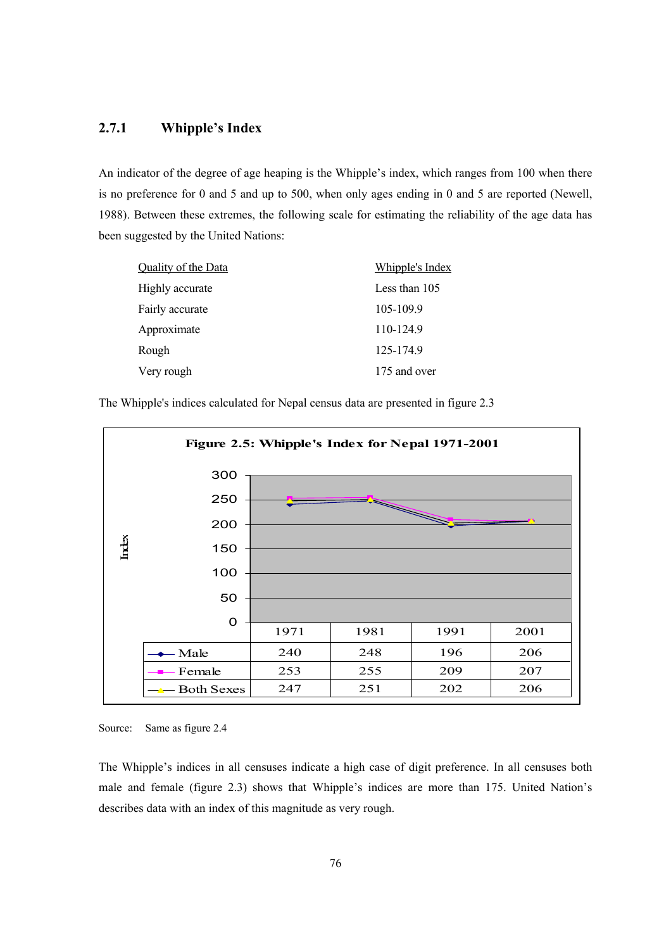### **2.7.1 Whipple's Index**

An indicator of the degree of age heaping is the Whipple's index, which ranges from 100 when there is no preference for 0 and 5 and up to 500, when only ages ending in 0 and 5 are reported (Newell, 1988). Between these extremes, the following scale for estimating the reliability of the age data has been suggested by the United Nations:

| Quality of the Data | Whipple's Index |
|---------------------|-----------------|
| Highly accurate     | Less than 105   |
| Fairly accurate     | 105-109.9       |
| Approximate         | 110-124.9       |
| Rough               | 125-174.9       |
| Very rough          | 175 and over    |

The Whipple's indices calculated for Nepal census data are presented in figure 2.3



Source: Same as figure 2.4

The Whipple's indices in all censuses indicate a high case of digit preference. In all censuses both male and female (figure 2.3) shows that Whipple's indices are more than 175. United Nation's describes data with an index of this magnitude as very rough.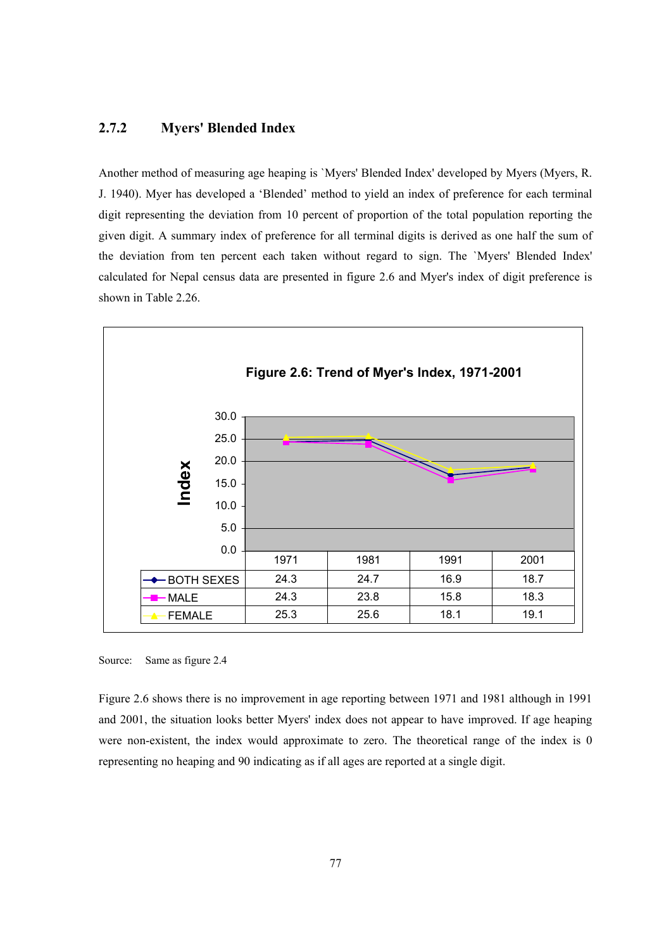#### **2.7.2 Myers' Blended Index**

Another method of measuring age heaping is `Myers' Blended Index' developed by Myers (Myers, R. J. 1940). Myer has developed a 'Blended' method to yield an index of preference for each terminal digit representing the deviation from 10 percent of proportion of the total population reporting the given digit. A summary index of preference for all terminal digits is derived as one half the sum of the deviation from ten percent each taken without regard to sign. The `Myers' Blended Index' calculated for Nepal census data are presented in figure 2.6 and Myer's index of digit preference is shown in Table 2.26.



Source: Same as figure 2.4

Figure 2.6 shows there is no improvement in age reporting between 1971 and 1981 although in 1991 and 2001, the situation looks better Myers' index does not appear to have improved. If age heaping were non-existent, the index would approximate to zero. The theoretical range of the index is 0 representing no heaping and 90 indicating as if all ages are reported at a single digit.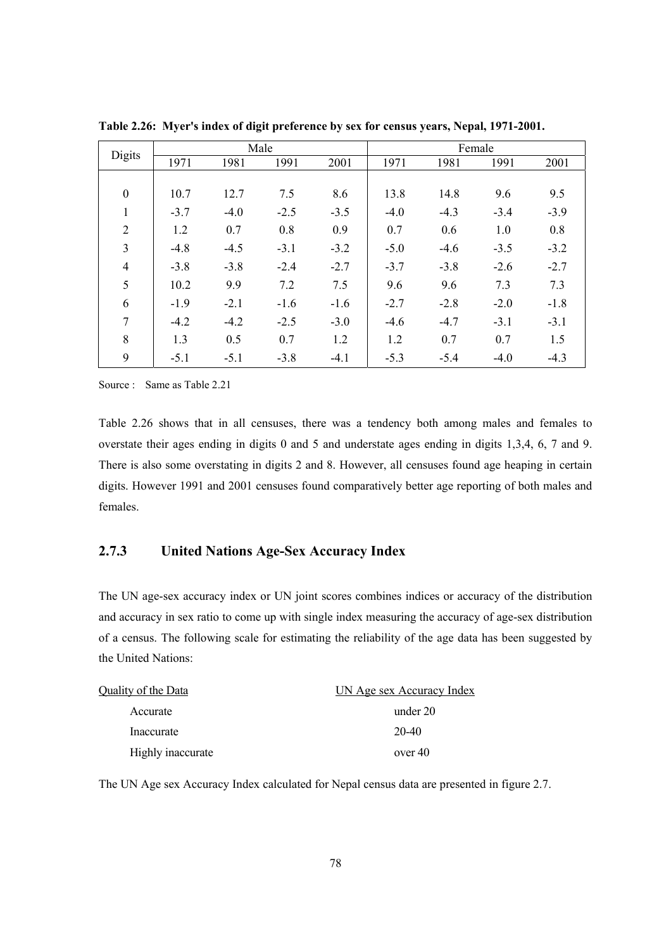|                  |        |        | Male   |        | Female |        |        |        |
|------------------|--------|--------|--------|--------|--------|--------|--------|--------|
| Digits           | 1971   | 1981   | 1991   | 2001   | 1971   | 1981   | 1991   | 2001   |
|                  |        |        |        |        |        |        |        |        |
| $\boldsymbol{0}$ | 10.7   | 12.7   | 7.5    | 8.6    | 13.8   | 14.8   | 9.6    | 9.5    |
| $\mathbf{1}$     | $-3.7$ | $-4.0$ | $-2.5$ | $-3.5$ | $-4.0$ | $-4.3$ | $-3.4$ | $-3.9$ |
| $\overline{2}$   | 1.2    | 0.7    | 0.8    | 0.9    | 0.7    | 0.6    | 1.0    | 0.8    |
| 3                | $-4.8$ | $-4.5$ | $-3.1$ | $-3.2$ | $-5.0$ | $-4.6$ | $-3.5$ | $-3.2$ |
| $\overline{4}$   | $-3.8$ | $-3.8$ | $-2.4$ | $-2.7$ | $-3.7$ | $-3.8$ | $-2.6$ | $-2.7$ |
| 5                | 10.2   | 9.9    | 7.2    | 7.5    | 9.6    | 9.6    | 7.3    | 7.3    |
| 6                | $-1.9$ | $-2.1$ | $-1.6$ | $-1.6$ | $-2.7$ | $-2.8$ | $-2.0$ | $-1.8$ |
| 7                | $-4.2$ | $-4.2$ | $-2.5$ | $-3.0$ | $-4.6$ | $-4.7$ | $-3.1$ | $-3.1$ |
| 8                | 1.3    | 0.5    | 0.7    | 1.2    | 1.2    | 0.7    | 0.7    | 1.5    |
| 9                | $-5.1$ | $-5.1$ | $-3.8$ | $-4.1$ | $-5.3$ | $-5.4$ | $-4.0$ | $-4.3$ |

**Table 2.26: Myer's index of digit preference by sex for census years, Nepal, 1971-2001.** 

Source : Same as Table 2.21

Table 2.26 shows that in all censuses, there was a tendency both among males and females to overstate their ages ending in digits 0 and 5 and understate ages ending in digits 1,3,4, 6, 7 and 9. There is also some overstating in digits 2 and 8. However, all censuses found age heaping in certain digits. However 1991 and 2001 censuses found comparatively better age reporting of both males and females.

# **2.7.3 United Nations Age-Sex Accuracy Index**

The UN age-sex accuracy index or UN joint scores combines indices or accuracy of the distribution and accuracy in sex ratio to come up with single index measuring the accuracy of age-sex distribution of a census. The following scale for estimating the reliability of the age data has been suggested by the United Nations:

| Quality of the Data | UN Age sex Accuracy Index |
|---------------------|---------------------------|
| Accurate            | under 20                  |
| Inaccurate          | 20-40                     |
| Highly inaccurate   | over 40                   |

The UN Age sex Accuracy Index calculated for Nepal census data are presented in figure 2.7.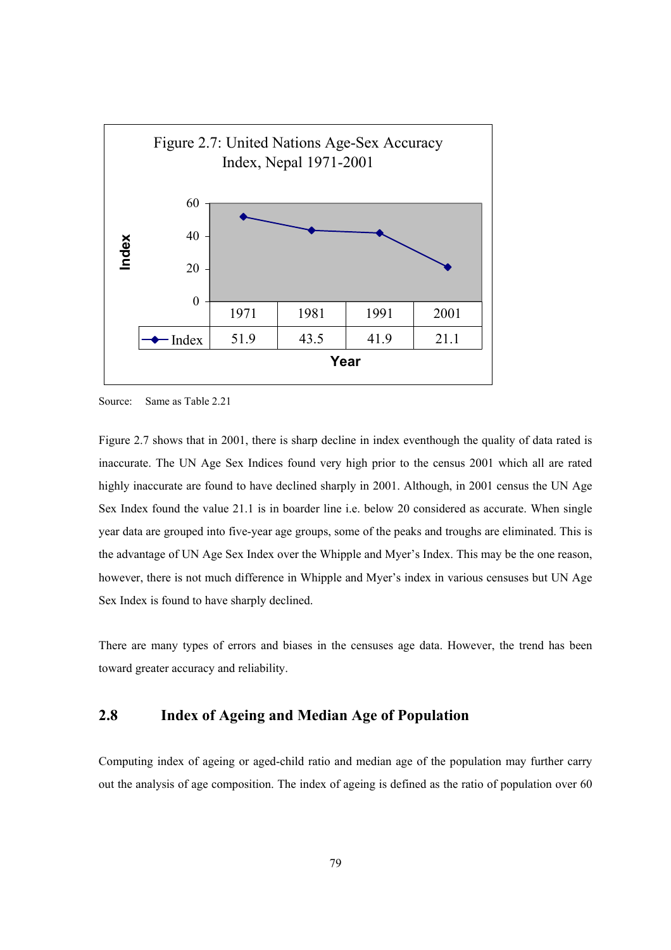

Source: Same as Table 2.21

Figure 2.7 shows that in 2001, there is sharp decline in index eventhough the quality of data rated is inaccurate. The UN Age Sex Indices found very high prior to the census 2001 which all are rated highly inaccurate are found to have declined sharply in 2001. Although, in 2001 census the UN Age Sex Index found the value 21.1 is in boarder line i.e. below 20 considered as accurate. When single year data are grouped into five-year age groups, some of the peaks and troughs are eliminated. This is the advantage of UN Age Sex Index over the Whipple and Myer's Index. This may be the one reason, however, there is not much difference in Whipple and Myer's index in various censuses but UN Age Sex Index is found to have sharply declined.

There are many types of errors and biases in the censuses age data. However, the trend has been toward greater accuracy and reliability.

## **2.8 Index of Ageing and Median Age of Population**

Computing index of ageing or aged-child ratio and median age of the population may further carry out the analysis of age composition. The index of ageing is defined as the ratio of population over 60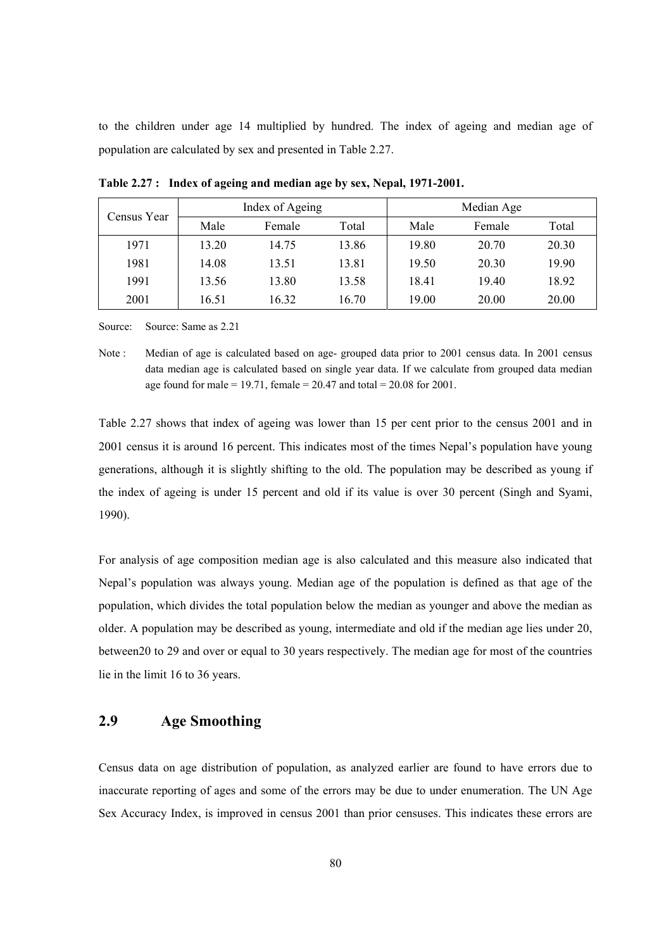to the children under age 14 multiplied by hundred. The index of ageing and median age of population are calculated by sex and presented in Table 2.27.

| Census Year |       | Index of Ageing |       | Median Age |        |       |
|-------------|-------|-----------------|-------|------------|--------|-------|
|             | Male  | Female          | Total | Male       | Female | Total |
| 1971        | 13.20 | 14.75           | 13.86 | 19.80      | 20.70  | 20.30 |
| 1981        | 14.08 | 13.51           | 13.81 | 19.50      | 20.30  | 19.90 |
| 1991        | 13.56 | 13.80           | 13.58 | 18.41      | 1940   | 18.92 |
| 2001        | 16.51 | 16.32           | 16.70 | 19.00      | 20.00  | 20.00 |

**Table 2.27 : Index of ageing and median age by sex, Nepal, 1971-2001.** 

Source: Source: Same as 2.21

Note : Median of age is calculated based on age- grouped data prior to 2001 census data. In 2001 census data median age is calculated based on single year data. If we calculate from grouped data median age found for male = 19.71, female =  $20.47$  and total =  $20.08$  for 2001.

Table 2.27 shows that index of ageing was lower than 15 per cent prior to the census 2001 and in 2001 census it is around 16 percent. This indicates most of the times Nepal's population have young generations, although it is slightly shifting to the old. The population may be described as young if the index of ageing is under 15 percent and old if its value is over 30 percent (Singh and Syami, 1990).

For analysis of age composition median age is also calculated and this measure also indicated that Nepal's population was always young. Median age of the population is defined as that age of the population, which divides the total population below the median as younger and above the median as older. A population may be described as young, intermediate and old if the median age lies under 20, between20 to 29 and over or equal to 30 years respectively. The median age for most of the countries lie in the limit 16 to 36 years.

# **2.9 Age Smoothing**

Census data on age distribution of population, as analyzed earlier are found to have errors due to inaccurate reporting of ages and some of the errors may be due to under enumeration. The UN Age Sex Accuracy Index, is improved in census 2001 than prior censuses. This indicates these errors are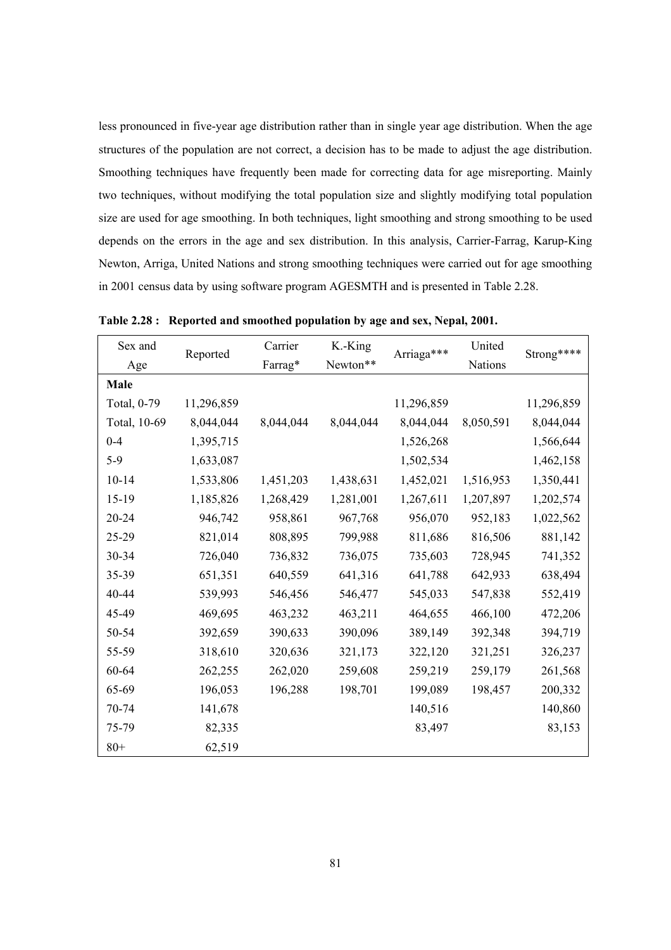less pronounced in five-year age distribution rather than in single year age distribution. When the age structures of the population are not correct, a decision has to be made to adjust the age distribution. Smoothing techniques have frequently been made for correcting data for age misreporting. Mainly two techniques, without modifying the total population size and slightly modifying total population size are used for age smoothing. In both techniques, light smoothing and strong smoothing to be used depends on the errors in the age and sex distribution. In this analysis, Carrier-Farrag, Karup-King Newton, Arriga, United Nations and strong smoothing techniques were carried out for age smoothing in 2001 census data by using software program AGESMTH and is presented in Table 2.28.

| Sex and      |            | Carrier   | K.-King   | Arriaga*** | United    | Strong**** |
|--------------|------------|-----------|-----------|------------|-----------|------------|
| Age          | Reported   | Farrag*   | Newton**  |            | Nations   |            |
| Male         |            |           |           |            |           |            |
| Total, 0-79  | 11,296,859 |           |           | 11,296,859 |           | 11,296,859 |
| Total, 10-69 | 8,044,044  | 8,044,044 | 8,044,044 | 8,044,044  | 8,050,591 | 8,044,044  |
| $0 - 4$      | 1,395,715  |           |           | 1,526,268  |           | 1,566,644  |
| $5-9$        | 1,633,087  |           |           | 1,502,534  |           | 1,462,158  |
| $10 - 14$    | 1,533,806  | 1,451,203 | 1,438,631 | 1,452,021  | 1,516,953 | 1,350,441  |
| 15-19        | 1,185,826  | 1,268,429 | 1,281,001 | 1,267,611  | 1,207,897 | 1,202,574  |
| 20-24        | 946,742    | 958,861   | 967,768   | 956,070    | 952,183   | 1,022,562  |
| 25-29        | 821,014    | 808,895   | 799,988   | 811,686    | 816,506   | 881,142    |
| 30-34        | 726,040    | 736,832   | 736,075   | 735,603    | 728,945   | 741,352    |
| 35-39        | 651,351    | 640,559   | 641,316   | 641,788    | 642,933   | 638,494    |
| 40-44        | 539,993    | 546,456   | 546,477   | 545,033    | 547,838   | 552,419    |
| 45-49        | 469,695    | 463,232   | 463,211   | 464,655    | 466,100   | 472,206    |
| 50-54        | 392,659    | 390,633   | 390,096   | 389,149    | 392,348   | 394,719    |
| 55-59        | 318,610    | 320,636   | 321,173   | 322,120    | 321,251   | 326,237    |
| 60-64        | 262,255    | 262,020   | 259,608   | 259,219    | 259,179   | 261,568    |
| 65-69        | 196,053    | 196,288   | 198,701   | 199,089    | 198,457   | 200,332    |
| 70-74        | 141,678    |           |           | 140,516    |           | 140,860    |
| 75-79        | 82,335     |           |           | 83,497     |           | 83,153     |
| $80+$        | 62,519     |           |           |            |           |            |

**Table 2.28 : Reported and smoothed population by age and sex, Nepal, 2001.**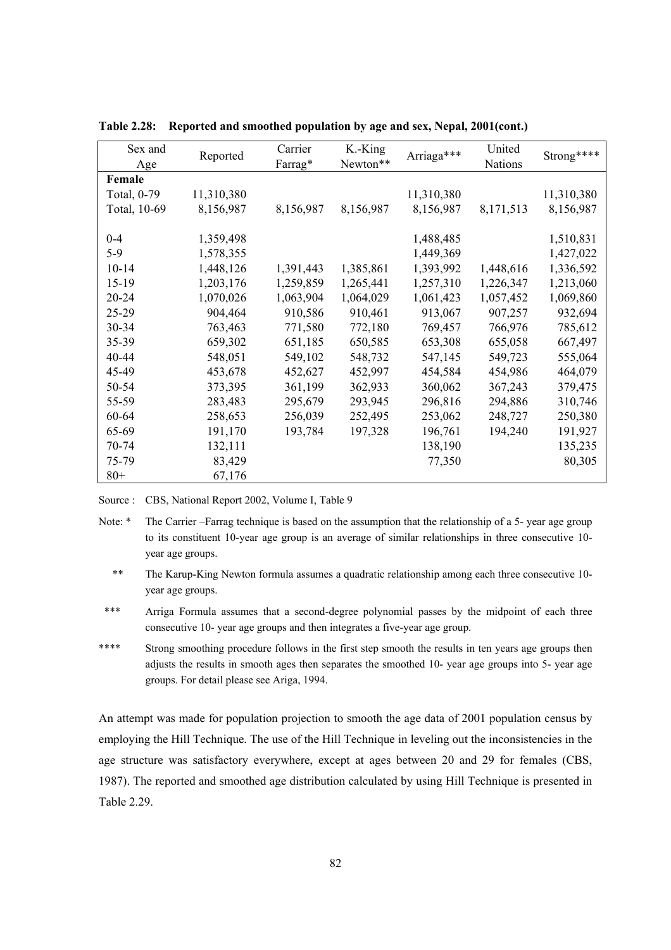| Sex and      | Reported   | Carrier   | K.-King   | Arriaga*** | United    | Strong**** |
|--------------|------------|-----------|-----------|------------|-----------|------------|
| Age          |            | Farrag*   | Newton**  |            | Nations   |            |
| Female       |            |           |           |            |           |            |
| Total, 0-79  | 11,310,380 |           |           | 11,310,380 |           | 11,310,380 |
| Total, 10-69 | 8,156,987  | 8,156,987 | 8,156,987 | 8,156,987  | 8,171,513 | 8,156,987  |
|              |            |           |           |            |           |            |
| $0 - 4$      | 1,359,498  |           |           | 1,488,485  |           | 1,510,831  |
| $5-9$        | 1,578,355  |           |           | 1,449,369  |           | 1,427,022  |
| $10 - 14$    | 1,448,126  | 1,391,443 | 1,385,861 | 1,393,992  | 1,448,616 | 1,336,592  |
| 15-19        | 1,203,176  | 1,259,859 | 1,265,441 | 1,257,310  | 1,226,347 | 1,213,060  |
| 20-24        | 1,070,026  | 1,063,904 | 1,064,029 | 1,061,423  | 1,057,452 | 1,069,860  |
| 25-29        | 904,464    | 910,586   | 910,461   | 913,067    | 907,257   | 932,694    |
| 30-34        | 763,463    | 771,580   | 772,180   | 769,457    | 766,976   | 785,612    |
| 35-39        | 659,302    | 651,185   | 650,585   | 653,308    | 655,058   | 667,497    |
| 40-44        | 548,051    | 549,102   | 548,732   | 547,145    | 549,723   | 555,064    |
| 45-49        | 453,678    | 452,627   | 452,997   | 454,584    | 454,986   | 464,079    |
| 50-54        | 373,395    | 361,199   | 362,933   | 360,062    | 367,243   | 379,475    |
| 55-59        | 283,483    | 295,679   | 293,945   | 296,816    | 294,886   | 310,746    |
| 60-64        | 258,653    | 256,039   | 252,495   | 253,062    | 248,727   | 250,380    |
| 65-69        | 191,170    | 193,784   | 197,328   | 196,761    | 194,240   | 191,927    |
| 70-74        | 132,111    |           |           | 138,190    |           | 135,235    |
| 75-79        | 83,429     |           |           | 77,350     |           | 80,305     |
| $80+$        | 67,176     |           |           |            |           |            |

**Table 2.28: Reported and smoothed population by age and sex, Nepal, 2001(cont.)** 

Source : CBS, National Report 2002, Volume I, Table 9

- \*\* The Karup-King Newton formula assumes a quadratic relationship among each three consecutive 10 year age groups.
- \*\*\* Arriga Formula assumes that a second-degree polynomial passes by the midpoint of each three consecutive 10- year age groups and then integrates a five-year age group.
- \*\*\*\* Strong smoothing procedure follows in the first step smooth the results in ten years age groups then adjusts the results in smooth ages then separates the smoothed 10- year age groups into 5- year age groups. For detail please see Ariga, 1994.

An attempt was made for population projection to smooth the age data of 2001 population census by employing the Hill Technique. The use of the Hill Technique in leveling out the inconsistencies in the age structure was satisfactory everywhere, except at ages between 20 and 29 for females (CBS, 1987). The reported and smoothed age distribution calculated by using Hill Technique is presented in Table 2.29.

Note: \* The Carrier –Farrag technique is based on the assumption that the relationship of a 5- year age group to its constituent 10-year age group is an average of similar relationships in three consecutive 10 year age groups.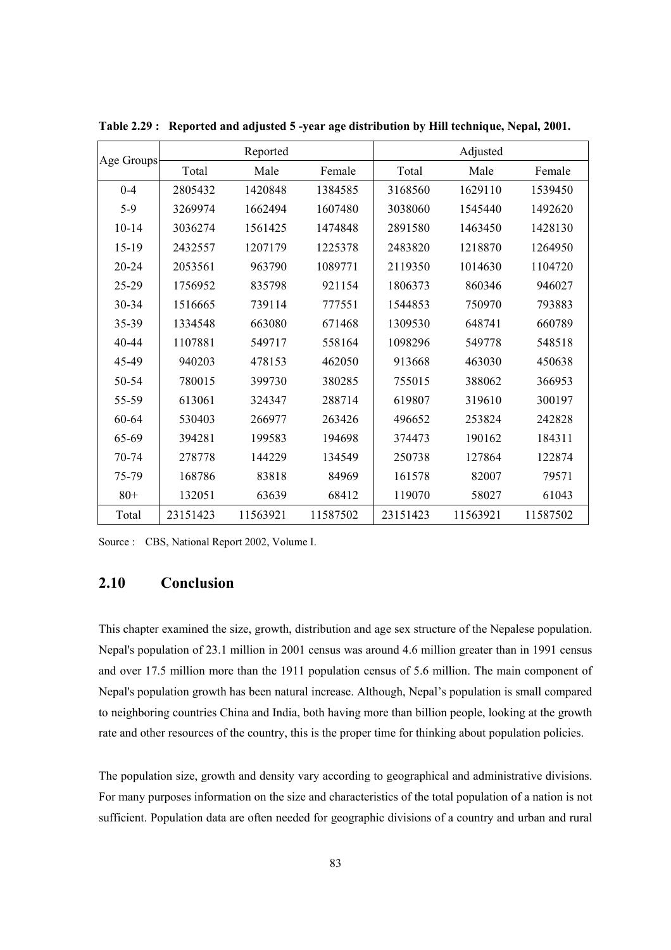| Age Groups | Reported |          |          | Adjusted |          |          |
|------------|----------|----------|----------|----------|----------|----------|
|            | Total    | Male     | Female   | Total    | Male     | Female   |
| $0 - 4$    | 2805432  | 1420848  | 1384585  | 3168560  | 1629110  | 1539450  |
| $5-9$      | 3269974  | 1662494  | 1607480  | 3038060  | 1545440  | 1492620  |
| $10 - 14$  | 3036274  | 1561425  | 1474848  | 2891580  | 1463450  | 1428130  |
| $15-19$    | 2432557  | 1207179  | 1225378  | 2483820  | 1218870  | 1264950  |
| $20 - 24$  | 2053561  | 963790   | 1089771  | 2119350  | 1014630  | 1104720  |
| 25-29      | 1756952  | 835798   | 921154   | 1806373  | 860346   | 946027   |
| $30 - 34$  | 1516665  | 739114   | 777551   | 1544853  | 750970   | 793883   |
| 35-39      | 1334548  | 663080   | 671468   | 1309530  | 648741   | 660789   |
| $40 - 44$  | 1107881  | 549717   | 558164   | 1098296  | 549778   | 548518   |
| 45-49      | 940203   | 478153   | 462050   | 913668   | 463030   | 450638   |
| 50-54      | 780015   | 399730   | 380285   | 755015   | 388062   | 366953   |
| 55-59      | 613061   | 324347   | 288714   | 619807   | 319610   | 300197   |
| 60-64      | 530403   | 266977   | 263426   | 496652   | 253824   | 242828   |
| 65-69      | 394281   | 199583   | 194698   | 374473   | 190162   | 184311   |
| 70-74      | 278778   | 144229   | 134549   | 250738   | 127864   | 122874   |
| 75-79      | 168786   | 83818    | 84969    | 161578   | 82007    | 79571    |
| $80+$      | 132051   | 63639    | 68412    | 119070   | 58027    | 61043    |
| Total      | 23151423 | 11563921 | 11587502 | 23151423 | 11563921 | 11587502 |

**Table 2.29 : Reported and adjusted 5 -year age distribution by Hill technique, Nepal, 2001.** 

Source : CBS, National Report 2002, Volume I.

# **2.10 Conclusion**

This chapter examined the size, growth, distribution and age sex structure of the Nepalese population. Nepal's population of 23.1 million in 2001 census was around 4.6 million greater than in 1991 census and over 17.5 million more than the 1911 population census of 5.6 million. The main component of Nepal's population growth has been natural increase. Although, Nepal's population is small compared to neighboring countries China and India, both having more than billion people, looking at the growth rate and other resources of the country, this is the proper time for thinking about population policies.

The population size, growth and density vary according to geographical and administrative divisions. For many purposes information on the size and characteristics of the total population of a nation is not sufficient. Population data are often needed for geographic divisions of a country and urban and rural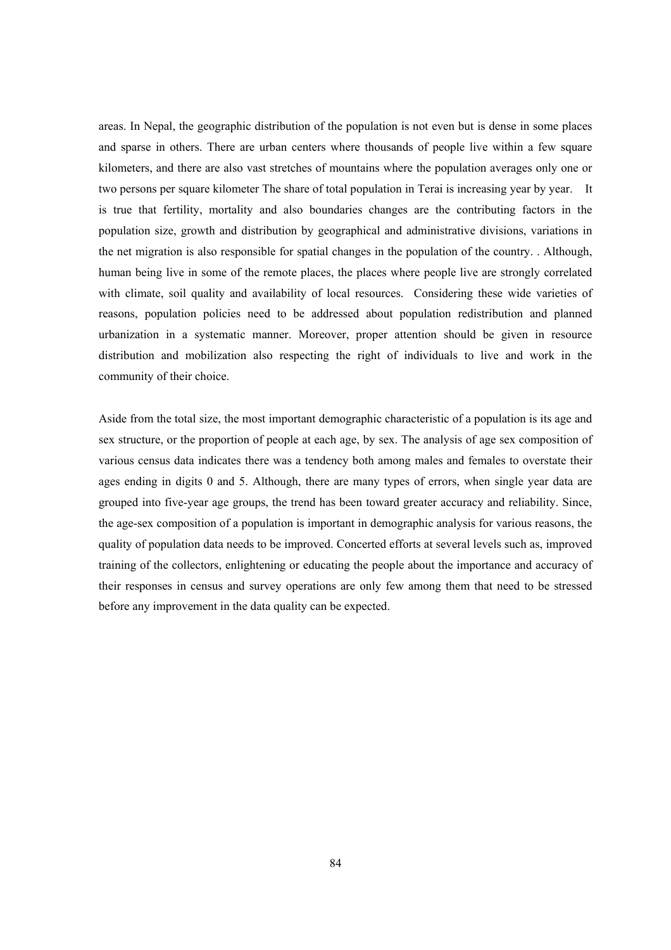areas. In Nepal, the geographic distribution of the population is not even but is dense in some places and sparse in others. There are urban centers where thousands of people live within a few square kilometers, and there are also vast stretches of mountains where the population averages only one or two persons per square kilometer The share of total population in Terai is increasing year by year. It is true that fertility, mortality and also boundaries changes are the contributing factors in the population size, growth and distribution by geographical and administrative divisions, variations in the net migration is also responsible for spatial changes in the population of the country. . Although, human being live in some of the remote places, the places where people live are strongly correlated with climate, soil quality and availability of local resources. Considering these wide varieties of reasons, population policies need to be addressed about population redistribution and planned urbanization in a systematic manner. Moreover, proper attention should be given in resource distribution and mobilization also respecting the right of individuals to live and work in the community of their choice.

Aside from the total size, the most important demographic characteristic of a population is its age and sex structure, or the proportion of people at each age, by sex. The analysis of age sex composition of various census data indicates there was a tendency both among males and females to overstate their ages ending in digits 0 and 5. Although, there are many types of errors, when single year data are grouped into five-year age groups, the trend has been toward greater accuracy and reliability. Since, the age-sex composition of a population is important in demographic analysis for various reasons, the quality of population data needs to be improved. Concerted efforts at several levels such as, improved training of the collectors, enlightening or educating the people about the importance and accuracy of their responses in census and survey operations are only few among them that need to be stressed before any improvement in the data quality can be expected.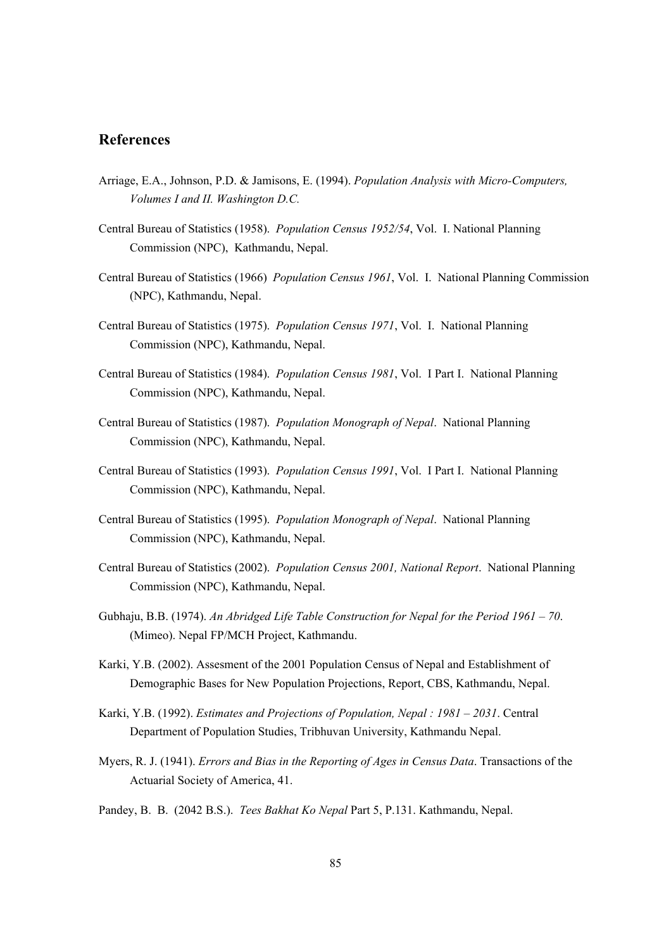## **References**

- Arriage, E.A., Johnson, P.D. & Jamisons, E. (1994). *Population Analysis with Micro-Computers, Volumes I and II. Washington D.C.*
- Central Bureau of Statistics (1958). *Population Census 1952/54*, Vol. I. National Planning Commission (NPC), Kathmandu, Nepal.
- Central Bureau of Statistics (1966) *Population Census 1961*, Vol. I. National Planning Commission (NPC), Kathmandu, Nepal.
- Central Bureau of Statistics (1975). *Population Census 1971*, Vol. I. National Planning Commission (NPC), Kathmandu, Nepal.
- Central Bureau of Statistics (1984). *Population Census 1981*, Vol. I Part I. National Planning Commission (NPC), Kathmandu, Nepal.
- Central Bureau of Statistics (1987). *Population Monograph of Nepal*. National Planning Commission (NPC), Kathmandu, Nepal.
- Central Bureau of Statistics (1993). *Population Census 1991*, Vol. I Part I. National Planning Commission (NPC), Kathmandu, Nepal.
- Central Bureau of Statistics (1995). *Population Monograph of Nepal*. National Planning Commission (NPC), Kathmandu, Nepal.
- Central Bureau of Statistics (2002). *Population Census 2001, National Report*. National Planning Commission (NPC), Kathmandu, Nepal.
- Gubhaju, B.B. (1974). *An Abridged Life Table Construction for Nepal for the Period 1961 70*. (Mimeo). Nepal FP/MCH Project, Kathmandu.
- Karki, Y.B. (2002). Assesment of the 2001 Population Census of Nepal and Establishment of Demographic Bases for New Population Projections, Report, CBS, Kathmandu, Nepal.
- Karki, Y.B. (1992). *Estimates and Projections of Population, Nepal : 1981 2031*. Central Department of Population Studies, Tribhuvan University, Kathmandu Nepal.
- Myers, R. J. (1941). *Errors and Bias in the Reporting of Ages in Census Data*. Transactions of the Actuarial Society of America, 41.
- Pandey, B. B. (2042 B.S.). *Tees Bakhat Ko Nepal* Part 5, P.131. Kathmandu, Nepal.